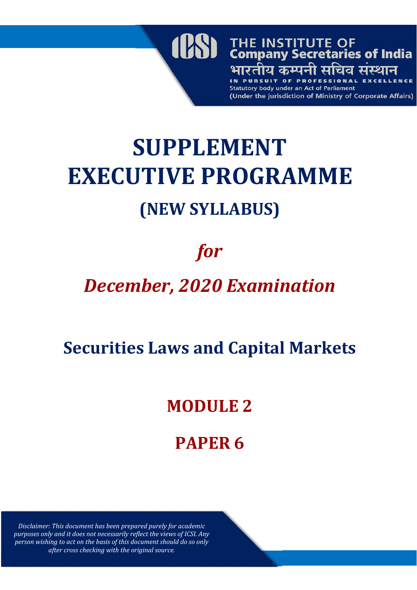

**SUPPLEMENT EXECUTIVE PROGRAMME (NEW SYLLABUS)**

# *for*

# *December, 2020 Examination*

## **Securities Laws and Capital Markets**

## **MODULE 2**

## **PAPER 6**

*Disclaimer: This document has been prepared purely for academic purposes only and it does not necessarily reflect the views of ICSI. Any person wishing to act on the basis of this document should do so only after cross checking with the original source.*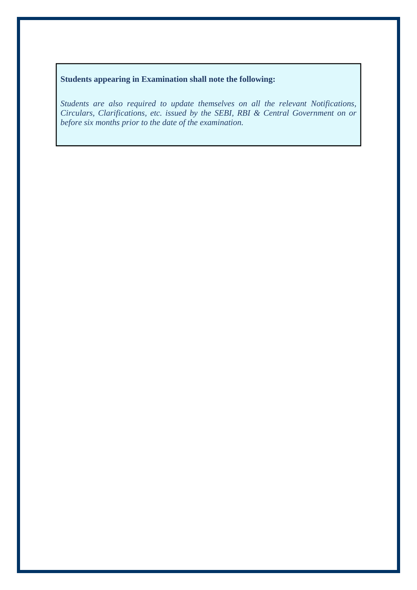### **Students appearing in Examination shall note the following:**

*Students are also required to update themselves on all the relevant Notifications, Circulars, Clarifications, etc. issued by the SEBI, RBI & Central Government on or before six months prior to the date of the examination.*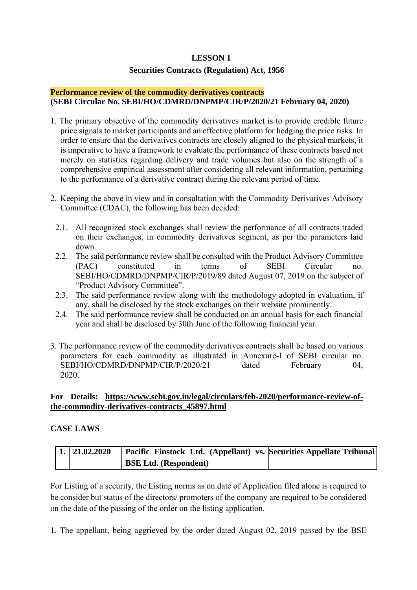#### **LESSON 1**

#### **Securities Contracts (Regulation) Act, 1956**

#### **Performance review of the commodity derivatives contracts (SEBI Circular No. SEBI/HO/CDMRD/DNPMP/CIR/P/2020/21 February 04, 2020)**

- 1. The primary objective of the commodity derivatives market is to provide credible future price signals to market participants and an effective platform for hedging the price risks. In order to ensure that the derivatives contracts are closely aligned to the physical markets, it is imperative to have a framework to evaluate the performance of these contracts based not merely on statistics regarding delivery and trade volumes but also on the strength of a comprehensive empirical assessment after considering all relevant information, pertaining to the performance of a derivative contract during the relevant period of time.
- 2. Keeping the above in view and in consultation with the Commodity Derivatives Advisory Committee (CDAC), the following has been decided:
	- 2.1. All recognized stock exchanges shall review the performance of all contracts traded on their exchanges, in commodity derivatives segment, as per the parameters laid down.
	- 2.2. The said performance review shall be consulted with the Product Advisory Committee (PAC) constituted in terms of SEBI Circular no. SEBI/HO/CDMRD/DNPMP/CIR/P/2019/89 dated August 07, 2019 on the subject of "Product Advisory Committee".
	- 2.3. The said performance review along with the methodology adopted in evaluation, if any, shall be disclosed by the stock exchanges on their website prominently.
	- 2.4. The said performance review shall be conducted on an annual basis for each financial year and shall be disclosed by 30th June of the following financial year.
- 3. The performance review of the commodity derivatives contracts shall be based on various parameters for each commodity as illustrated in Annexure-I of SEBI circular no. SEBI/HO/CDMRD/DNPMP/CIR/P/2020/21 dated February 04, 2020.

#### **For Details: https://www.sebi.gov.in/legal/circulars/feb-2020/performance-review-ofthe-commodity-derivatives-contracts\_45897.html**

#### **CASE LAWS**

| 1. 21.02.2020 | <b>Pacific Finstock Ltd.</b> (Appellant) vs. Securities Appellate Tribunal |  |
|---------------|----------------------------------------------------------------------------|--|
|               | <b>BSE Ltd.</b> (Respondent)                                               |  |

For Listing of a security, the Listing norms as on date of Application filed alone is required to be consider but status of the directors/ promoters of the company are required to be considered on the date of the passing of the order on the listing application.

1. The appellant, being aggrieved by the order dated August 02, 2019 passed by the BSE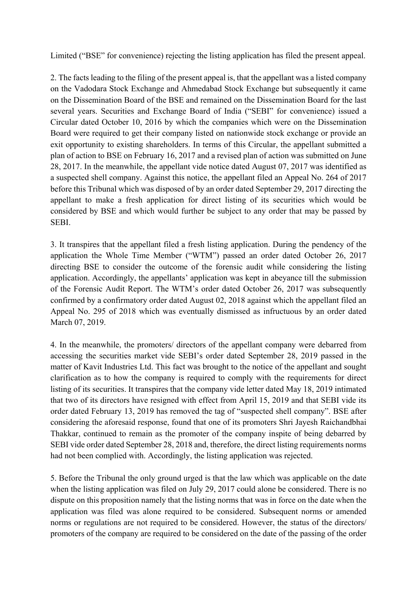Limited ("BSE" for convenience) rejecting the listing application has filed the present appeal.

2. The facts leading to the filing of the present appeal is, that the appellant was a listed company on the Vadodara Stock Exchange and Ahmedabad Stock Exchange but subsequently it came on the Dissemination Board of the BSE and remained on the Dissemination Board for the last several years. Securities and Exchange Board of India ("SEBI" for convenience) issued a Circular dated October 10, 2016 by which the companies which were on the Dissemination Board were required to get their company listed on nationwide stock exchange or provide an exit opportunity to existing shareholders. In terms of this Circular, the appellant submitted a plan of action to BSE on February 16, 2017 and a revised plan of action was submitted on June 28, 2017. In the meanwhile, the appellant vide notice dated August 07, 2017 was identified as a suspected shell company. Against this notice, the appellant filed an Appeal No. 264 of 2017 before this Tribunal which was disposed of by an order dated September 29, 2017 directing the appellant to make a fresh application for direct listing of its securities which would be considered by BSE and which would further be subject to any order that may be passed by **SEBI** 

3. It transpires that the appellant filed a fresh listing application. During the pendency of the application the Whole Time Member ("WTM") passed an order dated October 26, 2017 directing BSE to consider the outcome of the forensic audit while considering the listing application. Accordingly, the appellants' application was kept in abeyance till the submission of the Forensic Audit Report. The WTM's order dated October 26, 2017 was subsequently confirmed by a confirmatory order dated August 02, 2018 against which the appellant filed an Appeal No. 295 of 2018 which was eventually dismissed as infructuous by an order dated March 07, 2019.

4. In the meanwhile, the promoters/ directors of the appellant company were debarred from accessing the securities market vide SEBI's order dated September 28, 2019 passed in the matter of Kavit Industries Ltd. This fact was brought to the notice of the appellant and sought clarification as to how the company is required to comply with the requirements for direct listing of its securities. It transpires that the company vide letter dated May 18, 2019 intimated that two of its directors have resigned with effect from April 15, 2019 and that SEBI vide its order dated February 13, 2019 has removed the tag of "suspected shell company". BSE after considering the aforesaid response, found that one of its promoters Shri Jayesh Raichandbhai Thakkar, continued to remain as the promoter of the company inspite of being debarred by SEBI vide order dated September 28, 2018 and, therefore, the direct listing requirements norms had not been complied with. Accordingly, the listing application was rejected.

5. Before the Tribunal the only ground urged is that the law which was applicable on the date when the listing application was filed on July 29, 2017 could alone be considered. There is no dispute on this proposition namely that the listing norms that was in force on the date when the application was filed was alone required to be considered. Subsequent norms or amended norms or regulations are not required to be considered. However, the status of the directors/ promoters of the company are required to be considered on the date of the passing of the order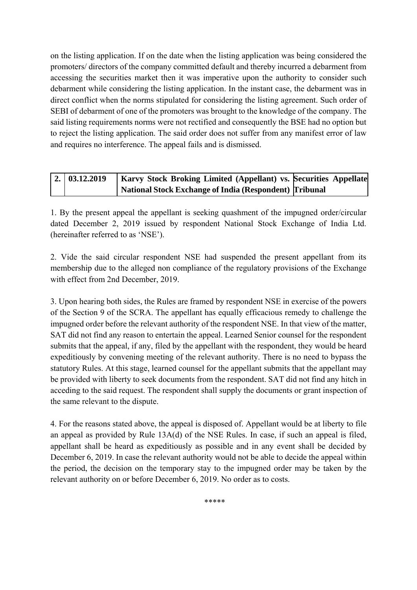on the listing application. If on the date when the listing application was being considered the promoters/ directors of the company committed default and thereby incurred a debarment from accessing the securities market then it was imperative upon the authority to consider such debarment while considering the listing application. In the instant case, the debarment was in direct conflict when the norms stipulated for considering the listing agreement. Such order of SEBI of debarment of one of the promoters was brought to the knowledge of the company. The said listing requirements norms were not rectified and consequently the BSE had no option but to reject the listing application. The said order does not suffer from any manifest error of law and requires no interference. The appeal fails and is dismissed.

| $\mid$ 2. $\mid$ 03.12.2019 | <b>Karvy Stock Broking Limited (Appellant) vs. Securities Appellate</b> |  |
|-----------------------------|-------------------------------------------------------------------------|--|
|                             | National Stock Exchange of India (Respondent)   Tribunal                |  |

1. By the present appeal the appellant is seeking quashment of the impugned order/circular dated December 2, 2019 issued by respondent National Stock Exchange of India Ltd. (hereinafter referred to as 'NSE').

2. Vide the said circular respondent NSE had suspended the present appellant from its membership due to the alleged non compliance of the regulatory provisions of the Exchange with effect from 2nd December, 2019.

3. Upon hearing both sides, the Rules are framed by respondent NSE in exercise of the powers of the Section 9 of the SCRA. The appellant has equally efficacious remedy to challenge the impugned order before the relevant authority of the respondent NSE. In that view of the matter, SAT did not find any reason to entertain the appeal. Learned Senior counsel for the respondent submits that the appeal, if any, filed by the appellant with the respondent, they would be heard expeditiously by convening meeting of the relevant authority. There is no need to bypass the statutory Rules. At this stage, learned counsel for the appellant submits that the appellant may be provided with liberty to seek documents from the respondent. SAT did not find any hitch in acceding to the said request. The respondent shall supply the documents or grant inspection of the same relevant to the dispute.

4. For the reasons stated above, the appeal is disposed of. Appellant would be at liberty to file an appeal as provided by Rule 13A(d) of the NSE Rules. In case, if such an appeal is filed, appellant shall be heard as expeditiously as possible and in any event shall be decided by December 6, 2019. In case the relevant authority would not be able to decide the appeal within the period, the decision on the temporary stay to the impugned order may be taken by the relevant authority on or before December 6, 2019. No order as to costs.

\*\*\*\*\*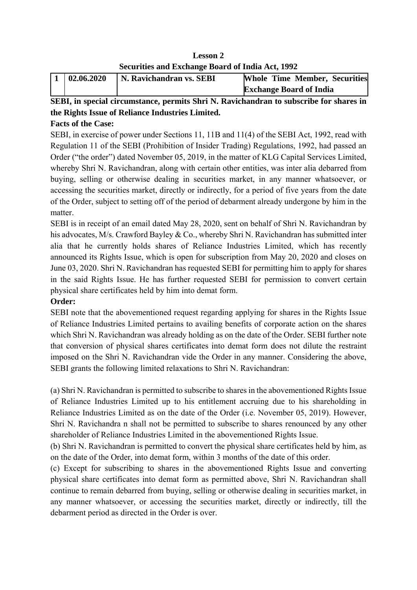| <b>Lesson 2</b>                                  |
|--------------------------------------------------|
| Securities and Exchange Board of India Act, 1992 |

| 02.06.2020 | N. Ravichandran vs. SEBI | <b>Whole Time Member, Securities</b> |
|------------|--------------------------|--------------------------------------|
|            |                          | <b>Exchange Board of India</b>       |

## **SEBI, in special circumstance, permits Shri N. Ravichandran to subscribe for shares in the Rights Issue of Reliance Industries Limited.**

## **Facts of the Case:**

SEBI, in exercise of power under Sections 11, 11B and 11(4) of the SEBI Act, 1992, read with Regulation 11 of the SEBI (Prohibition of Insider Trading) Regulations, 1992, had passed an Order ("the order") dated November 05, 2019, in the matter of KLG Capital Services Limited, whereby Shri N. Ravichandran, along with certain other entities, was inter alia debarred from buying, selling or otherwise dealing in securities market, in any manner whatsoever, or accessing the securities market, directly or indirectly, for a period of five years from the date of the Order, subject to setting off of the period of debarment already undergone by him in the matter.

SEBI is in receipt of an email dated May 28, 2020, sent on behalf of Shri N. Ravichandran by his advocates, M/s. Crawford Bayley & Co., whereby Shri N. Ravichandran has submitted inter alia that he currently holds shares of Reliance Industries Limited, which has recently announced its Rights Issue, which is open for subscription from May 20, 2020 and closes on June 03, 2020. Shri N. Ravichandran has requested SEBI for permitting him to apply for shares in the said Rights Issue. He has further requested SEBI for permission to convert certain physical share certificates held by him into demat form.

## **Order:**

SEBI note that the abovementioned request regarding applying for shares in the Rights Issue of Reliance Industries Limited pertains to availing benefits of corporate action on the shares which Shri N. Ravichandran was already holding as on the date of the Order. SEBI further note that conversion of physical shares certificates into demat form does not dilute the restraint imposed on the Shri N. Ravichandran vide the Order in any manner. Considering the above, SEBI grants the following limited relaxations to Shri N. Ravichandran:

(a) Shri N. Ravichandran is permitted to subscribe to shares in the abovementioned Rights Issue of Reliance Industries Limited up to his entitlement accruing due to his shareholding in Reliance Industries Limited as on the date of the Order (i.e. November 05, 2019). However, Shri N. Ravichandra n shall not be permitted to subscribe to shares renounced by any other shareholder of Reliance Industries Limited in the abovementioned Rights Issue.

(b) Shri N. Ravichandran is permitted to convert the physical share certificates held by him, as on the date of the Order, into demat form, within 3 months of the date of this order.

(c) Except for subscribing to shares in the abovementioned Rights Issue and converting physical share certificates into demat form as permitted above, Shri N. Ravichandran shall continue to remain debarred from buying, selling or otherwise dealing in securities market, in any manner whatsoever, or accessing the securities market, directly or indirectly, till the debarment period as directed in the Order is over.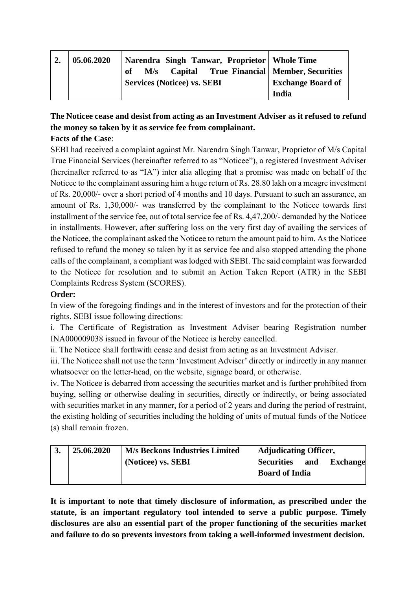| $\overline{2}$ . | 05.06.2020 | Narendra Singh Tanwar, Proprietor   Whole Time        |                          |
|------------------|------------|-------------------------------------------------------|--------------------------|
|                  |            | M/s Capital True Financial   Member, Securities<br>of |                          |
|                  |            | <b>Services (Noticee) vs. SEBI</b>                    | <b>Exchange Board of</b> |
|                  |            |                                                       | India                    |

## **The Noticee cease and desist from acting as an Investment Adviser as it refused to refund the money so taken by it as service fee from complainant.**

## **Facts of the Case**:

SEBI had received a complaint against Mr. Narendra Singh Tanwar, Proprietor of M/s Capital True Financial Services (hereinafter referred to as "Noticee"), a registered Investment Adviser (hereinafter referred to as "IA") inter alia alleging that a promise was made on behalf of the Noticee to the complainant assuring him a huge return of Rs. 28.80 lakh on a meagre investment of Rs. 20,000/- over a short period of 4 months and 10 days. Pursuant to such an assurance, an amount of Rs. 1,30,000/- was transferred by the complainant to the Noticee towards first installment of the service fee, out of total service fee of Rs. 4,47,200/- demanded by the Noticee in installments. However, after suffering loss on the very first day of availing the services of the Noticee, the complainant asked the Noticee to return the amount paid to him. As the Noticee refused to refund the money so taken by it as service fee and also stopped attending the phone calls of the complainant, a compliant was lodged with SEBI. The said complaint was forwarded to the Noticee for resolution and to submit an Action Taken Report (ATR) in the SEBI Complaints Redress System (SCORES).

## **Order:**

In view of the foregoing findings and in the interest of investors and for the protection of their rights, SEBI issue following directions:

i. The Certificate of Registration as Investment Adviser bearing Registration number INA000009038 issued in favour of the Noticee is hereby cancelled.

ii. The Noticee shall forthwith cease and desist from acting as an Investment Adviser.

iii. The Noticee shall not use the term 'Investment Adviser' directly or indirectly in any manner whatsoever on the letter-head, on the website, signage board, or otherwise.

iv. The Noticee is debarred from accessing the securities market and is further prohibited from buying, selling or otherwise dealing in securities, directly or indirectly, or being associated with securities market in any manner, for a period of 2 years and during the period of restraint, the existing holding of securities including the holding of units of mutual funds of the Noticee (s) shall remain frozen.

| 3. | 25.06.2020 | <b>M/s Beckons Industries Limited</b> |                       | <b>Adjudicating Officer,</b> |                 |
|----|------------|---------------------------------------|-----------------------|------------------------------|-----------------|
|    |            | (Noticee) vs. SEBI                    | <b>Securities</b>     | and                          | <b>Exchange</b> |
|    |            |                                       | <b>Board of India</b> |                              |                 |
|    |            |                                       |                       |                              |                 |

**It is important to note that timely disclosure of information, as prescribed under the statute, is an important regulatory tool intended to serve a public purpose. Timely disclosures are also an essential part of the proper functioning of the securities market and failure to do so prevents investors from taking a well-informed investment decision.**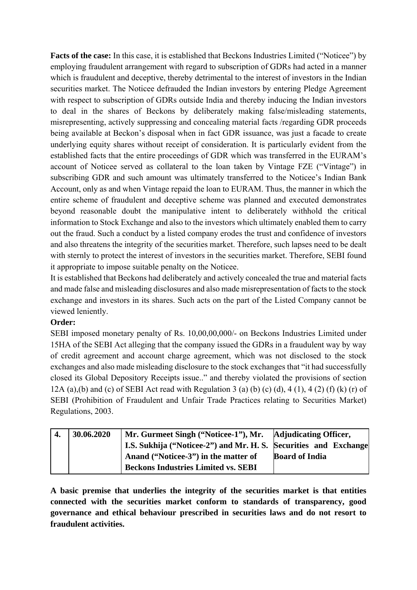**Facts of the case:** In this case, it is established that Beckons Industries Limited ("Noticee") by employing fraudulent arrangement with regard to subscription of GDRs had acted in a manner which is fraudulent and deceptive, thereby detrimental to the interest of investors in the Indian securities market. The Noticee defrauded the Indian investors by entering Pledge Agreement with respect to subscription of GDRs outside India and thereby inducing the Indian investors to deal in the shares of Beckons by deliberately making false/misleading statements, misrepresenting, actively suppressing and concealing material facts /regarding GDR proceeds being available at Beckon's disposal when in fact GDR issuance, was just a facade to create underlying equity shares without receipt of consideration. It is particularly evident from the established facts that the entire proceedings of GDR which was transferred in the EURAM's account of Noticee served as collateral to the loan taken by Vintage FZE ("Vintage") in subscribing GDR and such amount was ultimately transferred to the Noticee's Indian Bank Account, only as and when Vintage repaid the loan to EURAM. Thus, the manner in which the entire scheme of fraudulent and deceptive scheme was planned and executed demonstrates beyond reasonable doubt the manipulative intent to deliberately withhold the critical information to Stock Exchange and also to the investors which ultimately enabled them to carry out the fraud. Such a conduct by a listed company erodes the trust and confidence of investors and also threatens the integrity of the securities market. Therefore, such lapses need to be dealt with sternly to protect the interest of investors in the securities market. Therefore, SEBI found it appropriate to impose suitable penalty on the Noticee.

It is established that Beckons had deliberately and actively concealed the true and material facts and made false and misleading disclosures and also made misrepresentation of facts to the stock exchange and investors in its shares. Such acts on the part of the Listed Company cannot be viewed leniently.

#### **Order:**

SEBI imposed monetary penalty of Rs. 10,00,00,000/- on Beckons Industries Limited under 15HA of the SEBI Act alleging that the company issued the GDRs in a fraudulent way by way of credit agreement and account charge agreement, which was not disclosed to the stock exchanges and also made misleading disclosure to the stock exchanges that "it had successfully closed its Global Depository Receipts issue.." and thereby violated the provisions of section 12A (a),(b) and (c) of SEBI Act read with Regulation 3 (a) (b) (c) (d), 4 (1), 4 (2) (f) (k) (r) of SEBI (Prohibition of Fraudulent and Unfair Trade Practices relating to Securities Market) Regulations, 2003.

| 30.06.2020 | Mr. Gurmeet Singh ("Noticee-1"), Mr.   Adjudicating Officer,            |                       |
|------------|-------------------------------------------------------------------------|-----------------------|
|            | <b>I.S. Sukhija ("Noticee-2") and Mr. H. S. Securities and Exchange</b> |                       |
|            | Anand ("Noticee-3") in the matter of                                    | <b>Board of India</b> |
|            | <b>Beckons Industries Limited vs. SEBI</b>                              |                       |

**A basic premise that underlies the integrity of the securities market is that entities connected with the securities market conform to standards of transparency, good governance and ethical behaviour prescribed in securities laws and do not resort to fraudulent activities.**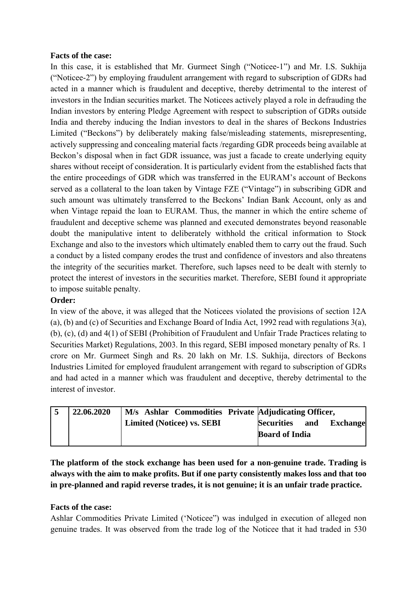#### **Facts of the case:**

In this case, it is established that Mr. Gurmeet Singh ("Noticee-1") and Mr. I.S. Sukhija ("Noticee-2") by employing fraudulent arrangement with regard to subscription of GDRs had acted in a manner which is fraudulent and deceptive, thereby detrimental to the interest of investors in the Indian securities market. The Noticees actively played a role in defrauding the Indian investors by entering Pledge Agreement with respect to subscription of GDRs outside India and thereby inducing the Indian investors to deal in the shares of Beckons Industries Limited ("Beckons") by deliberately making false/misleading statements, misrepresenting, actively suppressing and concealing material facts /regarding GDR proceeds being available at Beckon's disposal when in fact GDR issuance, was just a facade to create underlying equity shares without receipt of consideration. It is particularly evident from the established facts that the entire proceedings of GDR which was transferred in the EURAM's account of Beckons served as a collateral to the loan taken by Vintage FZE ("Vintage") in subscribing GDR and such amount was ultimately transferred to the Beckons' Indian Bank Account, only as and when Vintage repaid the loan to EURAM. Thus, the manner in which the entire scheme of fraudulent and deceptive scheme was planned and executed demonstrates beyond reasonable doubt the manipulative intent to deliberately withhold the critical information to Stock Exchange and also to the investors which ultimately enabled them to carry out the fraud. Such a conduct by a listed company erodes the trust and confidence of investors and also threatens the integrity of the securities market. Therefore, such lapses need to be dealt with sternly to protect the interest of investors in the securities market. Therefore, SEBI found it appropriate to impose suitable penalty.

#### **Order:**

In view of the above, it was alleged that the Noticees violated the provisions of section 12A (a), (b) and (c) of Securities and Exchange Board of India Act, 1992 read with regulations 3(a), (b), (c), (d) and 4(1) of SEBI (Prohibition of Fraudulent and Unfair Trade Practices relating to Securities Market) Regulations, 2003. In this regard, SEBI imposed monetary penalty of Rs. 1 crore on Mr. Gurmeet Singh and Rs. 20 lakh on Mr. I.S. Sukhija, directors of Beckons Industries Limited for employed fraudulent arrangement with regard to subscription of GDRs and had acted in a manner which was fraudulent and deceptive, thereby detrimental to the interest of investor.

| 5 | 22.06.2020 | M/s Ashlar Commodities Private Adjudicating Officer, |                       |     |                 |
|---|------------|------------------------------------------------------|-----------------------|-----|-----------------|
|   |            | <b>Limited (Noticee) vs. SEBI</b>                    | <b>Securities</b>     | and | <b>Exchange</b> |
|   |            |                                                      | <b>Board of India</b> |     |                 |
|   |            |                                                      |                       |     |                 |

**The platform of the stock exchange has been used for a non-genuine trade. Trading is always with the aim to make profits. But if one party consistently makes loss and that too in pre-planned and rapid reverse trades, it is not genuine; it is an unfair trade practice.** 

#### **Facts of the case:**

Ashlar Commodities Private Limited ('Noticee") was indulged in execution of alleged non genuine trades. It was observed from the trade log of the Noticee that it had traded in 530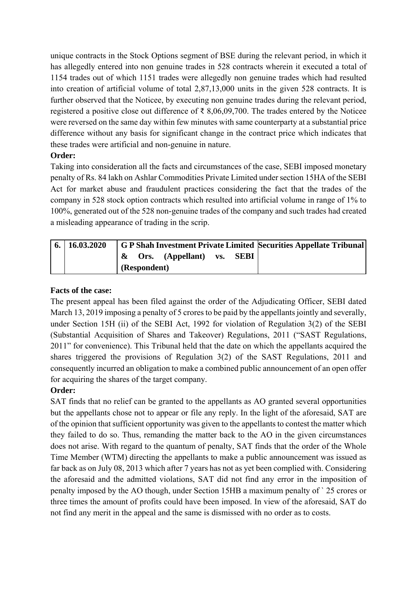unique contracts in the Stock Options segment of BSE during the relevant period, in which it has allegedly entered into non genuine trades in 528 contracts wherein it executed a total of 1154 trades out of which 1151 trades were allegedly non genuine trades which had resulted into creation of artificial volume of total 2,87,13,000 units in the given 528 contracts. It is further observed that the Noticee, by executing non genuine trades during the relevant period, registered a positive close out difference of ₹ 8,06,09,700. The trades entered by the Noticee were reversed on the same day within few minutes with same counterparty at a substantial price difference without any basis for significant change in the contract price which indicates that these trades were artificial and non-genuine in nature.

## **Order:**

Taking into consideration all the facts and circumstances of the case, SEBI imposed monetary penalty of Rs. 84 lakh on Ashlar Commodities Private Limited under section 15HA of the SEBI Act for market abuse and fraudulent practices considering the fact that the trades of the company in 528 stock option contracts which resulted into artificial volume in range of 1% to 100%, generated out of the 528 non-genuine trades of the company and such trades had created a misleading appearance of trading in the scrip.

| $6. \mid 16.03.2020$ | G P Shah Investment Private Limited Securities Appellate Tribunal |
|----------------------|-------------------------------------------------------------------|
|                      | <b>Ors.</b> (Appellant) vs. <b>SEBI</b><br>$\boldsymbol{\alpha}$  |
|                      | (Respondent)                                                      |

## **Facts of the case:**

The present appeal has been filed against the order of the Adjudicating Officer, SEBI dated March 13, 2019 imposing a penalty of 5 crores to be paid by the appellants jointly and severally, under Section 15H (ii) of the SEBI Act, 1992 for violation of Regulation 3(2) of the SEBI (Substantial Acquisition of Shares and Takeover) Regulations, 2011 ("SAST Regulations, 2011" for convenience). This Tribunal held that the date on which the appellants acquired the shares triggered the provisions of Regulation 3(2) of the SAST Regulations, 2011 and consequently incurred an obligation to make a combined public announcement of an open offer for acquiring the shares of the target company.

## **Order:**

SAT finds that no relief can be granted to the appellants as AO granted several opportunities but the appellants chose not to appear or file any reply. In the light of the aforesaid, SAT are of the opinion that sufficient opportunity was given to the appellants to contest the matter which they failed to do so. Thus, remanding the matter back to the AO in the given circumstances does not arise. With regard to the quantum of penalty, SAT finds that the order of the Whole Time Member (WTM) directing the appellants to make a public announcement was issued as far back as on July 08, 2013 which after 7 years has not as yet been complied with. Considering the aforesaid and the admitted violations, SAT did not find any error in the imposition of penalty imposed by the AO though, under Section 15HB a maximum penalty of ` 25 crores or three times the amount of profits could have been imposed. In view of the aforesaid, SAT do not find any merit in the appeal and the same is dismissed with no order as to costs.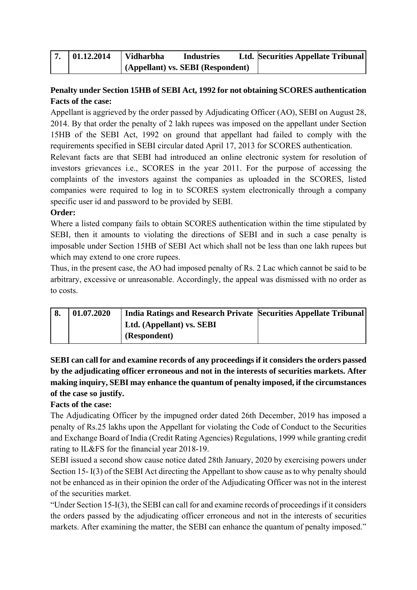| 01.12.2014 | <b>Vidharbha</b>                  | <b>Industries</b> | <b>Ltd. Securities Appellate Tribunal</b> |
|------------|-----------------------------------|-------------------|-------------------------------------------|
|            | (Appellant) vs. SEBI (Respondent) |                   |                                           |

## **Penalty under Section 15HB of SEBI Act, 1992 for not obtaining SCORES authentication Facts of the case:**

Appellant is aggrieved by the order passed by Adjudicating Officer (AO), SEBI on August 28, 2014. By that order the penalty of 2 lakh rupees was imposed on the appellant under Section 15HB of the SEBI Act, 1992 on ground that appellant had failed to comply with the requirements specified in SEBI circular dated April 17, 2013 for SCORES authentication.

Relevant facts are that SEBI had introduced an online electronic system for resolution of investors grievances i.e., SCORES in the year 2011. For the purpose of accessing the complaints of the investors against the companies as uploaded in the SCORES, listed companies were required to log in to SCORES system electronically through a company specific user id and password to be provided by SEBI.

## **Order:**

Where a listed company fails to obtain SCORES authentication within the time stipulated by SEBI, then it amounts to violating the directions of SEBI and in such a case penalty is imposable under Section 15HB of SEBI Act which shall not be less than one lakh rupees but which may extend to one crore rupees.

Thus, in the present case, the AO had imposed penalty of Rs. 2 Lac which cannot be said to be arbitrary, excessive or unreasonable. Accordingly, the appeal was dismissed with no order as to costs.

| $^{\prime}8.$ | 01.07.2020 | India Ratings and Research Private Securities Appellate Tribunal |  |
|---------------|------------|------------------------------------------------------------------|--|
|               |            | Ltd. (Appellant) vs. SEBI                                        |  |
|               |            | (Respondent)                                                     |  |

**SEBI can call for and examine records of any proceedings if it considers the orders passed by the adjudicating officer erroneous and not in the interests of securities markets. After making inquiry, SEBI may enhance the quantum of penalty imposed, if the circumstances of the case so justify.** 

## **Facts of the case:**

The Adjudicating Officer by the impugned order dated 26th December, 2019 has imposed a penalty of Rs.25 lakhs upon the Appellant for violating the Code of Conduct to the Securities and Exchange Board of India (Credit Rating Agencies) Regulations, 1999 while granting credit rating to IL&FS for the financial year 2018-19.

SEBI issued a second show cause notice dated 28th January, 2020 by exercising powers under Section 15- I(3) of the SEBI Act directing the Appellant to show cause as to why penalty should not be enhanced as in their opinion the order of the Adjudicating Officer was not in the interest of the securities market.

"Under Section 15-I(3), the SEBI can call for and examine records of proceedings if it considers the orders passed by the adjudicating officer erroneous and not in the interests of securities markets. After examining the matter, the SEBI can enhance the quantum of penalty imposed."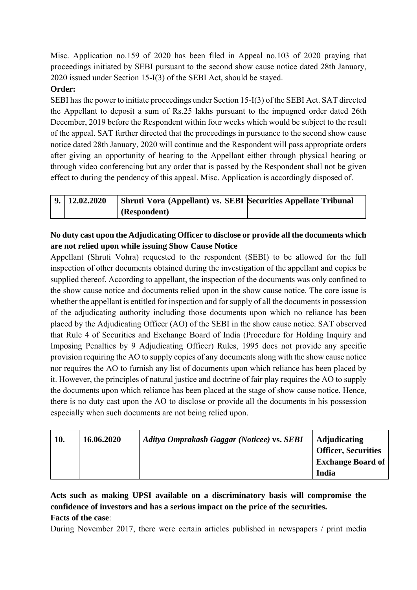Misc. Application no.159 of 2020 has been filed in Appeal no.103 of 2020 praying that proceedings initiated by SEBI pursuant to the second show cause notice dated 28th January, 2020 issued under Section 15-I(3) of the SEBI Act, should be stayed.

## **Order:**

SEBI has the power to initiate proceedings under Section 15-I(3) of the SEBI Act. SAT directed the Appellant to deposit a sum of Rs.25 lakhs pursuant to the impugned order dated 26th December, 2019 before the Respondent within four weeks which would be subject to the result of the appeal. SAT further directed that the proceedings in pursuance to the second show cause notice dated 28th January, 2020 will continue and the Respondent will pass appropriate orders after giving an opportunity of hearing to the Appellant either through physical hearing or through video conferencing but any order that is passed by the Respondent shall not be given effect to during the pendency of this appeal. Misc. Application is accordingly disposed of.

| $\vert 9. \vert 12.02.2020$ | Shruti Vora (Appellant) vs. SEBI Securities Appellate Tribunal |  |
|-----------------------------|----------------------------------------------------------------|--|
|                             | (Respondent)                                                   |  |

## **No duty cast upon the Adjudicating Officer to disclose or provide all the documents which are not relied upon while issuing Show Cause Notice**

Appellant (Shruti Vohra) requested to the respondent (SEBI) to be allowed for the full inspection of other documents obtained during the investigation of the appellant and copies be supplied thereof. According to appellant, the inspection of the documents was only confined to the show cause notice and documents relied upon in the show cause notice. The core issue is whether the appellant is entitled for inspection and for supply of all the documents in possession of the adjudicating authority including those documents upon which no reliance has been placed by the Adjudicating Officer (AO) of the SEBI in the show cause notice. SAT observed that Rule 4 of Securities and Exchange Board of India (Procedure for Holding Inquiry and Imposing Penalties by 9 Adjudicating Officer) Rules, 1995 does not provide any specific provision requiring the AO to supply copies of any documents along with the show cause notice nor requires the AO to furnish any list of documents upon which reliance has been placed by it. However, the principles of natural justice and doctrine of fair play requires the AO to supply the documents upon which reliance has been placed at the stage of show cause notice. Hence, there is no duty cast upon the AO to disclose or provide all the documents in his possession especially when such documents are not being relied upon.

| 16.06.2020<br>10.<br>Aditya Omprakash Gaggar (Noticee) vs. SEBI<br><b>Adjudicating</b><br><b>Officer, Securities</b><br><b>Exchange Board of</b><br>India |
|-----------------------------------------------------------------------------------------------------------------------------------------------------------|
|-----------------------------------------------------------------------------------------------------------------------------------------------------------|

**Acts such as making UPSI available on a discriminatory basis will compromise the confidence of investors and has a serious impact on the price of the securities. Facts of the case**:

During November 2017, there were certain articles published in newspapers / print media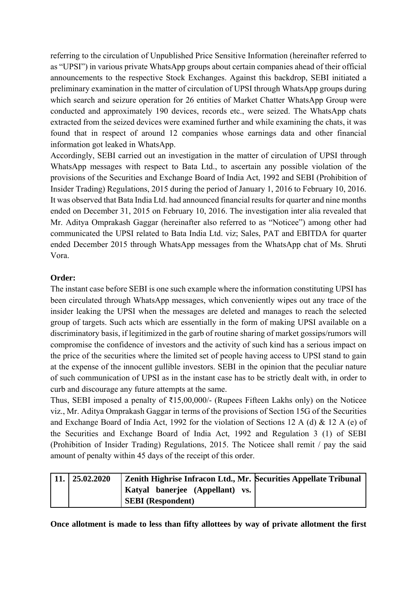referring to the circulation of Unpublished Price Sensitive Information (hereinafter referred to as "UPSI") in various private WhatsApp groups about certain companies ahead of their official announcements to the respective Stock Exchanges. Against this backdrop, SEBI initiated a preliminary examination in the matter of circulation of UPSI through WhatsApp groups during which search and seizure operation for 26 entities of Market Chatter WhatsApp Group were conducted and approximately 190 devices, records etc., were seized. The WhatsApp chats extracted from the seized devices were examined further and while examining the chats, it was found that in respect of around 12 companies whose earnings data and other financial information got leaked in WhatsApp.

Accordingly, SEBI carried out an investigation in the matter of circulation of UPSI through WhatsApp messages with respect to Bata Ltd., to ascertain any possible violation of the provisions of the Securities and Exchange Board of India Act, 1992 and SEBI (Prohibition of Insider Trading) Regulations, 2015 during the period of January 1, 2016 to February 10, 2016. It was observed that Bata India Ltd. had announced financial results for quarter and nine months ended on December 31, 2015 on February 10, 2016. The investigation inter alia revealed that Mr. Aditya Omprakash Gaggar (hereinafter also referred to as "Noticee") among other had communicated the UPSI related to Bata India Ltd. viz; Sales, PAT and EBITDA for quarter ended December 2015 through WhatsApp messages from the WhatsApp chat of Ms. Shruti Vora.

#### **Order:**

The instant case before SEBI is one such example where the information constituting UPSI has been circulated through WhatsApp messages, which conveniently wipes out any trace of the insider leaking the UPSI when the messages are deleted and manages to reach the selected group of targets. Such acts which are essentially in the form of making UPSI available on a discriminatory basis, if legitimized in the garb of routine sharing of market gossips/rumors will compromise the confidence of investors and the activity of such kind has a serious impact on the price of the securities where the limited set of people having access to UPSI stand to gain at the expense of the innocent gullible investors. SEBI in the opinion that the peculiar nature of such communication of UPSI as in the instant case has to be strictly dealt with, in order to curb and discourage any future attempts at the same.

Thus, SEBI imposed a penalty of ₹15,00,000/- (Rupees Fifteen Lakhs only) on the Noticee viz., Mr. Aditya Omprakash Gaggar in terms of the provisions of Section 15G of the Securities and Exchange Board of India Act, 1992 for the violation of Sections 12 A (d) & 12 A (e) of the Securities and Exchange Board of India Act, 1992 and Regulation 3 (1) of SEBI (Prohibition of Insider Trading) Regulations, 2015. The Noticee shall remit / pay the said amount of penalty within 45 days of the receipt of this order.

| 25.02.2020 | Zenith Highrise Infracon Ltd., Mr. Securities Appellate Tribunal |  |
|------------|------------------------------------------------------------------|--|
|            | Katyal banerjee (Appellant) vs.                                  |  |
|            | <b>SEBI</b> (Respondent)                                         |  |

**Once allotment is made to less than fifty allottees by way of private allotment the first**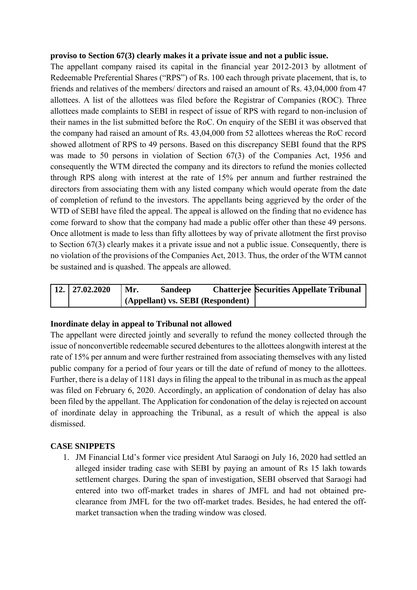#### **proviso to Section 67(3) clearly makes it a private issue and not a public issue.**

The appellant company raised its capital in the financial year 2012-2013 by allotment of Redeemable Preferential Shares ("RPS") of Rs. 100 each through private placement, that is, to friends and relatives of the members/ directors and raised an amount of Rs. 43,04,000 from 47 allottees. A list of the allottees was filed before the Registrar of Companies (ROC). Three allottees made complaints to SEBI in respect of issue of RPS with regard to non-inclusion of their names in the list submitted before the RoC. On enquiry of the SEBI it was observed that the company had raised an amount of Rs. 43,04,000 from 52 allottees whereas the RoC record showed allotment of RPS to 49 persons. Based on this discrepancy SEBI found that the RPS was made to 50 persons in violation of Section 67(3) of the Companies Act, 1956 and consequently the WTM directed the company and its directors to refund the monies collected through RPS along with interest at the rate of 15% per annum and further restrained the directors from associating them with any listed company which would operate from the date of completion of refund to the investors. The appellants being aggrieved by the order of the WTD of SEBI have filed the appeal. The appeal is allowed on the finding that no evidence has come forward to show that the company had made a public offer other than these 49 persons. Once allotment is made to less than fifty allottees by way of private allotment the first proviso to Section 67(3) clearly makes it a private issue and not a public issue. Consequently, there is no violation of the provisions of the Companies Act, 2013. Thus, the order of the WTM cannot be sustained and is quashed. The appeals are allowed.

| $12. \mid 27.02.2020$ | Mr. | <b>Sandeep</b>                    | <b>Chatterjee Securities Appellate Tribunal</b> |
|-----------------------|-----|-----------------------------------|-------------------------------------------------|
|                       |     | (Appellant) vs. SEBI (Respondent) |                                                 |

## **Inordinate delay in appeal to Tribunal not allowed**

The appellant were directed jointly and severally to refund the money collected through the issue of nonconvertible redeemable secured debentures to the allottees alongwith interest at the rate of 15% per annum and were further restrained from associating themselves with any listed public company for a period of four years or till the date of refund of money to the allottees. Further, there is a delay of 1181 days in filing the appeal to the tribunal in as much as the appeal was filed on February 6, 2020. Accordingly, an application of condonation of delay has also been filed by the appellant. The Application for condonation of the delay is rejected on account of inordinate delay in approaching the Tribunal, as a result of which the appeal is also dismissed.

## **CASE SNIPPETS**

1. JM Financial Ltd's former vice president Atul Saraogi on July 16, 2020 had settled an alleged insider trading case with SEBI by paying an amount of Rs 15 lakh towards settlement charges. During the span of investigation, SEBI observed that Saraogi had entered into two off-market trades in shares of JMFL and had not obtained preclearance from JMFL for the two off-market trades. Besides, he had entered the offmarket transaction when the trading window was closed.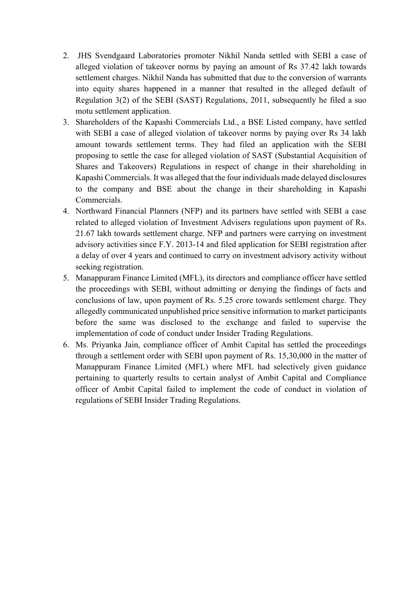- 2. JHS Svendgaard Laboratories promoter Nikhil Nanda settled with SEBI a case of alleged violation of takeover norms by paying an amount of Rs 37.42 lakh towards settlement charges. Nikhil Nanda has submitted that due to the conversion of warrants into equity shares happened in a manner that resulted in the alleged default of Regulation 3(2) of the SEBI (SAST) Regulations, 2011, subsequently he filed a suo motu settlement application.
- 3. Shareholders of the Kapashi Commercials Ltd., a BSE Listed company, have settled with SEBI a case of alleged violation of takeover norms by paying over Rs 34 lakh amount towards settlement terms. They had filed an application with the SEBI proposing to settle the case for alleged violation of SAST (Substantial Acquisition of Shares and Takeovers) Regulations in respect of change in their shareholding in Kapashi Commercials. It was alleged that the four individuals made delayed disclosures to the company and BSE about the change in their shareholding in Kapashi Commercials.
- 4. Northward Financial Planners (NFP) and its partners have settled with SEBI a case related to alleged violation of Investment Advisers regulations upon payment of Rs. 21.67 lakh towards settlement charge. NFP and partners were carrying on investment advisory activities since F.Y. 2013-14 and filed application for SEBI registration after a delay of over 4 years and continued to carry on investment advisory activity without seeking registration.
- 5. Manappuram Finance Limited (MFL), its directors and compliance officer have settled the proceedings with SEBI, without admitting or denying the findings of facts and conclusions of law, upon payment of Rs. 5.25 crore towards settlement charge. They allegedly communicated unpublished price sensitive information to market participants before the same was disclosed to the exchange and failed to supervise the implementation of code of conduct under Insider Trading Regulations.
- 6. Ms. Priyanka Jain, compliance officer of Ambit Capital has settled the proceedings through a settlement order with SEBI upon payment of Rs. 15,30,000 in the matter of Manappuram Finance Limited (MFL) where MFL had selectively given guidance pertaining to quarterly results to certain analyst of Ambit Capital and Compliance officer of Ambit Capital failed to implement the code of conduct in violation of regulations of SEBI Insider Trading Regulations.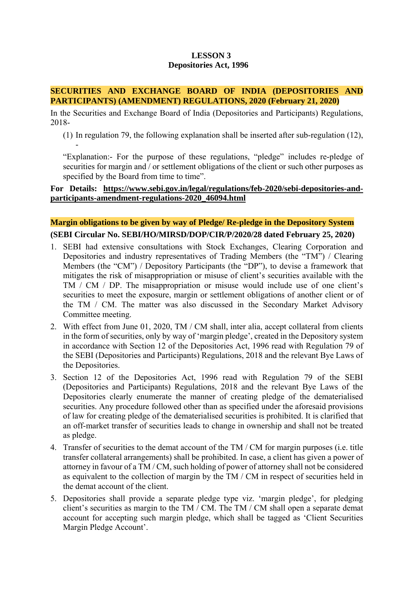#### **LESSON 3 Depositories Act, 1996**

#### **SECURITIES AND EXCHANGE BOARD OF INDIA (DEPOSITORIES AND PARTICIPANTS) (AMENDMENT) REGULATIONS, 2020 (February 21, 2020)**

In the Securities and Exchange Board of India (Depositories and Participants) Regulations, 2018-

-

(1) In regulation 79, the following explanation shall be inserted after sub-regulation (12),

"Explanation:- For the purpose of these regulations, "pledge" includes re-pledge of securities for margin and / or settlement obligations of the client or such other purposes as specified by the Board from time to time".

#### **For Details: https://www.sebi.gov.in/legal/regulations/feb-2020/sebi-depositories-andparticipants-amendment-regulations-2020\_46094.html**

## **Margin obligations to be given by way of Pledge/ Re-pledge in the Depository System (SEBI Circular No. SEBI/HO/MIRSD/DOP/CIR/P/2020/28 dated February 25, 2020)**

- 1. SEBI had extensive consultations with Stock Exchanges, Clearing Corporation and Depositories and industry representatives of Trading Members (the "TM") / Clearing Members (the "CM") / Depository Participants (the "DP"), to devise a framework that mitigates the risk of misappropriation or misuse of client's securities available with the TM / CM / DP. The misappropriation or misuse would include use of one client's securities to meet the exposure, margin or settlement obligations of another client or of the TM / CM. The matter was also discussed in the Secondary Market Advisory Committee meeting.
- 2. With effect from June 01, 2020, TM / CM shall, inter alia, accept collateral from clients in the form of securities, only by way of 'margin pledge', created in the Depository system in accordance with Section 12 of the Depositories Act, 1996 read with Regulation 79 of the SEBI (Depositories and Participants) Regulations, 2018 and the relevant Bye Laws of the Depositories.
- 3. Section 12 of the Depositories Act, 1996 read with Regulation 79 of the SEBI (Depositories and Participants) Regulations, 2018 and the relevant Bye Laws of the Depositories clearly enumerate the manner of creating pledge of the dematerialised securities. Any procedure followed other than as specified under the aforesaid provisions of law for creating pledge of the dematerialised securities is prohibited. It is clarified that an off-market transfer of securities leads to change in ownership and shall not be treated as pledge.
- 4. Transfer of securities to the demat account of the TM / CM for margin purposes (i.e. title transfer collateral arrangements) shall be prohibited. In case, a client has given a power of attorney in favour of a TM / CM, such holding of power of attorney shall not be considered as equivalent to the collection of margin by the TM / CM in respect of securities held in the demat account of the client.
- 5. Depositories shall provide a separate pledge type viz. 'margin pledge', for pledging client's securities as margin to the TM / CM. The TM / CM shall open a separate demat account for accepting such margin pledge, which shall be tagged as 'Client Securities Margin Pledge Account'.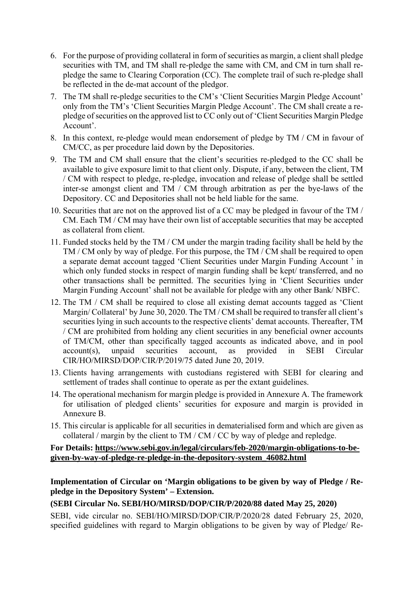- 6. For the purpose of providing collateral in form of securities as margin, a client shall pledge securities with TM, and TM shall re-pledge the same with CM, and CM in turn shall repledge the same to Clearing Corporation (CC). The complete trail of such re-pledge shall be reflected in the de-mat account of the pledgor.
- 7. The TM shall re-pledge securities to the CM's 'Client Securities Margin Pledge Account' only from the TM's 'Client Securities Margin Pledge Account'. The CM shall create a repledge of securities on the approved list to CC only out of 'Client Securities Margin Pledge Account'.
- 8. In this context, re-pledge would mean endorsement of pledge by TM / CM in favour of CM/CC, as per procedure laid down by the Depositories.
- 9. The TM and CM shall ensure that the client's securities re-pledged to the CC shall be available to give exposure limit to that client only. Dispute, if any, between the client, TM / CM with respect to pledge, re-pledge, invocation and release of pledge shall be settled inter-se amongst client and TM / CM through arbitration as per the bye-laws of the Depository. CC and Depositories shall not be held liable for the same.
- 10. Securities that are not on the approved list of a CC may be pledged in favour of the TM / CM. Each TM / CM may have their own list of acceptable securities that may be accepted as collateral from client.
- 11. Funded stocks held by the TM / CM under the margin trading facility shall be held by the TM / CM only by way of pledge. For this purpose, the TM / CM shall be required to open a separate demat account tagged 'Client Securities under Margin Funding Account ' in which only funded stocks in respect of margin funding shall be kept/ transferred, and no other transactions shall be permitted. The securities lying in 'Client Securities under Margin Funding Account' shall not be available for pledge with any other Bank/ NBFC.
- 12. The TM / CM shall be required to close all existing demat accounts tagged as 'Client Margin/ Collateral' by June 30, 2020. The TM / CM shall be required to transfer all client's securities lying in such accounts to the respective clients' demat accounts. Thereafter, TM / CM are prohibited from holding any client securities in any beneficial owner accounts of TM/CM, other than specifically tagged accounts as indicated above, and in pool account(s), unpaid securities account, as provided in SEBI Circular CIR/HO/MIRSD/DOP/CIR/P/2019/75 dated June 20, 2019.
- 13. Clients having arrangements with custodians registered with SEBI for clearing and settlement of trades shall continue to operate as per the extant guidelines.
- 14. The operational mechanism for margin pledge is provided in Annexure A. The framework for utilisation of pledged clients' securities for exposure and margin is provided in Annexure B.
- 15. This circular is applicable for all securities in dematerialised form and which are given as collateral / margin by the client to TM / CM / CC by way of pledge and repledge.

**For Details: https://www.sebi.gov.in/legal/circulars/feb-2020/margin-obligations-to-begiven-by-way-of-pledge-re-pledge-in-the-depository-system\_46082.html** 

**Implementation of Circular on 'Margin obligations to be given by way of Pledge / Repledge in the Depository System' – Extension.** 

#### **(SEBI Circular No. SEBI/HO/MIRSD/DOP/CIR/P/2020/88 dated May 25, 2020)**

SEBI, vide circular no. SEBI/HO/MIRSD/DOP/CIR/P/2020/28 dated February 25, 2020, specified guidelines with regard to Margin obligations to be given by way of Pledge/ Re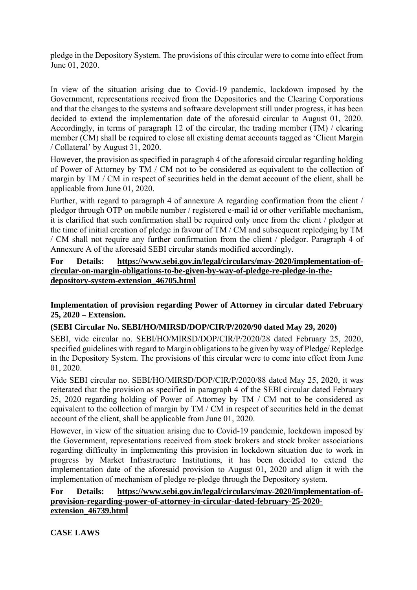pledge in the Depository System. The provisions of this circular were to come into effect from June 01, 2020.

In view of the situation arising due to Covid-19 pandemic, lockdown imposed by the Government, representations received from the Depositories and the Clearing Corporations and that the changes to the systems and software development still under progress, it has been decided to extend the implementation date of the aforesaid circular to August 01, 2020. Accordingly, in terms of paragraph 12 of the circular, the trading member (TM) / clearing member (CM) shall be required to close all existing demat accounts tagged as 'Client Margin / Collateral' by August 31, 2020.

However, the provision as specified in paragraph 4 of the aforesaid circular regarding holding of Power of Attorney by TM / CM not to be considered as equivalent to the collection of margin by TM / CM in respect of securities held in the demat account of the client, shall be applicable from June 01, 2020.

Further, with regard to paragraph 4 of annexure A regarding confirmation from the client / pledgor through OTP on mobile number / registered e-mail id or other verifiable mechanism, it is clarified that such confirmation shall be required only once from the client / pledgor at the time of initial creation of pledge in favour of TM / CM and subsequent repledging by TM / CM shall not require any further confirmation from the client / pledgor. Paragraph 4 of Annexure A of the aforesaid SEBI circular stands modified accordingly.

#### **For Details: https://www.sebi.gov.in/legal/circulars/may-2020/implementation-ofcircular-on-margin-obligations-to-be-given-by-way-of-pledge-re-pledge-in-thedepository-system-extension\_46705.html**

#### **Implementation of provision regarding Power of Attorney in circular dated February 25, 2020 – Extension.**

#### **(SEBI Circular No. SEBI/HO/MIRSD/DOP/CIR/P/2020/90 dated May 29, 2020)**

SEBI, vide circular no. SEBI/HO/MIRSD/DOP/CIR/P/2020/28 dated February 25, 2020, specified guidelines with regard to Margin obligations to be given by way of Pledge/ Repledge in the Depository System. The provisions of this circular were to come into effect from June 01, 2020.

Vide SEBI circular no. SEBI/HO/MIRSD/DOP/CIR/P/2020/88 dated May 25, 2020, it was reiterated that the provision as specified in paragraph 4 of the SEBI circular dated February 25, 2020 regarding holding of Power of Attorney by TM / CM not to be considered as equivalent to the collection of margin by TM / CM in respect of securities held in the demat account of the client, shall be applicable from June 01, 2020.

However, in view of the situation arising due to Covid-19 pandemic, lockdown imposed by the Government, representations received from stock brokers and stock broker associations regarding difficulty in implementing this provision in lockdown situation due to work in progress by Market Infrastructure Institutions, it has been decided to extend the implementation date of the aforesaid provision to August 01, 2020 and align it with the implementation of mechanism of pledge re-pledge through the Depository system.

#### **For Details: https://www.sebi.gov.in/legal/circulars/may-2020/implementation-ofprovision-regarding-power-of-attorney-in-circular-dated-february-25-2020 extension\_46739.html**

**CASE LAWS**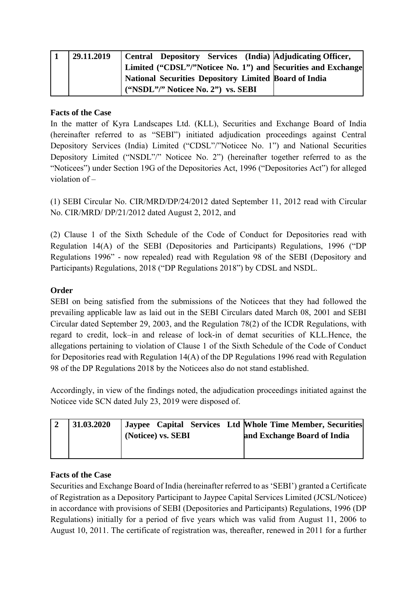| 29.11.2019 |                                    |  | Central Depository Services (India) Adjudicating Officer,    |
|------------|------------------------------------|--|--------------------------------------------------------------|
|            |                                    |  | Limited ("CDSL"/"Noticee No. 1") and Securities and Exchange |
|            |                                    |  | <b>National Securities Depository Limited Board of India</b> |
|            | ("NSDL"/" Noticee No. 2") vs. SEBI |  |                                                              |

#### **Facts of the Case**

In the matter of Kyra Landscapes Ltd. (KLL), Securities and Exchange Board of India (hereinafter referred to as "SEBI") initiated adjudication proceedings against Central Depository Services (India) Limited ("CDSL"/"Noticee No. 1") and National Securities Depository Limited ("NSDL"/" Noticee No. 2") (hereinafter together referred to as the "Noticees") under Section 19G of the Depositories Act, 1996 ("Depositories Act") for alleged violation of –

(1) SEBI Circular No. CIR/MRD/DP/24/2012 dated September 11, 2012 read with Circular No. CIR/MRD/ DP/21/2012 dated August 2, 2012, and

(2) Clause 1 of the Sixth Schedule of the Code of Conduct for Depositories read with Regulation 14(A) of the SEBI (Depositories and Participants) Regulations, 1996 ("DP Regulations 1996" - now repealed) read with Regulation 98 of the SEBI (Depository and Participants) Regulations, 2018 ("DP Regulations 2018") by CDSL and NSDL.

## **Order**

SEBI on being satisfied from the submissions of the Noticees that they had followed the prevailing applicable law as laid out in the SEBI Circulars dated March 08, 2001 and SEBI Circular dated September 29, 2003, and the Regulation 78(2) of the ICDR Regulations, with regard to credit, lock–in and release of lock-in of demat securities of KLL.Hence, the allegations pertaining to violation of Clause 1 of the Sixth Schedule of the Code of Conduct for Depositories read with Regulation 14(A) of the DP Regulations 1996 read with Regulation 98 of the DP Regulations 2018 by the Noticees also do not stand established.

Accordingly, in view of the findings noted, the adjudication proceedings initiated against the Noticee vide SCN dated July 23, 2019 were disposed of.

| 31.03.2020 | (Noticee) vs. SEBI | Jaypee Capital Services Ltd Whole Time Member, Securities<br>and Exchange Board of India |
|------------|--------------------|------------------------------------------------------------------------------------------|
|            |                    |                                                                                          |

#### **Facts of the Case**

Securities and Exchange Board of India (hereinafter referred to as 'SEBI') granted a Certificate of Registration as a Depository Participant to Jaypee Capital Services Limited (JCSL/Noticee) in accordance with provisions of SEBI (Depositories and Participants) Regulations, 1996 (DP Regulations) initially for a period of five years which was valid from August 11, 2006 to August 10, 2011. The certificate of registration was, thereafter, renewed in 2011 for a further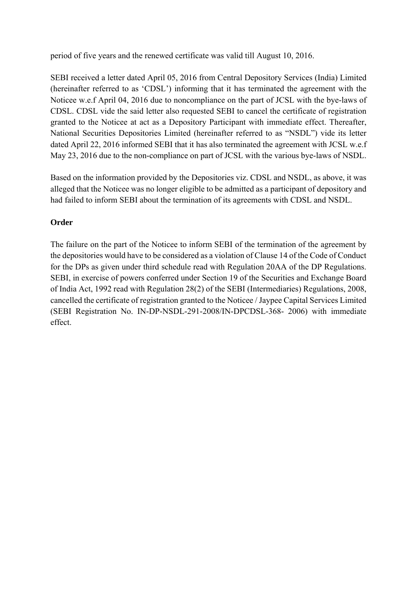period of five years and the renewed certificate was valid till August 10, 2016.

SEBI received a letter dated April 05, 2016 from Central Depository Services (India) Limited (hereinafter referred to as 'CDSL') informing that it has terminated the agreement with the Noticee w.e.f April 04, 2016 due to noncompliance on the part of JCSL with the bye-laws of CDSL. CDSL vide the said letter also requested SEBI to cancel the certificate of registration granted to the Noticee at act as a Depository Participant with immediate effect. Thereafter, National Securities Depositories Limited (hereinafter referred to as "NSDL") vide its letter dated April 22, 2016 informed SEBI that it has also terminated the agreement with JCSL w.e.f May 23, 2016 due to the non-compliance on part of JCSL with the various bye-laws of NSDL.

Based on the information provided by the Depositories viz. CDSL and NSDL, as above, it was alleged that the Noticee was no longer eligible to be admitted as a participant of depository and had failed to inform SEBI about the termination of its agreements with CDSL and NSDL.

## **Order**

The failure on the part of the Noticee to inform SEBI of the termination of the agreement by the depositories would have to be considered as a violation of Clause 14 of the Code of Conduct for the DPs as given under third schedule read with Regulation 20AA of the DP Regulations. SEBI, in exercise of powers conferred under Section 19 of the Securities and Exchange Board of India Act, 1992 read with Regulation 28(2) of the SEBI (Intermediaries) Regulations, 2008, cancelled the certificate of registration granted to the Noticee / Jaypee Capital Services Limited (SEBI Registration No. IN-DP-NSDL-291-2008/IN-DPCDSL-368- 2006) with immediate effect.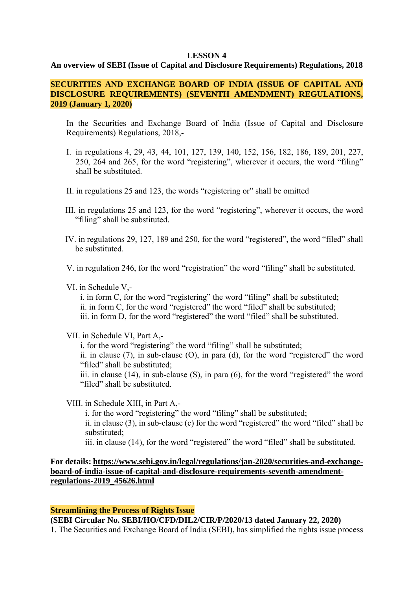#### **LESSON 4**

#### **An overview of SEBI (Issue of Capital and Disclosure Requirements) Regulations, 2018**

#### **SECURITIES AND EXCHANGE BOARD OF INDIA (ISSUE OF CAPITAL AND DISCLOSURE REQUIREMENTS) (SEVENTH AMENDMENT) REGULATIONS, 2019 (January 1, 2020)**

In the Securities and Exchange Board of India (Issue of Capital and Disclosure Requirements) Regulations, 2018,-

- I. in regulations 4, 29, 43, 44, 101, 127, 139, 140, 152, 156, 182, 186, 189, 201, 227, 250, 264 and 265, for the word "registering", wherever it occurs, the word "filing" shall be substituted.
- II. in regulations 25 and 123, the words "registering or" shall be omitted
- III. in regulations 25 and 123, for the word "registering", wherever it occurs, the word "filing" shall be substituted.
- IV. in regulations 29, 127, 189 and 250, for the word "registered", the word "filed" shall be substituted.

V. in regulation 246, for the word "registration" the word "filing" shall be substituted.

#### VI. in Schedule V,-

i. in form C, for the word "registering" the word "filing" shall be substituted; ii. in form C, for the word "registered" the word "filed" shall be substituted; iii. in form D, for the word "registered" the word "filed" shall be substituted.

#### VII. in Schedule VI, Part A,-

i. for the word "registering" the word "filing" shall be substituted;

ii. in clause (7), in sub-clause (O), in para (d), for the word "registered" the word "filed" shall be substituted;

iii. in clause (14), in sub-clause (S), in para (6), for the word "registered" the word "filed" shall be substituted.

VIII. in Schedule XIII, in Part A,-

i. for the word "registering" the word "filing" shall be substituted;

ii. in clause (3), in sub-clause (c) for the word "registered" the word "filed" shall be substituted;

iii. in clause (14), for the word "registered" the word "filed" shall be substituted.

#### **For details: https://www.sebi.gov.in/legal/regulations/jan-2020/securities-and-exchangeboard-of-india-issue-of-capital-and-disclosure-requirements-seventh-amendmentregulations-2019\_45626.html**

#### **Streamlining the Process of Rights Issue**

**(SEBI Circular No. SEBI/HO/CFD/DIL2/CIR/P/2020/13 dated January 22, 2020)** 

1. The Securities and Exchange Board of India (SEBI), has simplified the rights issue process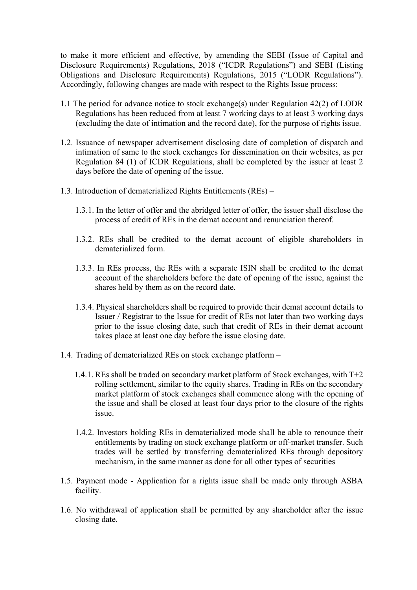to make it more efficient and effective, by amending the SEBI (Issue of Capital and Disclosure Requirements) Regulations, 2018 ("ICDR Regulations") and SEBI (Listing Obligations and Disclosure Requirements) Regulations, 2015 ("LODR Regulations"). Accordingly, following changes are made with respect to the Rights Issue process:

- 1.1 The period for advance notice to stock exchange(s) under Regulation 42(2) of LODR Regulations has been reduced from at least 7 working days to at least 3 working days (excluding the date of intimation and the record date), for the purpose of rights issue.
- 1.2. Issuance of newspaper advertisement disclosing date of completion of dispatch and intimation of same to the stock exchanges for dissemination on their websites, as per Regulation 84 (1) of ICDR Regulations, shall be completed by the issuer at least 2 days before the date of opening of the issue.
- 1.3. Introduction of dematerialized Rights Entitlements (REs)
	- 1.3.1. In the letter of offer and the abridged letter of offer, the issuer shall disclose the process of credit of REs in the demat account and renunciation thereof.
	- 1.3.2. REs shall be credited to the demat account of eligible shareholders in dematerialized form.
	- 1.3.3. In REs process, the REs with a separate ISIN shall be credited to the demat account of the shareholders before the date of opening of the issue, against the shares held by them as on the record date.
	- 1.3.4. Physical shareholders shall be required to provide their demat account details to Issuer / Registrar to the Issue for credit of REs not later than two working days prior to the issue closing date, such that credit of REs in their demat account takes place at least one day before the issue closing date.
- 1.4. Trading of dematerialized REs on stock exchange platform
	- 1.4.1. REs shall be traded on secondary market platform of Stock exchanges, with T+2 rolling settlement, similar to the equity shares. Trading in REs on the secondary market platform of stock exchanges shall commence along with the opening of the issue and shall be closed at least four days prior to the closure of the rights issue.
	- 1.4.2. Investors holding REs in dematerialized mode shall be able to renounce their entitlements by trading on stock exchange platform or off-market transfer. Such trades will be settled by transferring dematerialized REs through depository mechanism, in the same manner as done for all other types of securities
- 1.5. Payment mode Application for a rights issue shall be made only through ASBA facility.
- 1.6. No withdrawal of application shall be permitted by any shareholder after the issue closing date.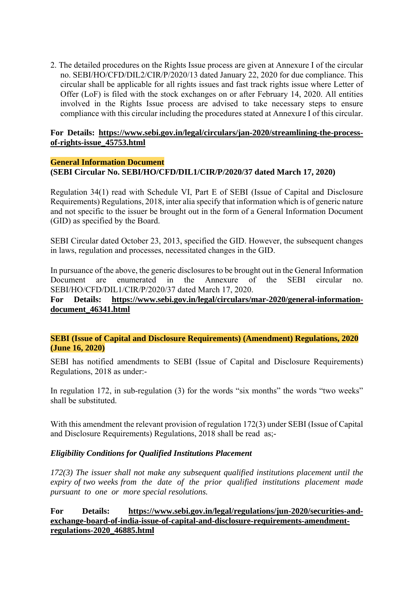2. The detailed procedures on the Rights Issue process are given at Annexure I of the circular no. SEBI/HO/CFD/DIL2/CIR/P/2020/13 dated January 22, 2020 for due compliance. This circular shall be applicable for all rights issues and fast track rights issue where Letter of Offer (LoF) is filed with the stock exchanges on or after February 14, 2020. All entities involved in the Rights Issue process are advised to take necessary steps to ensure compliance with this circular including the procedures stated at Annexure I of this circular.

#### **For Details: https://www.sebi.gov.in/legal/circulars/jan-2020/streamlining-the-processof-rights-issue\_45753.html**

#### **General Information Document (SEBI Circular No. SEBI/HO/CFD/DIL1/CIR/P/2020/37 dated March 17, 2020)**

Regulation 34(1) read with Schedule VI, Part E of SEBI (Issue of Capital and Disclosure Requirements) Regulations, 2018, inter alia specify that information which is of generic nature and not specific to the issuer be brought out in the form of a General Information Document (GID) as specified by the Board.

SEBI Circular dated October 23, 2013, specified the GID. However, the subsequent changes in laws, regulation and processes, necessitated changes in the GID.

In pursuance of the above, the generic disclosures to be brought out in the General Information Document are enumerated in the Annexure of the SEBI circular no. SEBI/HO/CFD/DIL1/CIR/P/2020/37 dated March 17, 2020.

**For Details: https://www.sebi.gov.in/legal/circulars/mar-2020/general-informationdocument\_46341.html** 

**SEBI (Issue of Capital and Disclosure Requirements) (Amendment) Regulations, 2020 (June 16, 2020)** 

SEBI has notified amendments to SEBI (Issue of Capital and Disclosure Requirements) Regulations, 2018 as under:-

In regulation 172, in sub-regulation (3) for the words "six months" the words "two weeks" shall be substituted.

With this amendment the relevant provision of regulation 172(3) under SEBI (Issue of Capital and Disclosure Requirements) Regulations, 2018 shall be read as;-

#### *Eligibility Conditions for Qualified Institutions Placement*

*172(3) The issuer shall not make any subsequent qualified institutions placement until the expiry of two weeks from the date of the prior qualified institutions placement made pursuant to one or more special resolutions.* 

**For Details: https://www.sebi.gov.in/legal/regulations/jun-2020/securities-andexchange-board-of-india-issue-of-capital-and-disclosure-requirements-amendmentregulations-2020\_46885.html**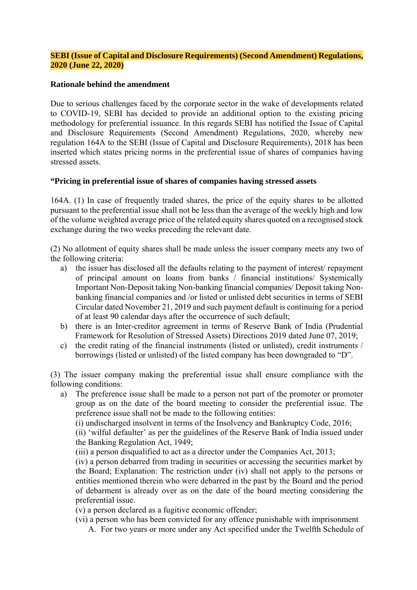#### **SEBI (Issue of Capital and Disclosure Requirements) (Second Amendment) Regulations, 2020 (June 22, 2020)**

#### **Rationale behind the amendment**

Due to serious challenges faced by the corporate sector in the wake of developments related to COVID-19, SEBI has decided to provide an additional option to the existing pricing methodology for preferential issuance. In this regards SEBI has notified the Issue of Capital and Disclosure Requirements (Second Amendment) Regulations, 2020, whereby new regulation 164A to the SEBI (Issue of Capital and Disclosure Requirements), 2018 has been inserted which states pricing norms in the preferential issue of shares of companies having stressed assets.

#### **"Pricing in preferential issue of shares of companies having stressed assets**

164A. (1) In case of frequently traded shares, the price of the equity shares to be allotted pursuant to the preferential issue shall not be less than the average of the weekly high and low of the volume weighted average price of the related equity shares quoted on a recognised stock exchange during the two weeks preceding the relevant date.

(2) No allotment of equity shares shall be made unless the issuer company meets any two of the following criteria:

- a) the issuer has disclosed all the defaults relating to the payment of interest/ repayment of principal amount on loans from banks / financial institutions/ Systemically Important Non-Deposit taking Non-banking financial companies/ Deposit taking Nonbanking financial companies and /or listed or unlisted debt securities in terms of SEBI Circular dated November 21, 2019 and such payment default is continuing for a period of at least 90 calendar days after the occurrence of such default;
- b) there is an Inter-creditor agreement in terms of Reserve Bank of India (Prudential Framework for Resolution of Stressed Assets) Directions 2019 dated June 07, 2019;
- c) the credit rating of the financial instruments (listed or unlisted), credit instruments / borrowings (listed or unlisted) of the listed company has been downgraded to "D".

(3) The issuer company making the preferential issue shall ensure compliance with the following conditions:

a) The preference issue shall be made to a person not part of the promoter or promoter group as on the date of the board meeting to consider the preferential issue. The preference issue shall not be made to the following entities:

(i) undischarged insolvent in terms of the Insolvency and Bankruptcy Code, 2016;

(ii) 'wilful defaulter' as per the guidelines of the Reserve Bank of India issued under the Banking Regulation Act, 1949;

(iii) a person disqualified to act as a director under the Companies Act, 2013;

(iv) a person debarred from trading in securities or accessing the securities market by the Board; Explanation: The restriction under (iv) shall not apply to the persons or entities mentioned therein who were debarred in the past by the Board and the period of debarment is already over as on the date of the board meeting considering the preferential issue.

(v) a person declared as a fugitive economic offender;

- (vi) a person who has been convicted for any offence punishable with imprisonment
	- A. For two years or more under any Act specified under the Twelfth Schedule of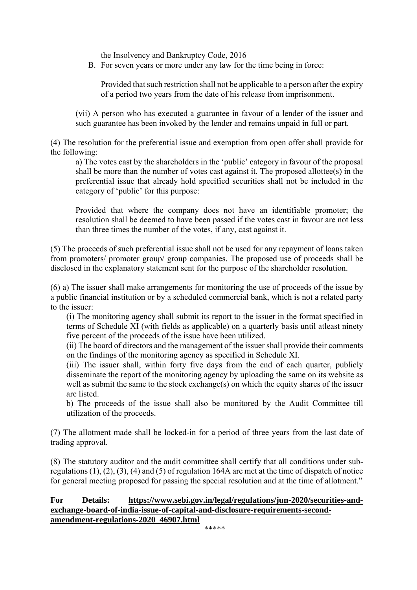the Insolvency and Bankruptcy Code, 2016

B. For seven years or more under any law for the time being in force:

Provided that such restriction shall not be applicable to a person after the expiry of a period two years from the date of his release from imprisonment.

(vii) A person who has executed a guarantee in favour of a lender of the issuer and such guarantee has been invoked by the lender and remains unpaid in full or part.

(4) The resolution for the preferential issue and exemption from open offer shall provide for the following:

a) The votes cast by the shareholders in the 'public' category in favour of the proposal shall be more than the number of votes cast against it. The proposed allottee(s) in the preferential issue that already hold specified securities shall not be included in the category of 'public' for this purpose:

Provided that where the company does not have an identifiable promoter; the resolution shall be deemed to have been passed if the votes cast in favour are not less than three times the number of the votes, if any, cast against it.

(5) The proceeds of such preferential issue shall not be used for any repayment of loans taken from promoters/ promoter group/ group companies. The proposed use of proceeds shall be disclosed in the explanatory statement sent for the purpose of the shareholder resolution.

(6) a) The issuer shall make arrangements for monitoring the use of proceeds of the issue by a public financial institution or by a scheduled commercial bank, which is not a related party to the issuer:

(i) The monitoring agency shall submit its report to the issuer in the format specified in terms of Schedule XI (with fields as applicable) on a quarterly basis until atleast ninety five percent of the proceeds of the issue have been utilized.

(ii) The board of directors and the management of the issuer shall provide their comments on the findings of the monitoring agency as specified in Schedule XI.

(iii) The issuer shall, within forty five days from the end of each quarter, publicly disseminate the report of the monitoring agency by uploading the same on its website as well as submit the same to the stock exchange(s) on which the equity shares of the issuer are listed.

b) The proceeds of the issue shall also be monitored by the Audit Committee till utilization of the proceeds.

(7) The allotment made shall be locked-in for a period of three years from the last date of trading approval.

(8) The statutory auditor and the audit committee shall certify that all conditions under subregulations (1), (2), (3), (4) and (5) of regulation 164A are met at the time of dispatch of notice for general meeting proposed for passing the special resolution and at the time of allotment."

## **For Details: https://www.sebi.gov.in/legal/regulations/jun-2020/securities-andexchange-board-of-india-issue-of-capital-and-disclosure-requirements-secondamendment-regulations-2020\_46907.html**

\*\*\*\*\*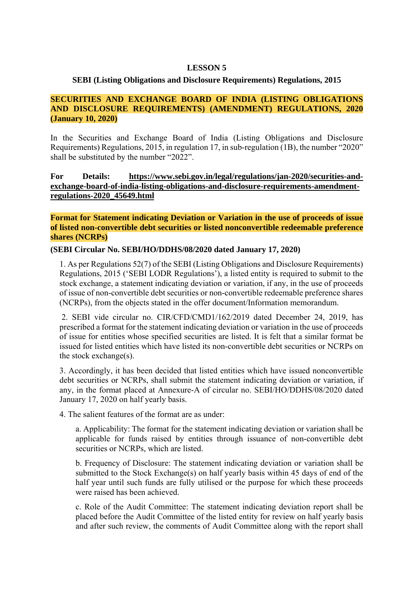#### **LESSON 5**

#### **SEBI (Listing Obligations and Disclosure Requirements) Regulations, 2015**

#### **SECURITIES AND EXCHANGE BOARD OF INDIA (LISTING OBLIGATIONS AND DISCLOSURE REQUIREMENTS) (AMENDMENT) REGULATIONS, 2020 (January 10, 2020)**

In the Securities and Exchange Board of India (Listing Obligations and Disclosure Requirements) Regulations, 2015, in regulation 17, in sub-regulation (1B), the number "2020" shall be substituted by the number "2022".

**For Details: https://www.sebi.gov.in/legal/regulations/jan-2020/securities-andexchange-board-of-india-listing-obligations-and-disclosure-requirements-amendmentregulations-2020\_45649.html** 

#### **Format for Statement indicating Deviation or Variation in the use of proceeds of issue of listed non-convertible debt securities or listed nonconvertible redeemable preference shares (NCRPs)**

#### **(SEBI Circular No. SEBI/HO/DDHS/08/2020 dated January 17, 2020)**

1. As per Regulations 52(7) of the SEBI (Listing Obligations and Disclosure Requirements) Regulations, 2015 ('SEBI LODR Regulations'), a listed entity is required to submit to the stock exchange, a statement indicating deviation or variation, if any, in the use of proceeds of issue of non-convertible debt securities or non-convertible redeemable preference shares (NCRPs), from the objects stated in the offer document/Information memorandum.

 2. SEBI vide circular no. CIR/CFD/CMD1/162/2019 dated December 24, 2019, has prescribed a format for the statement indicating deviation or variation in the use of proceeds of issue for entities whose specified securities are listed. It is felt that a similar format be issued for listed entities which have listed its non-convertible debt securities or NCRPs on the stock exchange(s).

3. Accordingly, it has been decided that listed entities which have issued nonconvertible debt securities or NCRPs, shall submit the statement indicating deviation or variation, if any, in the format placed at Annexure-A of circular no. SEBI/HO/DDHS/08/2020 dated January 17, 2020 on half yearly basis.

4. The salient features of the format are as under:

a. Applicability: The format for the statement indicating deviation or variation shall be applicable for funds raised by entities through issuance of non-convertible debt securities or NCRPs, which are listed.

b. Frequency of Disclosure: The statement indicating deviation or variation shall be submitted to the Stock Exchange(s) on half yearly basis within 45 days of end of the half year until such funds are fully utilised or the purpose for which these proceeds were raised has been achieved.

c. Role of the Audit Committee: The statement indicating deviation report shall be placed before the Audit Committee of the listed entity for review on half yearly basis and after such review, the comments of Audit Committee along with the report shall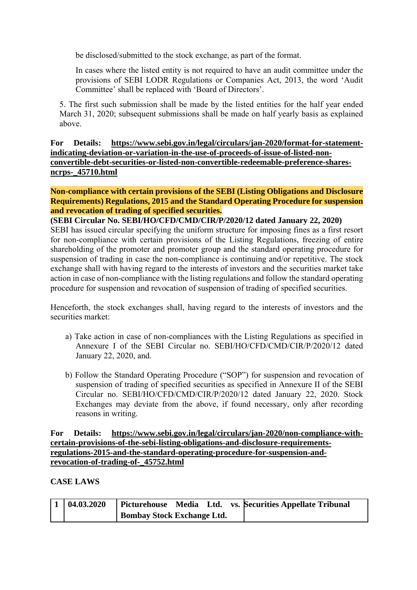be disclosed/submitted to the stock exchange, as part of the format.

In cases where the listed entity is not required to have an audit committee under the provisions of SEBI LODR Regulations or Companies Act, 2013, the word 'Audit Committee' shall be replaced with 'Board of Directors'.

5. The first such submission shall be made by the listed entities for the half year ended March 31, 2020; subsequent submissions shall be made on half yearly basis as explained above.

**For Details: https://www.sebi.gov.in/legal/circulars/jan-2020/format-for-statementindicating-deviation-or-variation-in-the-use-of-proceeds-of-issue-of-listed-nonconvertible-debt-securities-or-listed-non-convertible-redeemable-preference-sharesncrps-\_45710.html** 

**Non-compliance with certain provisions of the SEBI (Listing Obligations and Disclosure Requirements) Regulations, 2015 and the Standard Operating Procedure for suspension and revocation of trading of specified securities.** 

**(SEBI Circular No. SEBI/HO/CFD/CMD/CIR/P/2020/12 dated January 22, 2020)**  SEBI has issued circular specifying the uniform structure for imposing fines as a first resort for non-compliance with certain provisions of the Listing Regulations, freezing of entire shareholding of the promoter and promoter group and the standard operating procedure for suspension of trading in case the non-compliance is continuing and/or repetitive. The stock exchange shall with having regard to the interests of investors and the securities market take action in case of non-compliance with the listing regulations and follow the standard operating procedure for suspension and revocation of suspension of trading of specified securities.

Henceforth, the stock exchanges shall, having regard to the interests of investors and the securities market:

- a) Take action in case of non-compliances with the Listing Regulations as specified in Annexure I of the SEBI Circular no. SEBI/HO/CFD/CMD/CIR/P/2020/12 dated January 22, 2020, and.
- b) Follow the Standard Operating Procedure ("SOP") for suspension and revocation of suspension of trading of specified securities as specified in Annexure II of the SEBI Circular no. SEBI/HO/CFD/CMD/CIR/P/2020/12 dated January 22, 2020. Stock Exchanges may deviate from the above, if found necessary, only after recording reasons in writing.

#### **For Details: https://www.sebi.gov.in/legal/circulars/jan-2020/non-compliance-withcertain-provisions-of-the-sebi-listing-obligations-and-disclosure-requirementsregulations-2015-and-the-standard-operating-procedure-for-suspension-andrevocation-of-trading-of-\_45752.html**

#### **CASE LAWS**

| 04.03.2020 | Picturehouse Media Ltd.           |  | vs. Securities Appellate Tribunal |
|------------|-----------------------------------|--|-----------------------------------|
|            | <b>Bombay Stock Exchange Ltd.</b> |  |                                   |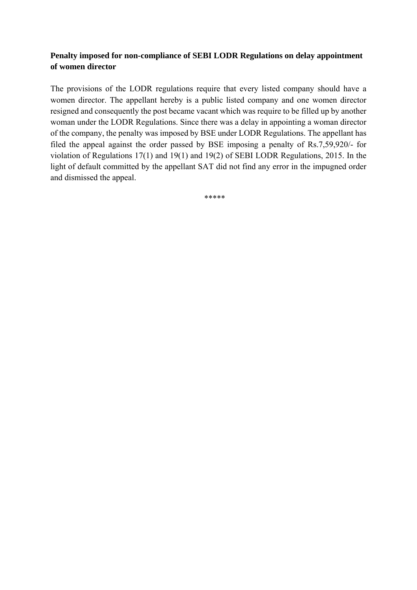## **Penalty imposed for non-compliance of SEBI LODR Regulations on delay appointment of women director**

The provisions of the LODR regulations require that every listed company should have a women director. The appellant hereby is a public listed company and one women director resigned and consequently the post became vacant which was require to be filled up by another woman under the LODR Regulations. Since there was a delay in appointing a woman director of the company, the penalty was imposed by BSE under LODR Regulations. The appellant has filed the appeal against the order passed by BSE imposing a penalty of Rs.7,59,920/- for violation of Regulations 17(1) and 19(1) and 19(2) of SEBI LODR Regulations, 2015. In the light of default committed by the appellant SAT did not find any error in the impugned order and dismissed the appeal.

\*\*\*\*\*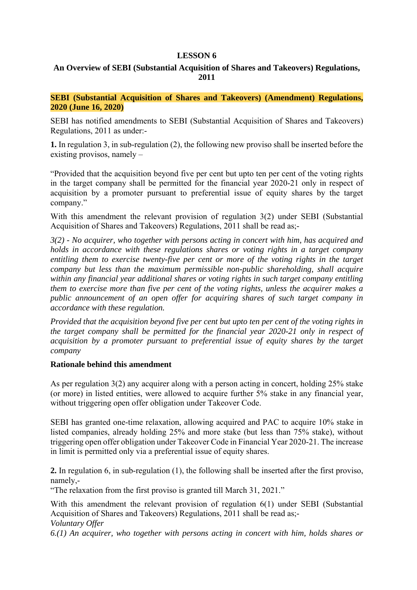#### **LESSON 6**

## **An Overview of SEBI (Substantial Acquisition of Shares and Takeovers) Regulations, 2011**

**SEBI (Substantial Acquisition of Shares and Takeovers) (Amendment) Regulations, 2020 (June 16, 2020)** 

SEBI has notified amendments to SEBI (Substantial Acquisition of Shares and Takeovers) Regulations, 2011 as under:-

**1.** In regulation 3, in sub-regulation (2), the following new proviso shall be inserted before the existing provisos, namely –

"Provided that the acquisition beyond five per cent but upto ten per cent of the voting rights in the target company shall be permitted for the financial year 2020-21 only in respect of acquisition by a promoter pursuant to preferential issue of equity shares by the target company."

With this amendment the relevant provision of regulation 3(2) under SEBI (Substantial Acquisition of Shares and Takeovers) Regulations, 2011 shall be read as;-

*3(2) - No acquirer, who together with persons acting in concert with him, has acquired and holds in accordance with these regulations shares or voting rights in a target company entitling them to exercise twenty-five per cent or more of the voting rights in the target company but less than the maximum permissible non-public shareholding, shall acquire within any financial year additional shares or voting rights in such target company entitling them to exercise more than five per cent of the voting rights, unless the acquirer makes a public announcement of an open offer for acquiring shares of such target company in accordance with these regulation.* 

*Provided that the acquisition beyond five per cent but upto ten per cent of the voting rights in the target company shall be permitted for the financial year 2020-21 only in respect of acquisition by a promoter pursuant to preferential issue of equity shares by the target company* 

#### **Rationale behind this amendment**

As per regulation 3(2) any acquirer along with a person acting in concert, holding 25% stake (or more) in listed entities, were allowed to acquire further 5% stake in any financial year, without triggering open offer obligation under Takeover Code.

SEBI has granted one-time relaxation, allowing acquired and PAC to acquire 10% stake in listed companies, already holding 25% and more stake (but less than 75% stake), without triggering open offer obligation under Takeover Code in Financial Year 2020-21. The increase in limit is permitted only via a preferential issue of equity shares.

**2.** In regulation 6, in sub-regulation (1), the following shall be inserted after the first proviso, namely,-

"The relaxation from the first proviso is granted till March 31, 2021."

With this amendment the relevant provision of regulation 6(1) under SEBI (Substantial Acquisition of Shares and Takeovers) Regulations, 2011 shall be read as;- *Voluntary Offer* 

*6.(1) An acquirer, who together with persons acting in concert with him, holds shares or*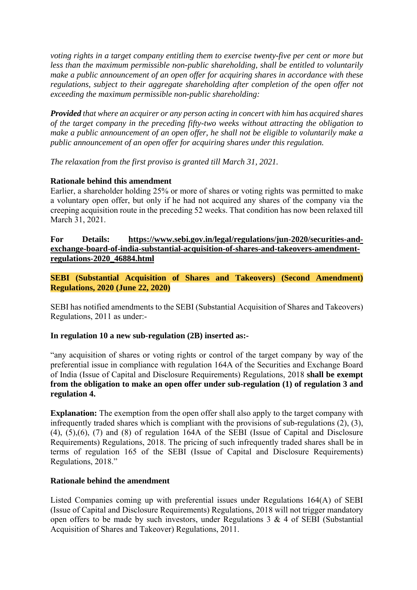*voting rights in a target company entitling them to exercise twenty-five per cent or more but less than the maximum permissible non-public shareholding, shall be entitled to voluntarily make a public announcement of an open offer for acquiring shares in accordance with these regulations, subject to their aggregate shareholding after completion of the open offer not exceeding the maximum permissible non-public shareholding:* 

*Provided that where an acquirer or any person acting in concert with him has acquired shares of the target company in the preceding fifty-two weeks without attracting the obligation to make a public announcement of an open offer, he shall not be eligible to voluntarily make a public announcement of an open offer for acquiring shares under this regulation.* 

*The relaxation from the first proviso is granted till March 31, 2021.* 

#### **Rationale behind this amendment**

Earlier, a shareholder holding 25% or more of shares or voting rights was permitted to make a voluntary open offer, but only if he had not acquired any shares of the company via the creeping acquisition route in the preceding 52 weeks. That condition has now been relaxed till March 31, 2021.

#### **For Details: https://www.sebi.gov.in/legal/regulations/jun-2020/securities-andexchange-board-of-india-substantial-acquisition-of-shares-and-takeovers-amendmentregulations-2020\_46884.html**

**SEBI (Substantial Acquisition of Shares and Takeovers) (Second Amendment) Regulations, 2020 (June 22, 2020)** 

SEBI has notified amendments to the SEBI (Substantial Acquisition of Shares and Takeovers) Regulations, 2011 as under:-

#### **In regulation 10 a new sub-regulation (2B) inserted as:-**

"any acquisition of shares or voting rights or control of the target company by way of the preferential issue in compliance with regulation 164A of the Securities and Exchange Board of India (Issue of Capital and Disclosure Requirements) Regulations, 2018 **shall be exempt from the obligation to make an open offer under sub-regulation (1) of regulation 3 and regulation 4.**

**Explanation:** The exemption from the open offer shall also apply to the target company with infrequently traded shares which is compliant with the provisions of sub-regulations (2), (3), (4), (5),(6), (7) and (8) of regulation 164A of the SEBI (Issue of Capital and Disclosure Requirements) Regulations, 2018. The pricing of such infrequently traded shares shall be in terms of regulation 165 of the SEBI (Issue of Capital and Disclosure Requirements) Regulations, 2018."

#### **Rationale behind the amendment**

Listed Companies coming up with preferential issues under Regulations 164(A) of SEBI (Issue of Capital and Disclosure Requirements) Regulations, 2018 will not trigger mandatory open offers to be made by such investors, under Regulations  $3 \& 4$  of SEBI (Substantial Acquisition of Shares and Takeover) Regulations, 2011.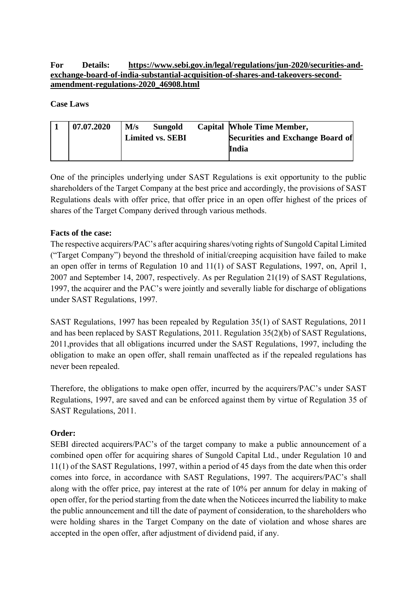**For Details: https://www.sebi.gov.in/legal/regulations/jun-2020/securities-andexchange-board-of-india-substantial-acquisition-of-shares-and-takeovers-secondamendment-regulations-2020\_46908.html** 

**Case Laws** 

| 07.07.2020 | M/s<br>Sungold          |  | <b>Capital Whole Time Member,</b>       |
|------------|-------------------------|--|-----------------------------------------|
|            | <b>Limited vs. SEBI</b> |  | <b>Securities and Exchange Board of</b> |
|            |                         |  | India                                   |
|            |                         |  |                                         |

One of the principles underlying under SAST Regulations is exit opportunity to the public shareholders of the Target Company at the best price and accordingly, the provisions of SAST Regulations deals with offer price, that offer price in an open offer highest of the prices of shares of the Target Company derived through various methods.

### **Facts of the case:**

The respective acquirers/PAC's after acquiring shares/voting rights of Sungold Capital Limited ("Target Company") beyond the threshold of initial/creeping acquisition have failed to make an open offer in terms of Regulation 10 and 11(1) of SAST Regulations, 1997, on, April 1, 2007 and September 14, 2007, respectively. As per Regulation 21(19) of SAST Regulations, 1997, the acquirer and the PAC's were jointly and severally liable for discharge of obligations under SAST Regulations, 1997.

SAST Regulations, 1997 has been repealed by Regulation 35(1) of SAST Regulations, 2011 and has been replaced by SAST Regulations, 2011. Regulation 35(2)(b) of SAST Regulations, 2011,provides that all obligations incurred under the SAST Regulations, 1997, including the obligation to make an open offer, shall remain unaffected as if the repealed regulations has never been repealed.

Therefore, the obligations to make open offer, incurred by the acquirers/PAC's under SAST Regulations, 1997, are saved and can be enforced against them by virtue of Regulation 35 of SAST Regulations, 2011.

## **Order:**

SEBI directed acquirers/PAC's of the target company to make a public announcement of a combined open offer for acquiring shares of Sungold Capital Ltd., under Regulation 10 and 11(1) of the SAST Regulations, 1997, within a period of 45 days from the date when this order comes into force, in accordance with SAST Regulations, 1997. The acquirers/PAC's shall along with the offer price, pay interest at the rate of 10% per annum for delay in making of open offer, for the period starting from the date when the Noticees incurred the liability to make the public announcement and till the date of payment of consideration, to the shareholders who were holding shares in the Target Company on the date of violation and whose shares are accepted in the open offer, after adjustment of dividend paid, if any.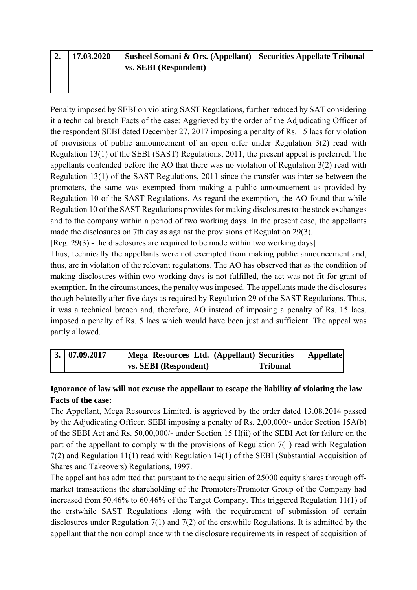| 17.03.2020 | Susheel Somani & Ors. (Appellant) Securities Appellate Tribunal |  |
|------------|-----------------------------------------------------------------|--|
|            | vs. SEBI (Respondent)                                           |  |
|            |                                                                 |  |

Penalty imposed by SEBI on violating SAST Regulations, further reduced by SAT considering it a technical breach Facts of the case: Aggrieved by the order of the Adjudicating Officer of the respondent SEBI dated December 27, 2017 imposing a penalty of Rs. 15 lacs for violation of provisions of public announcement of an open offer under Regulation 3(2) read with Regulation 13(1) of the SEBI (SAST) Regulations, 2011, the present appeal is preferred. The appellants contended before the AO that there was no violation of Regulation 3(2) read with Regulation 13(1) of the SAST Regulations, 2011 since the transfer was inter se between the promoters, the same was exempted from making a public announcement as provided by Regulation 10 of the SAST Regulations. As regard the exemption, the AO found that while Regulation 10 of the SAST Regulations provides for making disclosures to the stock exchanges and to the company within a period of two working days. In the present case, the appellants made the disclosures on 7th day as against the provisions of Regulation 29(3).

[Reg. 29(3) - the disclosures are required to be made within two working days]

Thus, technically the appellants were not exempted from making public announcement and, thus, are in violation of the relevant regulations. The AO has observed that as the condition of making disclosures within two working days is not fulfilled, the act was not fit for grant of exemption. In the circumstances, the penalty was imposed. The appellants made the disclosures though belatedly after five days as required by Regulation 29 of the SAST Regulations. Thus, it was a technical breach and, therefore, AO instead of imposing a penalty of Rs. 15 lacs, imposed a penalty of Rs. 5 lacs which would have been just and sufficient. The appeal was partly allowed.

| 3.   07.09.2017 | Mega Resources Ltd. (Appellant) Securities | <b>Appellate</b> |
|-----------------|--------------------------------------------|------------------|
|                 | vs. SEBI (Respondent)                      | <b>Tribunal</b>  |

## **Ignorance of law will not excuse the appellant to escape the liability of violating the law Facts of the case:**

The Appellant, Mega Resources Limited, is aggrieved by the order dated 13.08.2014 passed by the Adjudicating Officer, SEBI imposing a penalty of Rs. 2,00,000/- under Section 15A(b) of the SEBI Act and Rs. 50,00,000/- under Section 15 H(ii) of the SEBI Act for failure on the part of the appellant to comply with the provisions of Regulation 7(1) read with Regulation 7(2) and Regulation 11(1) read with Regulation 14(1) of the SEBI (Substantial Acquisition of Shares and Takeovers) Regulations, 1997.

The appellant has admitted that pursuant to the acquisition of 25000 equity shares through offmarket transactions the shareholding of the Promoters/Promoter Group of the Company had increased from 50.46% to 60.46% of the Target Company. This triggered Regulation 11(1) of the erstwhile SAST Regulations along with the requirement of submission of certain disclosures under Regulation 7(1) and 7(2) of the erstwhile Regulations. It is admitted by the appellant that the non compliance with the disclosure requirements in respect of acquisition of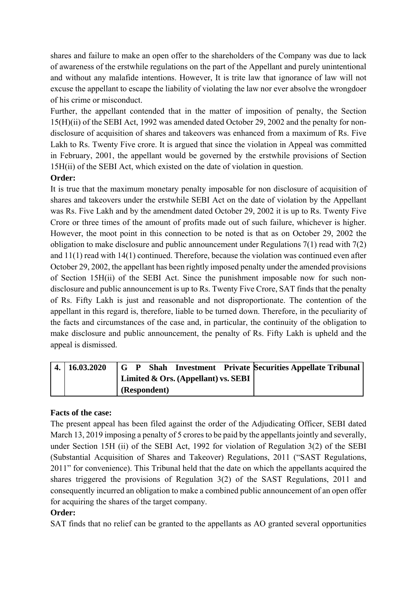shares and failure to make an open offer to the shareholders of the Company was due to lack of awareness of the erstwhile regulations on the part of the Appellant and purely unintentional and without any malafide intentions. However, It is trite law that ignorance of law will not excuse the appellant to escape the liability of violating the law nor ever absolve the wrongdoer of his crime or misconduct.

Further, the appellant contended that in the matter of imposition of penalty, the Section 15(H)(ii) of the SEBI Act, 1992 was amended dated October 29, 2002 and the penalty for nondisclosure of acquisition of shares and takeovers was enhanced from a maximum of Rs. Five Lakh to Rs. Twenty Five crore. It is argued that since the violation in Appeal was committed in February, 2001, the appellant would be governed by the erstwhile provisions of Section 15H(ii) of the SEBI Act, which existed on the date of violation in question.

## **Order:**

It is true that the maximum monetary penalty imposable for non disclosure of acquisition of shares and takeovers under the erstwhile SEBI Act on the date of violation by the Appellant was Rs. Five Lakh and by the amendment dated October 29, 2002 it is up to Rs. Twenty Five Crore or three times of the amount of profits made out of such failure, whichever is higher. However, the moot point in this connection to be noted is that as on October 29, 2002 the obligation to make disclosure and public announcement under Regulations 7(1) read with 7(2) and 11(1) read with 14(1) continued. Therefore, because the violation was continued even after October 29, 2002, the appellant has been rightly imposed penalty under the amended provisions of Section 15H(ii) of the SEBI Act. Since the punishment imposable now for such nondisclosure and public announcement is up to Rs. Twenty Five Crore, SAT finds that the penalty of Rs. Fifty Lakh is just and reasonable and not disproportionate. The contention of the appellant in this regard is, therefore, liable to be turned down. Therefore, in the peculiarity of the facts and circumstances of the case and, in particular, the continuity of the obligation to make disclosure and public announcement, the penalty of Rs. Fifty Lakh is upheld and the appeal is dismissed.

| $4. \mid 16.03.2020$ |  |              |                                             |  | G P Shah Investment Private Securities Appellate Tribunal |
|----------------------|--|--------------|---------------------------------------------|--|-----------------------------------------------------------|
|                      |  |              | Limited & Ors. (Appellant) vs. SEBI $\vert$ |  |                                                           |
|                      |  | (Respondent) |                                             |  |                                                           |

## **Facts of the case:**

The present appeal has been filed against the order of the Adjudicating Officer, SEBI dated March 13, 2019 imposing a penalty of 5 crores to be paid by the appellants jointly and severally, under Section 15H (ii) of the SEBI Act, 1992 for violation of Regulation 3(2) of the SEBI (Substantial Acquisition of Shares and Takeover) Regulations, 2011 ("SAST Regulations, 2011" for convenience). This Tribunal held that the date on which the appellants acquired the shares triggered the provisions of Regulation 3(2) of the SAST Regulations, 2011 and consequently incurred an obligation to make a combined public announcement of an open offer for acquiring the shares of the target company.

## **Order:**

SAT finds that no relief can be granted to the appellants as AO granted several opportunities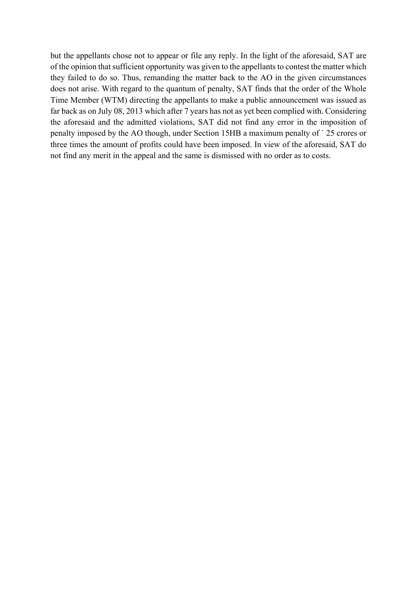but the appellants chose not to appear or file any reply. In the light of the aforesaid, SAT are of the opinion that sufficient opportunity was given to the appellants to contest the matter which they failed to do so. Thus, remanding the matter back to the AO in the given circumstances does not arise. With regard to the quantum of penalty, SAT finds that the order of the Whole Time Member (WTM) directing the appellants to make a public announcement was issued as far back as on July 08, 2013 which after 7 years has not as yet been complied with. Considering the aforesaid and the admitted violations, SAT did not find any error in the imposition of penalty imposed by the AO though, under Section 15HB a maximum penalty of ` 25 crores or three times the amount of profits could have been imposed. In view of the aforesaid, SAT do not find any merit in the appeal and the same is dismissed with no order as to costs.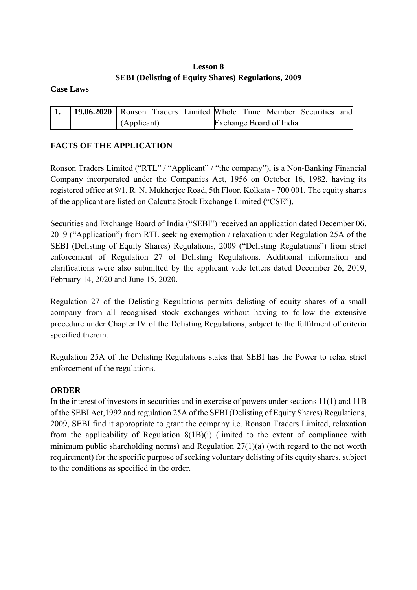## **Lesson 8 SEBI (Delisting of Equity Shares) Regulations, 2009**

**Case Laws** 

| 19.06.2020   Ronson Traders Limited Whole Time Member Securities and |             |  |  |                         |  |
|----------------------------------------------------------------------|-------------|--|--|-------------------------|--|
|                                                                      | (Applicant) |  |  | Exchange Board of India |  |

## **FACTS OF THE APPLICATION**

Ronson Traders Limited ("RTL" / "Applicant" / "the company"), is a Non-Banking Financial Company incorporated under the Companies Act, 1956 on October 16, 1982, having its registered office at 9/1, R. N. Mukherjee Road, 5th Floor, Kolkata - 700 001. The equity shares of the applicant are listed on Calcutta Stock Exchange Limited ("CSE").

Securities and Exchange Board of India ("SEBI") received an application dated December 06, 2019 ("Application") from RTL seeking exemption / relaxation under Regulation 25A of the SEBI (Delisting of Equity Shares) Regulations, 2009 ("Delisting Regulations") from strict enforcement of Regulation 27 of Delisting Regulations. Additional information and clarifications were also submitted by the applicant vide letters dated December 26, 2019, February 14, 2020 and June 15, 2020.

Regulation 27 of the Delisting Regulations permits delisting of equity shares of a small company from all recognised stock exchanges without having to follow the extensive procedure under Chapter IV of the Delisting Regulations, subject to the fulfilment of criteria specified therein.

Regulation 25A of the Delisting Regulations states that SEBI has the Power to relax strict enforcement of the regulations.

#### **ORDER**

In the interest of investors in securities and in exercise of powers under sections 11(1) and 11B of the SEBI Act,1992 and regulation 25A of the SEBI (Delisting of Equity Shares) Regulations, 2009, SEBI find it appropriate to grant the company i.e. Ronson Traders Limited, relaxation from the applicability of Regulation 8(1B)(i) (limited to the extent of compliance with minimum public shareholding norms) and Regulation 27(1)(a) (with regard to the net worth requirement) for the specific purpose of seeking voluntary delisting of its equity shares, subject to the conditions as specified in the order.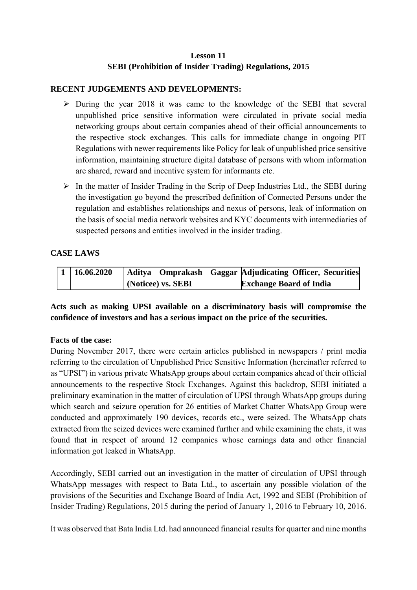## **Lesson 11 SEBI (Prohibition of Insider Trading) Regulations, 2015**

#### **RECENT JUDGEMENTS AND DEVELOPMENTS:**

- $\triangleright$  During the year 2018 it was came to the knowledge of the SEBI that several unpublished price sensitive information were circulated in private social media networking groups about certain companies ahead of their official announcements to the respective stock exchanges. This calls for immediate change in ongoing PIT Regulations with newer requirements like Policy for leak of unpublished price sensitive information, maintaining structure digital database of persons with whom information are shared, reward and incentive system for informants etc.
- $\triangleright$  In the matter of Insider Trading in the Scrip of Deep Industries Ltd., the SEBI during the investigation go beyond the prescribed definition of Connected Persons under the regulation and establishes relationships and nexus of persons, leak of information on the basis of social media network websites and KYC documents with intermediaries of suspected persons and entities involved in the insider trading.

#### **CASE LAWS**

| $1 \mid 16.06.2020$ | Aditya Omprakash Gaggar Adjudicating Officer, Securities |                                |  |
|---------------------|----------------------------------------------------------|--------------------------------|--|
|                     | (Noticee) vs. SEBI                                       | <b>Exchange Board of India</b> |  |

### **Acts such as making UPSI available on a discriminatory basis will compromise the confidence of investors and has a serious impact on the price of the securities.**

#### **Facts of the case:**

During November 2017, there were certain articles published in newspapers / print media referring to the circulation of Unpublished Price Sensitive Information (hereinafter referred to as "UPSI") in various private WhatsApp groups about certain companies ahead of their official announcements to the respective Stock Exchanges. Against this backdrop, SEBI initiated a preliminary examination in the matter of circulation of UPSI through WhatsApp groups during which search and seizure operation for 26 entities of Market Chatter WhatsApp Group were conducted and approximately 190 devices, records etc., were seized. The WhatsApp chats extracted from the seized devices were examined further and while examining the chats, it was found that in respect of around 12 companies whose earnings data and other financial information got leaked in WhatsApp.

Accordingly, SEBI carried out an investigation in the matter of circulation of UPSI through WhatsApp messages with respect to Bata Ltd., to ascertain any possible violation of the provisions of the Securities and Exchange Board of India Act, 1992 and SEBI (Prohibition of Insider Trading) Regulations, 2015 during the period of January 1, 2016 to February 10, 2016.

It was observed that Bata India Ltd. had announced financial results for quarter and nine months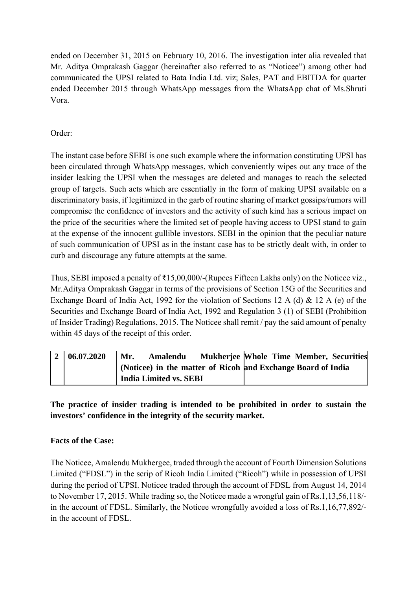ended on December 31, 2015 on February 10, 2016. The investigation inter alia revealed that Mr. Aditya Omprakash Gaggar (hereinafter also referred to as "Noticee") among other had communicated the UPSI related to Bata India Ltd. viz; Sales, PAT and EBITDA for quarter ended December 2015 through WhatsApp messages from the WhatsApp chat of Ms.Shruti Vora.

Order:

The instant case before SEBI is one such example where the information constituting UPSI has been circulated through WhatsApp messages, which conveniently wipes out any trace of the insider leaking the UPSI when the messages are deleted and manages to reach the selected group of targets. Such acts which are essentially in the form of making UPSI available on a discriminatory basis, if legitimized in the garb of routine sharing of market gossips/rumors will compromise the confidence of investors and the activity of such kind has a serious impact on the price of the securities where the limited set of people having access to UPSI stand to gain at the expense of the innocent gullible investors. SEBI in the opinion that the peculiar nature of such communication of UPSI as in the instant case has to be strictly dealt with, in order to curb and discourage any future attempts at the same.

Thus, SEBI imposed a penalty of ₹15,00,000/-(Rupees Fifteen Lakhs only) on the Noticee viz., Mr.Aditya Omprakash Gaggar in terms of the provisions of Section 15G of the Securities and Exchange Board of India Act, 1992 for the violation of Sections 12 A (d) & 12 A (e) of the Securities and Exchange Board of India Act, 1992 and Regulation 3 (1) of SEBI (Prohibition of Insider Trading) Regulations, 2015. The Noticee shall remit / pay the said amount of penalty within 45 days of the receipt of this order.

| $\mathbf{2}$ | 06.07,2020 | Mukherjee Whole Time Member, Securities<br>Mr.<br>Amalendu   |
|--------------|------------|--------------------------------------------------------------|
|              |            | (Noticee) in the matter of Ricoh and Exchange Board of India |
|              |            | India Limited vs. SEBI                                       |

**The practice of insider trading is intended to be prohibited in order to sustain the investors' confidence in the integrity of the security market.** 

# **Facts of the Case:**

The Noticee, Amalendu Mukhergee, traded through the account of Fourth Dimension Solutions Limited ("FDSL") in the scrip of Ricoh India Limited ("Ricoh") while in possession of UPSI during the period of UPSI. Noticee traded through the account of FDSL from August 14, 2014 to November 17, 2015. While trading so, the Noticee made a wrongful gain of Rs.1,13,56,118/ in the account of FDSL. Similarly, the Noticee wrongfully avoided a loss of Rs.1,16,77,892/ in the account of FDSL.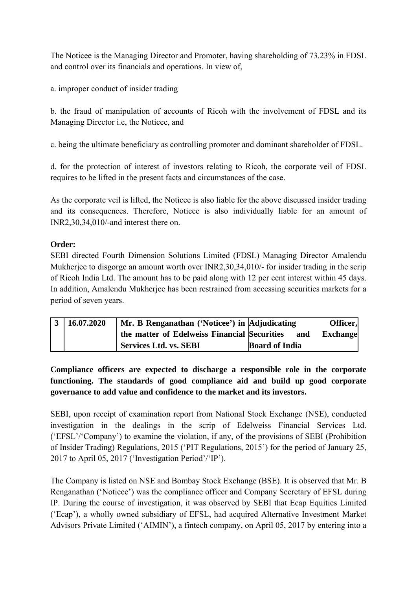The Noticee is the Managing Director and Promoter, having shareholding of 73.23% in FDSL and control over its financials and operations. In view of,

a. improper conduct of insider trading

b. the fraud of manipulation of accounts of Ricoh with the involvement of FDSL and its Managing Director i.e, the Noticee, and

c. being the ultimate beneficiary as controlling promoter and dominant shareholder of FDSL.

d. for the protection of interest of investors relating to Ricoh, the corporate veil of FDSL requires to be lifted in the present facts and circumstances of the case.

As the corporate veil is lifted, the Noticee is also liable for the above discussed insider trading and its consequences. Therefore, Noticee is also individually liable for an amount of INR2,30,34,010/-and interest there on.

# **Order:**

SEBI directed Fourth Dimension Solutions Limited (FDSL) Managing Director Amalendu Mukherjee to disgorge an amount worth over INR2,30,34,010/- for insider trading in the scrip of Ricoh India Ltd. The amount has to be paid along with 12 per cent interest within 45 days. In addition, Amalendu Mukherjee has been restrained from accessing securities markets for a period of seven years.

| $3 \mid 16.07.2020$ |                                              | Mr. B Renganathan ('Noticee') in Adjudicating |                 |
|---------------------|----------------------------------------------|-----------------------------------------------|-----------------|
|                     | the matter of Edelweiss Financial Securities | and                                           | <b>Exchange</b> |
|                     | Services Ltd. vs. SEBI                       | <b>Board of India</b>                         |                 |

**Compliance officers are expected to discharge a responsible role in the corporate functioning. The standards of good compliance aid and build up good corporate governance to add value and confidence to the market and its investors.** 

SEBI, upon receipt of examination report from National Stock Exchange (NSE), conducted investigation in the dealings in the scrip of Edelweiss Financial Services Ltd. ('EFSL'/'Company') to examine the violation, if any, of the provisions of SEBI (Prohibition of Insider Trading) Regulations, 2015 ('PIT Regulations, 2015') for the period of January 25, 2017 to April 05, 2017 ('Investigation Period'/'IP').

The Company is listed on NSE and Bombay Stock Exchange (BSE). It is observed that Mr. B Renganathan ('Noticee') was the compliance officer and Company Secretary of EFSL during IP. During the course of investigation, it was observed by SEBI that Ecap Equities Limited ('Ecap'), a wholly owned subsidiary of EFSL, had acquired Alternative Investment Market Advisors Private Limited ('AIMIN'), a fintech company, on April 05, 2017 by entering into a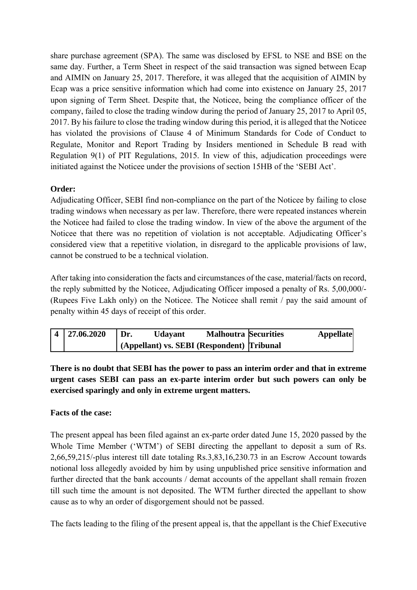share purchase agreement (SPA). The same was disclosed by EFSL to NSE and BSE on the same day. Further, a Term Sheet in respect of the said transaction was signed between Ecap and AIMIN on January 25, 2017. Therefore, it was alleged that the acquisition of AIMIN by Ecap was a price sensitive information which had come into existence on January 25, 2017 upon signing of Term Sheet. Despite that, the Noticee, being the compliance officer of the company, failed to close the trading window during the period of January 25, 2017 to April 05, 2017. By his failure to close the trading window during this period, it is alleged that the Noticee has violated the provisions of Clause 4 of Minimum Standards for Code of Conduct to Regulate, Monitor and Report Trading by Insiders mentioned in Schedule B read with Regulation 9(1) of PIT Regulations, 2015. In view of this, adjudication proceedings were initiated against the Noticee under the provisions of section 15HB of the 'SEBI Act'.

# **Order:**

Adjudicating Officer, SEBI find non-compliance on the part of the Noticee by failing to close trading windows when necessary as per law. Therefore, there were repeated instances wherein the Noticee had failed to close the trading window. In view of the above the argument of the Noticee that there was no repetition of violation is not acceptable. Adjudicating Officer's considered view that a repetitive violation, in disregard to the applicable provisions of law, cannot be construed to be a technical violation.

After taking into consideration the facts and circumstances of the case, material/facts on record, the reply submitted by the Noticee, Adjudicating Officer imposed a penalty of Rs. 5,00,000/- (Rupees Five Lakh only) on the Noticee. The Noticee shall remit / pay the said amount of penalty within 45 days of receipt of this order.

| 4 27.06.2020 | Dr. | <b>Udayant</b> | <b>Malhoutra Securities</b>                | <b>Appellate</b> |
|--------------|-----|----------------|--------------------------------------------|------------------|
|              |     |                | (Appellant) vs. SEBI (Respondent) Tribunal |                  |

**There is no doubt that SEBI has the power to pass an interim order and that in extreme urgent cases SEBI can pass an ex-parte interim order but such powers can only be exercised sparingly and only in extreme urgent matters.** 

# **Facts of the case:**

The present appeal has been filed against an ex-parte order dated June 15, 2020 passed by the Whole Time Member ('WTM') of SEBI directing the appellant to deposit a sum of Rs. 2,66,59,215/-plus interest till date totaling Rs.3,83,16,230.73 in an Escrow Account towards notional loss allegedly avoided by him by using unpublished price sensitive information and further directed that the bank accounts / demat accounts of the appellant shall remain frozen till such time the amount is not deposited. The WTM further directed the appellant to show cause as to why an order of disgorgement should not be passed.

The facts leading to the filing of the present appeal is, that the appellant is the Chief Executive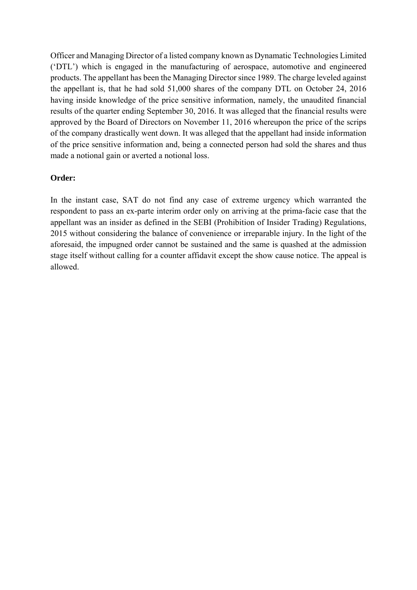Officer and Managing Director of a listed company known as Dynamatic Technologies Limited ('DTL') which is engaged in the manufacturing of aerospace, automotive and engineered products. The appellant has been the Managing Director since 1989. The charge leveled against the appellant is, that he had sold 51,000 shares of the company DTL on October 24, 2016 having inside knowledge of the price sensitive information, namely, the unaudited financial results of the quarter ending September 30, 2016. It was alleged that the financial results were approved by the Board of Directors on November 11, 2016 whereupon the price of the scrips of the company drastically went down. It was alleged that the appellant had inside information of the price sensitive information and, being a connected person had sold the shares and thus made a notional gain or averted a notional loss.

### **Order:**

In the instant case, SAT do not find any case of extreme urgency which warranted the respondent to pass an ex-parte interim order only on arriving at the prima-facie case that the appellant was an insider as defined in the SEBI (Prohibition of Insider Trading) Regulations, 2015 without considering the balance of convenience or irreparable injury. In the light of the aforesaid, the impugned order cannot be sustained and the same is quashed at the admission stage itself without calling for a counter affidavit except the show cause notice. The appeal is allowed.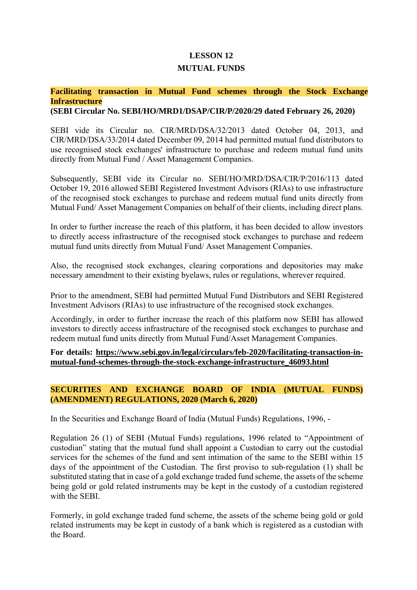### **LESSON 12**

#### **MUTUAL FUNDS**

# **Facilitating transaction in Mutual Fund schemes through the Stock Exchange Infrastructure**

**(SEBI Circular No. SEBI/HO/MRD1/DSAP/CIR/P/2020/29 dated February 26, 2020)** 

SEBI vide its Circular no. CIR/MRD/DSA/32/2013 dated October 04, 2013, and CIR/MRD/DSA/33/2014 dated December 09, 2014 had permitted mutual fund distributors to use recognised stock exchanges' infrastructure to purchase and redeem mutual fund units directly from Mutual Fund / Asset Management Companies.

Subsequently, SEBI vide its Circular no. SEBI/HO/MRD/DSA/CIR/P/2016/113 dated October 19, 2016 allowed SEBI Registered Investment Advisors (RIAs) to use infrastructure of the recognised stock exchanges to purchase and redeem mutual fund units directly from Mutual Fund/ Asset Management Companies on behalf of their clients, including direct plans.

In order to further increase the reach of this platform, it has been decided to allow investors to directly access infrastructure of the recognised stock exchanges to purchase and redeem mutual fund units directly from Mutual Fund/ Asset Management Companies.

Also, the recognised stock exchanges, clearing corporations and depositories may make necessary amendment to their existing byelaws, rules or regulations, wherever required.

Prior to the amendment, SEBI had permitted Mutual Fund Distributors and SEBI Registered Investment Advisors (RIAs) to use infrastructure of the recognised stock exchanges.

Accordingly, in order to further increase the reach of this platform now SEBI has allowed investors to directly access infrastructure of the recognised stock exchanges to purchase and redeem mutual fund units directly from Mutual Fund/Asset Management Companies.

**For details: https://www.sebi.gov.in/legal/circulars/feb-2020/facilitating-transaction-inmutual-fund-schemes-through-the-stock-exchange-infrastructure\_46093.html** 

### **SECURITIES AND EXCHANGE BOARD OF INDIA (MUTUAL FUNDS) (AMENDMENT) REGULATIONS, 2020 (March 6, 2020)**

In the Securities and Exchange Board of India (Mutual Funds) Regulations, 1996, -

Regulation 26 (1) of SEBI (Mutual Funds) regulations, 1996 related to "Appointment of custodian" stating that the mutual fund shall appoint a Custodian to carry out the custodial services for the schemes of the fund and sent intimation of the same to the SEBI within 15 days of the appointment of the Custodian. The first proviso to sub-regulation (1) shall be substituted stating that in case of a gold exchange traded fund scheme, the assets of the scheme being gold or gold related instruments may be kept in the custody of a custodian registered with the SEBI

Formerly, in gold exchange traded fund scheme, the assets of the scheme being gold or gold related instruments may be kept in custody of a bank which is registered as a custodian with the Board.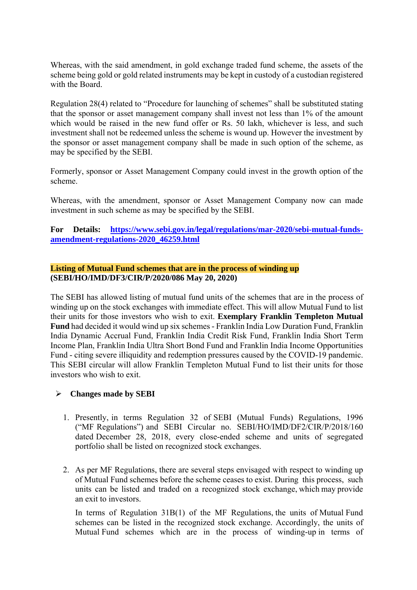Whereas, with the said amendment, in gold exchange traded fund scheme, the assets of the scheme being gold or gold related instruments may be kept in custody of a custodian registered with the Board.

Regulation 28(4) related to "Procedure for launching of schemes" shall be substituted stating that the sponsor or asset management company shall invest not less than 1% of the amount which would be raised in the new fund offer or Rs. 50 lakh, whichever is less, and such investment shall not be redeemed unless the scheme is wound up. However the investment by the sponsor or asset management company shall be made in such option of the scheme, as may be specified by the SEBI.

Formerly, sponsor or Asset Management Company could invest in the growth option of the scheme.

Whereas, with the amendment, sponsor or Asset Management Company now can made investment in such scheme as may be specified by the SEBI.

### **For Details: https://www.sebi.gov.in/legal/regulations/mar-2020/sebi-mutual-fundsamendment-regulations-2020\_46259.html**

#### **Listing of Mutual Fund schemes that are in the process of winding up (SEBI/HO/IMD/DF3/CIR/P/2020/086 May 20, 2020)**

The SEBI has allowed listing of mutual fund units of the schemes that are in the process of winding up on the stock exchanges with immediate effect. This will allow Mutual Fund to list their units for those investors who wish to exit. **Exemplary Franklin Templeton Mutual Fund** had decided it would wind up six schemes - Franklin India Low Duration Fund, Franklin India Dynamic Accrual Fund, Franklin India Credit Risk Fund, Franklin India Short Term Income Plan, Franklin India Ultra Short Bond Fund and Franklin India Income Opportunities Fund - citing severe illiquidity and redemption pressures caused by the COVID-19 pandemic. This SEBI circular will allow Franklin Templeton Mutual Fund to list their units for those investors who wish to exit.

#### **Changes made by SEBI**

- 1. Presently, in terms Regulation 32 of SEBI (Mutual Funds) Regulations, 1996 ("MF Regulations") and SEBI Circular no. SEBI/HO/IMD/DF2/CIR/P/2018/160 dated December 28, 2018, every close-ended scheme and units of segregated portfolio shall be listed on recognized stock exchanges.
- 2. As per MF Regulations, there are several steps envisaged with respect to winding up of Mutual Fund schemes before the scheme ceases to exist. During this process, such units can be listed and traded on a recognized stock exchange, which may provide an exit to investors.

In terms of Regulation 31B(1) of the MF Regulations, the units of Mutual Fund schemes can be listed in the recognized stock exchange. Accordingly, the units of Mutual Fund schemes which are in the process of winding-up in terms of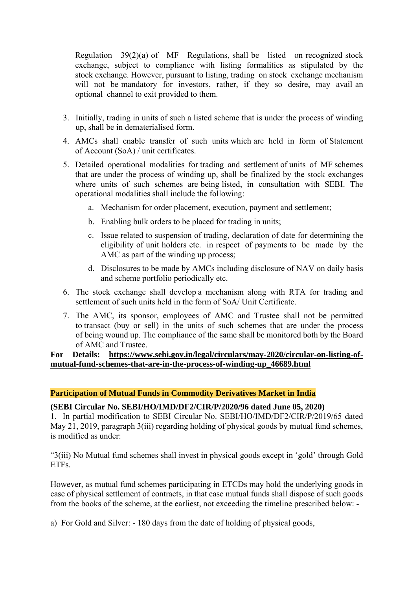Regulation 39(2)(a) of MF Regulations, shall be listed on recognized stock exchange, subject to compliance with listing formalities as stipulated by the stock exchange. However, pursuant to listing, trading on stock exchange mechanism will not be mandatory for investors, rather, if they so desire, may avail an optional channel to exit provided to them.

- 3. Initially, trading in units of such a listed scheme that is under the process of winding up, shall be in dematerialised form.
- 4. AMCs shall enable transfer of such units which are held in form of Statement of Account (SoA) / unit certificates.
- 5. Detailed operational modalities for trading and settlement of units of MF schemes that are under the process of winding up, shall be finalized by the stock exchanges where units of such schemes are being listed, in consultation with SEBI. The operational modalities shall include the following:
	- a. Mechanism for order placement, execution, payment and settlement;
	- b. Enabling bulk orders to be placed for trading in units;
	- c. Issue related to suspension of trading, declaration of date for determining the eligibility of unit holders etc. in respect of payments to be made by the AMC as part of the winding up process;
	- d. Disclosures to be made by AMCs including disclosure of NAV on daily basis and scheme portfolio periodically etc.
- 6. The stock exchange shall develop a mechanism along with RTA for trading and settlement of such units held in the form of SoA/ Unit Certificate.
- 7. The AMC, its sponsor, employees of AMC and Trustee shall not be permitted to transact (buy or sell) in the units of such schemes that are under the process of being wound up. The compliance of the same shall be monitored both by the Board of AMC and Trustee.

**For Details: https://www.sebi.gov.in/legal/circulars/may-2020/circular-on-listing-ofmutual-fund-schemes-that-are-in-the-process-of-winding-up\_46689.html** 

#### **Participation of Mutual Funds in Commodity Derivatives Market in India**

#### **(SEBI Circular No. SEBI/HO/IMD/DF2/CIR/P/2020/96 dated June 05, 2020)**

1. In partial modification to SEBI Circular No. SEBI/HO/IMD/DF2/CIR/P/2019/65 dated May 21, 2019, paragraph 3(iii) regarding holding of physical goods by mutual fund schemes. is modified as under:

"3(iii) No Mutual fund schemes shall invest in physical goods except in 'gold' through Gold ETFs.

However, as mutual fund schemes participating in ETCDs may hold the underlying goods in case of physical settlement of contracts, in that case mutual funds shall dispose of such goods from the books of the scheme, at the earliest, not exceeding the timeline prescribed below: -

a) For Gold and Silver: - 180 days from the date of holding of physical goods,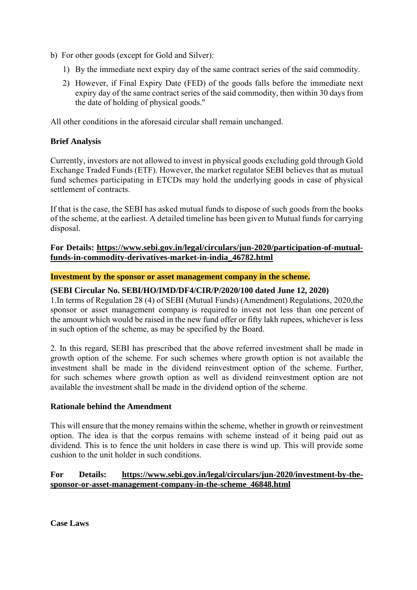- b) For other goods (except for Gold and Silver):
	- 1) By the immediate next expiry day of the same contract series of the said commodity.
	- 2) However, if Final Expiry Date (FED) of the goods falls before the immediate next expiry day of the same contract series of the said commodity, then within 30 days from the date of holding of physical goods.''

All other conditions in the aforesaid circular shall remain unchanged.

### **Brief Analysis**

Currently, investors are not allowed to invest in physical goods excluding gold through Gold Exchange Traded Funds (ETF). However, the market regulator SEBI believes that as mutual fund schemes participating in ETCDs may hold the underlying goods in case of physical settlement of contracts.

If that is the case, the SEBI has asked mutual funds to dispose of such goods from the books of the scheme, at the earliest. A detailed timeline has been given to Mutual funds for carrying disposal.

### **For Details: https://www.sebi.gov.in/legal/circulars/jun-2020/participation-of-mutualfunds-in-commodity-derivatives-market-in-india\_46782.html**

#### **Investment by the sponsor or asset management company in the scheme.**

### **(SEBI Circular No. SEBI/HO/IMD/DF4/CIR/P/2020/100 dated June 12, 2020)**

1.In terms of Regulation 28 (4) of SEBI (Mutual Funds) (Amendment) Regulations, 2020,the sponsor or asset management company is required to invest not less than one percent of the amount which would be raised in the new fund offer or fifty lakh rupees, whichever is less in such option of the scheme, as may be specified by the Board.

2. In this regard, SEBI has prescribed that the above referred investment shall be made in growth option of the scheme. For such schemes where growth option is not available the investment shall be made in the dividend reinvestment option of the scheme. Further, for such schemes where growth option as well as dividend reinvestment option are not available the investment shall be made in the dividend option of the scheme.

#### **Rationale behind the Amendment**

This will ensure that the money remains within the scheme, whether in growth or reinvestment option. The idea is that the corpus remains with scheme instead of it being paid out as dividend. This is to fence the unit holders in case there is wind up. This will provide some cushion to the unit holder in such conditions.

### **For Details: https://www.sebi.gov.in/legal/circulars/jun-2020/investment-by-thesponsor-or-asset-management-company-in-the-scheme\_46848.html**

**Case Laws**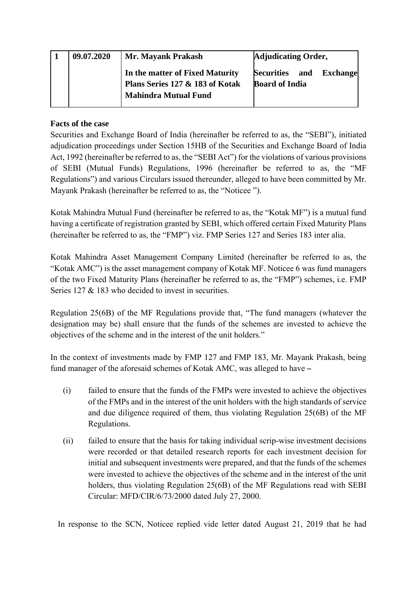| 09.07.2020 | Mr. Mayank Prakash              | <b>Adjudicating Order,</b>        |
|------------|---------------------------------|-----------------------------------|
|            | In the matter of Fixed Maturity | Securities and<br><b>Exchange</b> |
|            | Plans Series 127 & 183 of Kotak | <b>Board of India</b>             |
|            | <b>Mahindra Mutual Fund</b>     |                                   |
|            |                                 |                                   |

# **Facts of the case**

Securities and Exchange Board of India (hereinafter be referred to as, the "SEBI"), initiated adjudication proceedings under Section 15HB of the Securities and Exchange Board of India Act, 1992 (hereinafter be referred to as, the "SEBI Act") for the violations of various provisions of SEBI (Mutual Funds) Regulations, 1996 (hereinafter be referred to as, the "MF Regulations") and various Circulars issued thereunder, alleged to have been committed by Mr. Mayank Prakash (hereinafter be referred to as, the "Noticee ").

Kotak Mahindra Mutual Fund (hereinafter be referred to as, the "Kotak MF") is a mutual fund having a certificate of registration granted by SEBI, which offered certain Fixed Maturity Plans (hereinafter be referred to as, the "FMP") viz. FMP Series 127 and Series 183 inter alia.

Kotak Mahindra Asset Management Company Limited (hereinafter be referred to as, the "Kotak AMC") is the asset management company of Kotak MF. Noticee 6 was fund managers of the two Fixed Maturity Plans (hereinafter be referred to as, the "FMP") schemes, i.e. FMP Series 127 & 183 who decided to invest in securities.

Regulation 25(6B) of the MF Regulations provide that, "The fund managers (whatever the designation may be) shall ensure that the funds of the schemes are invested to achieve the objectives of the scheme and in the interest of the unit holders."

In the context of investments made by FMP 127 and FMP 183, Mr. Mayank Prakash, being fund manager of the aforesaid schemes of Kotak AMC, was alleged to have **–** 

- (i) failed to ensure that the funds of the FMPs were invested to achieve the objectives of the FMPs and in the interest of the unit holders with the high standards of service and due diligence required of them, thus violating Regulation 25(6B) of the MF Regulations.
- (ii) failed to ensure that the basis for taking individual scrip-wise investment decisions were recorded or that detailed research reports for each investment decision for initial and subsequent investments were prepared, and that the funds of the schemes were invested to achieve the objectives of the scheme and in the interest of the unit holders, thus violating Regulation 25(6B) of the MF Regulations read with SEBI Circular: MFD/CIR/6/73/2000 dated July 27, 2000.

In response to the SCN, Noticee replied vide letter dated August 21, 2019 that he had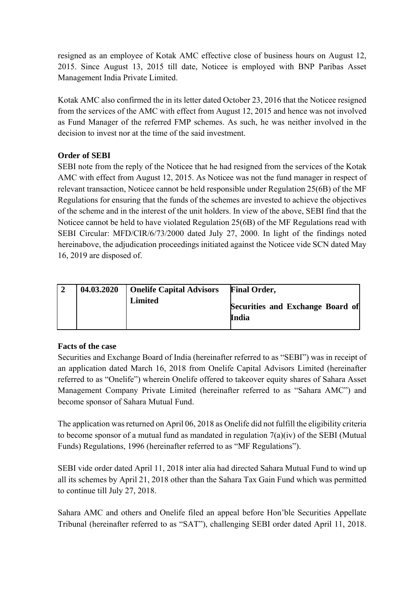resigned as an employee of Kotak AMC effective close of business hours on August 12, 2015. Since August 13, 2015 till date, Noticee is employed with BNP Paribas Asset Management India Private Limited.

Kotak AMC also confirmed the in its letter dated October 23, 2016 that the Noticee resigned from the services of the AMC with effect from August 12, 2015 and hence was not involved as Fund Manager of the referred FMP schemes. As such, he was neither involved in the decision to invest nor at the time of the said investment.

# **Order of SEBI**

SEBI note from the reply of the Noticee that he had resigned from the services of the Kotak AMC with effect from August 12, 2015. As Noticee was not the fund manager in respect of relevant transaction, Noticee cannot be held responsible under Regulation 25(6B) of the MF Regulations for ensuring that the funds of the schemes are invested to achieve the objectives of the scheme and in the interest of the unit holders. In view of the above, SEBI find that the Noticee cannot be held to have violated Regulation 25(6B) of the MF Regulations read with SEBI Circular: MFD/CIR/6/73/2000 dated July 27, 2000. In light of the findings noted hereinabove, the adjudication proceedings initiated against the Noticee vide SCN dated May 16, 2019 are disposed of.

|  | 04.03.2020   Onelife Capital Advisors | <b>Final Order,</b>                       |
|--|---------------------------------------|-------------------------------------------|
|  | Limited                               | Securities and Exchange Board of<br>India |

# **Facts of the case**

Securities and Exchange Board of India (hereinafter referred to as "SEBI") was in receipt of an application dated March 16, 2018 from Onelife Capital Advisors Limited (hereinafter referred to as "Onelife") wherein Onelife offered to takeover equity shares of Sahara Asset Management Company Private Limited (hereinafter referred to as "Sahara AMC") and become sponsor of Sahara Mutual Fund.

The application was returned on April 06, 2018 as Onelife did not fulfill the eligibility criteria to become sponsor of a mutual fund as mandated in regulation 7(a)(iv) of the SEBI (Mutual Funds) Regulations, 1996 (hereinafter referred to as "MF Regulations").

SEBI vide order dated April 11, 2018 inter alia had directed Sahara Mutual Fund to wind up all its schemes by April 21, 2018 other than the Sahara Tax Gain Fund which was permitted to continue till July 27, 2018.

Sahara AMC and others and Onelife filed an appeal before Hon'ble Securities Appellate Tribunal (hereinafter referred to as "SAT"), challenging SEBI order dated April 11, 2018.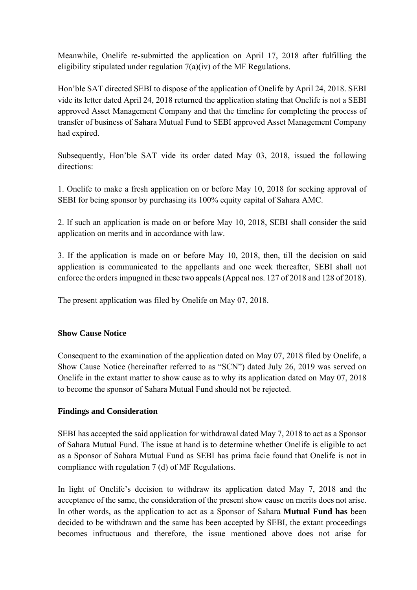Meanwhile, Onelife re-submitted the application on April 17, 2018 after fulfilling the eligibility stipulated under regulation  $7(a)(iv)$  of the MF Regulations.

Hon'ble SAT directed SEBI to dispose of the application of Onelife by April 24, 2018. SEBI vide its letter dated April 24, 2018 returned the application stating that Onelife is not a SEBI approved Asset Management Company and that the timeline for completing the process of transfer of business of Sahara Mutual Fund to SEBI approved Asset Management Company had expired.

Subsequently, Hon'ble SAT vide its order dated May 03, 2018, issued the following directions:

1. Onelife to make a fresh application on or before May 10, 2018 for seeking approval of SEBI for being sponsor by purchasing its 100% equity capital of Sahara AMC.

2. If such an application is made on or before May 10, 2018, SEBI shall consider the said application on merits and in accordance with law.

3. If the application is made on or before May 10, 2018, then, till the decision on said application is communicated to the appellants and one week thereafter, SEBI shall not enforce the orders impugned in these two appeals (Appeal nos. 127 of 2018 and 128 of 2018).

The present application was filed by Onelife on May 07, 2018.

# **Show Cause Notice**

Consequent to the examination of the application dated on May 07, 2018 filed by Onelife, a Show Cause Notice (hereinafter referred to as "SCN") dated July 26, 2019 was served on Onelife in the extant matter to show cause as to why its application dated on May 07, 2018 to become the sponsor of Sahara Mutual Fund should not be rejected.

### **Findings and Consideration**

SEBI has accepted the said application for withdrawal dated May 7, 2018 to act as a Sponsor of Sahara Mutual Fund. The issue at hand is to determine whether Onelife is eligible to act as a Sponsor of Sahara Mutual Fund as SEBI has prima facie found that Onelife is not in compliance with regulation 7 (d) of MF Regulations.

In light of Onelife's decision to withdraw its application dated May 7, 2018 and the acceptance of the same, the consideration of the present show cause on merits does not arise. In other words, as the application to act as a Sponsor of Sahara **Mutual Fund has** been decided to be withdrawn and the same has been accepted by SEBI, the extant proceedings becomes infructuous and therefore, the issue mentioned above does not arise for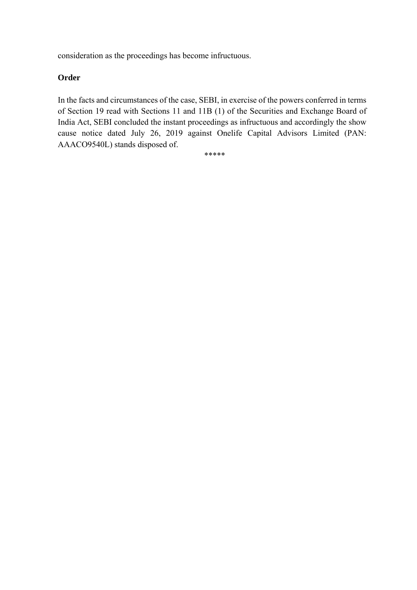consideration as the proceedings has become infructuous.

## **Order**

In the facts and circumstances of the case, SEBI, in exercise of the powers conferred in terms of Section 19 read with Sections 11 and 11B (1) of the Securities and Exchange Board of India Act, SEBI concluded the instant proceedings as infructuous and accordingly the show cause notice dated July 26, 2019 against Onelife Capital Advisors Limited (PAN: AAACO9540L) stands disposed of.

\*\*\*\*\*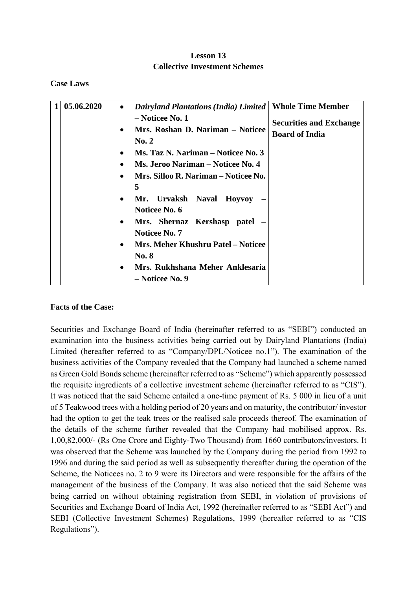# **Lesson 13 Collective Investment Schemes**

**Case Laws** 

| 05.06.2020 | <b>Dairyland Plantations (India) Limited</b>   | <b>Whole Time Member</b>       |
|------------|------------------------------------------------|--------------------------------|
|            | - Noticee No. 1                                |                                |
|            | Mrs. Roshan D. Nariman - Noticee               | <b>Securities and Exchange</b> |
|            | $\bf{No.}$ 2                                   | <b>Board of India</b>          |
|            |                                                |                                |
|            | Ms. Taz N. Nariman – Noticee No. 3             |                                |
|            | Ms. Jeroo Nariman – Noticee No. 4<br>$\bullet$ |                                |
|            | Mrs. Silloo R. Nariman – Noticee No.           |                                |
|            | 5                                              |                                |
|            | Mr. Urvaksh Naval Hoyvoy                       |                                |
|            | Noticee No. 6                                  |                                |
|            | Mrs. Shernaz Kershasp patel –                  |                                |
|            | <b>Noticee No. 7</b>                           |                                |
|            | <b>Mrs. Meher Khushru Patel – Noticee</b>      |                                |
|            |                                                |                                |
|            | <b>No. 8</b>                                   |                                |
|            | Mrs. Rukhshana Meher Anklesaria                |                                |
|            | – Noticee No. 9                                |                                |

### **Facts of the Case:**

Securities and Exchange Board of India (hereinafter referred to as "SEBI") conducted an examination into the business activities being carried out by Dairyland Plantations (India) Limited (hereafter referred to as "Company/DPL/Noticee no.1"). The examination of the business activities of the Company revealed that the Company had launched a scheme named as Green Gold Bonds scheme (hereinafter referred to as "Scheme") which apparently possessed the requisite ingredients of a collective investment scheme (hereinafter referred to as "CIS"). It was noticed that the said Scheme entailed a one-time payment of Rs. 5 000 in lieu of a unit of 5 Teakwood trees with a holding period of 20 years and on maturity, the contributor/ investor had the option to get the teak trees or the realised sale proceeds thereof. The examination of the details of the scheme further revealed that the Company had mobilised approx. Rs. 1,00,82,000/- (Rs One Crore and Eighty-Two Thousand) from 1660 contributors/investors. It was observed that the Scheme was launched by the Company during the period from 1992 to 1996 and during the said period as well as subsequently thereafter during the operation of the Scheme, the Noticees no. 2 to 9 were its Directors and were responsible for the affairs of the management of the business of the Company. It was also noticed that the said Scheme was being carried on without obtaining registration from SEBI, in violation of provisions of Securities and Exchange Board of India Act, 1992 (hereinafter referred to as "SEBI Act") and SEBI (Collective Investment Schemes) Regulations, 1999 (hereafter referred to as "CIS Regulations").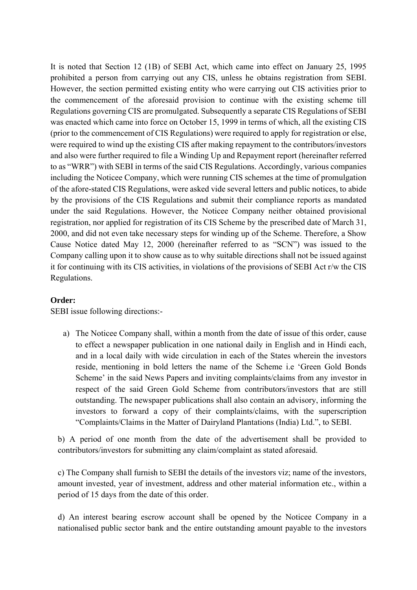It is noted that Section 12 (1B) of SEBI Act, which came into effect on January 25, 1995 prohibited a person from carrying out any CIS, unless he obtains registration from SEBI. However, the section permitted existing entity who were carrying out CIS activities prior to the commencement of the aforesaid provision to continue with the existing scheme till Regulations governing CIS are promulgated. Subsequently a separate CIS Regulations of SEBI was enacted which came into force on October 15, 1999 in terms of which, all the existing CIS (prior to the commencement of CIS Regulations) were required to apply for registration or else, were required to wind up the existing CIS after making repayment to the contributors/investors and also were further required to file a Winding Up and Repayment report (hereinafter referred to as "WRR") with SEBI in terms of the said CIS Regulations. Accordingly, various companies including the Noticee Company, which were running CIS schemes at the time of promulgation of the afore-stated CIS Regulations, were asked vide several letters and public notices, to abide by the provisions of the CIS Regulations and submit their compliance reports as mandated under the said Regulations. However, the Noticee Company neither obtained provisional registration, nor applied for registration of its CIS Scheme by the prescribed date of March 31, 2000, and did not even take necessary steps for winding up of the Scheme. Therefore, a Show Cause Notice dated May 12, 2000 (hereinafter referred to as "SCN") was issued to the Company calling upon it to show cause as to why suitable directions shall not be issued against it for continuing with its CIS activities, in violations of the provisions of SEBI Act r/w the CIS Regulations.

### **Order:**

SEBI issue following directions:-

a) The Noticee Company shall, within a month from the date of issue of this order, cause to effect a newspaper publication in one national daily in English and in Hindi each, and in a local daily with wide circulation in each of the States wherein the investors reside, mentioning in bold letters the name of the Scheme i.e 'Green Gold Bonds Scheme' in the said News Papers and inviting complaints/claims from any investor in respect of the said Green Gold Scheme from contributors/investors that are still outstanding. The newspaper publications shall also contain an advisory, informing the investors to forward a copy of their complaints/claims, with the superscription "Complaints/Claims in the Matter of Dairyland Plantations (India) Ltd.", to SEBI.

b) A period of one month from the date of the advertisement shall be provided to contributors/investors for submitting any claim/complaint as stated aforesaid.

c) The Company shall furnish to SEBI the details of the investors viz; name of the investors, amount invested, year of investment, address and other material information etc., within a period of 15 days from the date of this order.

d) An interest bearing escrow account shall be opened by the Noticee Company in a nationalised public sector bank and the entire outstanding amount payable to the investors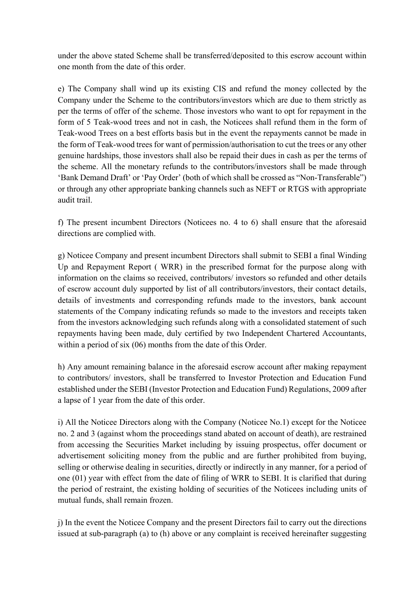under the above stated Scheme shall be transferred/deposited to this escrow account within one month from the date of this order.

e) The Company shall wind up its existing CIS and refund the money collected by the Company under the Scheme to the contributors/investors which are due to them strictly as per the terms of offer of the scheme. Those investors who want to opt for repayment in the form of 5 Teak-wood trees and not in cash, the Noticees shall refund them in the form of Teak-wood Trees on a best efforts basis but in the event the repayments cannot be made in the form of Teak-wood trees for want of permission/authorisation to cut the trees or any other genuine hardships, those investors shall also be repaid their dues in cash as per the terms of the scheme. All the monetary refunds to the contributors/investors shall be made through 'Bank Demand Draft' or 'Pay Order' (both of which shall be crossed as "Non-Transferable") or through any other appropriate banking channels such as NEFT or RTGS with appropriate audit trail.

f) The present incumbent Directors (Noticees no. 4 to 6) shall ensure that the aforesaid directions are complied with.

g) Noticee Company and present incumbent Directors shall submit to SEBI a final Winding Up and Repayment Report ( WRR) in the prescribed format for the purpose along with information on the claims so received, contributors/ investors so refunded and other details of escrow account duly supported by list of all contributors/investors, their contact details, details of investments and corresponding refunds made to the investors, bank account statements of the Company indicating refunds so made to the investors and receipts taken from the investors acknowledging such refunds along with a consolidated statement of such repayments having been made, duly certified by two Independent Chartered Accountants, within a period of six (06) months from the date of this Order.

h) Any amount remaining balance in the aforesaid escrow account after making repayment to contributors/ investors, shall be transferred to Investor Protection and Education Fund established under the SEBI (Investor Protection and Education Fund) Regulations, 2009 after a lapse of 1 year from the date of this order.

i) All the Noticee Directors along with the Company (Noticee No.1) except for the Noticee no. 2 and 3 (against whom the proceedings stand abated on account of death), are restrained from accessing the Securities Market including by issuing prospectus, offer document or advertisement soliciting money from the public and are further prohibited from buying, selling or otherwise dealing in securities, directly or indirectly in any manner, for a period of one (01) year with effect from the date of filing of WRR to SEBI. It is clarified that during the period of restraint, the existing holding of securities of the Noticees including units of mutual funds, shall remain frozen.

j) In the event the Noticee Company and the present Directors fail to carry out the directions issued at sub-paragraph (a) to (h) above or any complaint is received hereinafter suggesting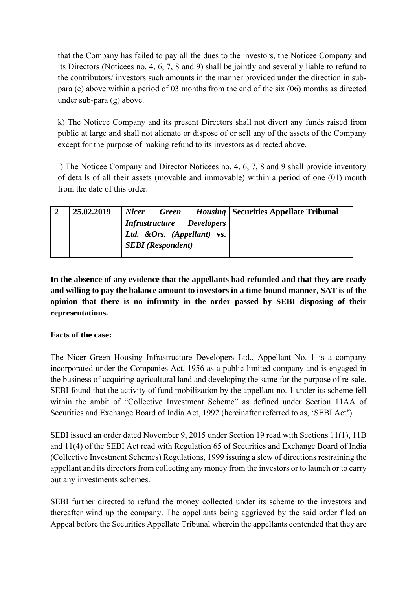that the Company has failed to pay all the dues to the investors, the Noticee Company and its Directors (Noticees no. 4, 6, 7, 8 and 9) shall be jointly and severally liable to refund to the contributors/ investors such amounts in the manner provided under the direction in subpara (e) above within a period of 03 months from the end of the six (06) months as directed under sub-para (g) above.

k) The Noticee Company and its present Directors shall not divert any funds raised from public at large and shall not alienate or dispose of or sell any of the assets of the Company except for the purpose of making refund to its investors as directed above.

l) The Noticee Company and Director Noticees no. 4, 6, 7, 8 and 9 shall provide inventory of details of all their assets (movable and immovable) within a period of one (01) month from the date of this order.

| 25.02.2019 | $\label{thm:1} \begin{array}{lll} \mid \textit{Infrastructure} & \textit{Developers} \end{array}$<br>Ltd. & Ors. (Appellant) vs.<br><b>SEBI</b> (Respondent) | Nicer Green Housing   Securities Appellate Tribunal |
|------------|--------------------------------------------------------------------------------------------------------------------------------------------------------------|-----------------------------------------------------|
|            |                                                                                                                                                              |                                                     |

**In the absence of any evidence that the appellants had refunded and that they are ready and willing to pay the balance amount to investors in a time bound manner, SAT is of the opinion that there is no infirmity in the order passed by SEBI disposing of their representations.** 

# **Facts of the case:**

The Nicer Green Housing Infrastructure Developers Ltd., Appellant No. 1 is a company incorporated under the Companies Act, 1956 as a public limited company and is engaged in the business of acquiring agricultural land and developing the same for the purpose of re-sale. SEBI found that the activity of fund mobilization by the appellant no. 1 under its scheme fell within the ambit of "Collective Investment Scheme" as defined under Section 11AA of Securities and Exchange Board of India Act, 1992 (hereinafter referred to as, 'SEBI Act').

SEBI issued an order dated November 9, 2015 under Section 19 read with Sections 11(1), 11B and 11(4) of the SEBI Act read with Regulation 65 of Securities and Exchange Board of India (Collective Investment Schemes) Regulations, 1999 issuing a slew of directions restraining the appellant and its directors from collecting any money from the investors or to launch or to carry out any investments schemes.

SEBI further directed to refund the money collected under its scheme to the investors and thereafter wind up the company. The appellants being aggrieved by the said order filed an Appeal before the Securities Appellate Tribunal wherein the appellants contended that they are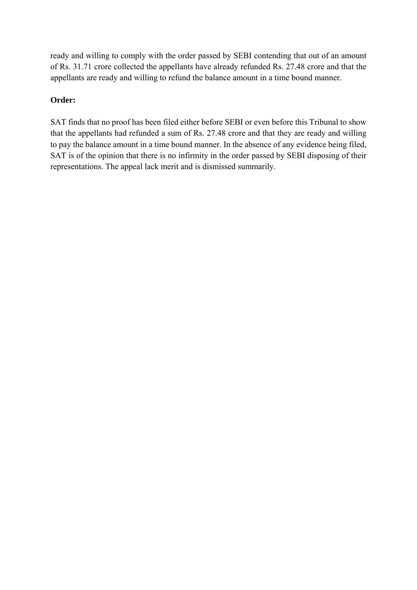ready and willing to comply with the order passed by SEBI contending that out of an amount of Rs. 31.71 crore collected the appellants have already refunded Rs. 27.48 crore and that the appellants are ready and willing to refund the balance amount in a time bound manner.

# **Order:**

SAT finds that no proof has been filed either before SEBI or even before this Tribunal to show that the appellants had refunded a sum of Rs. 27.48 crore and that they are ready and willing to pay the balance amount in a time bound manner. In the absence of any evidence being filed, SAT is of the opinion that there is no infirmity in the order passed by SEBI disposing of their representations. The appeal lack merit and is dismissed summarily.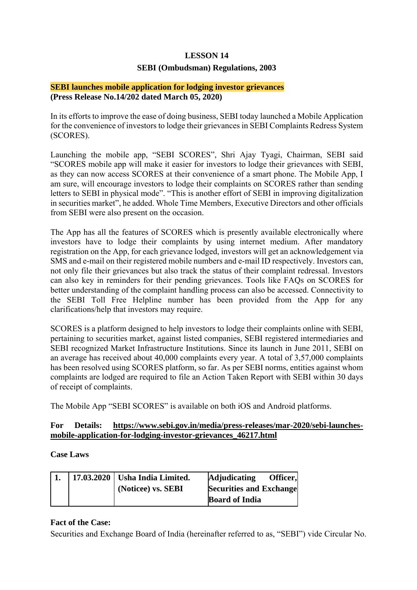### **LESSON 14**

### **SEBI (Ombudsman) Regulations, 2003**

#### **SEBI launches mobile application for lodging investor grievances (Press Release No.14/202 dated March 05, 2020)**

In its efforts to improve the ease of doing business, SEBI today launched a Mobile Application for the convenience of investors to lodge their grievances in SEBI Complaints Redress System (SCORES).

Launching the mobile app, "SEBI SCORES", Shri Ajay Tyagi, Chairman, SEBI said "SCORES mobile app will make it easier for investors to lodge their grievances with SEBI, as they can now access SCORES at their convenience of a smart phone. The Mobile App, I am sure, will encourage investors to lodge their complaints on SCORES rather than sending letters to SEBI in physical mode". "This is another effort of SEBI in improving digitalization in securities market", he added. Whole Time Members, Executive Directors and other officials from SEBI were also present on the occasion.

The App has all the features of SCORES which is presently available electronically where investors have to lodge their complaints by using internet medium. After mandatory registration on the App, for each grievance lodged, investors will get an acknowledgement via SMS and e-mail on their registered mobile numbers and e-mail ID respectively. Investors can, not only file their grievances but also track the status of their complaint redressal. Investors can also key in reminders for their pending grievances. Tools like FAQs on SCORES for better understanding of the complaint handling process can also be accessed. Connectivity to the SEBI Toll Free Helpline number has been provided from the App for any clarifications/help that investors may require.

SCORES is a platform designed to help investors to lodge their complaints online with SEBI, pertaining to securities market, against listed companies, SEBI registered intermediaries and SEBI recognized Market Infrastructure Institutions. Since its launch in June 2011, SEBI on an average has received about 40,000 complaints every year. A total of 3,57,000 complaints has been resolved using SCORES platform, so far. As per SEBI norms, entities against whom complaints are lodged are required to file an Action Taken Report with SEBI within 30 days of receipt of complaints.

The Mobile App "SEBI SCORES" is available on both iOS and Android platforms.

### **For Details: https://www.sebi.gov.in/media/press-releases/mar-2020/sebi-launchesmobile-application-for-lodging-investor-grievances\_46217.html**

#### **Case Laws**

|  | 17.03.2020   Usha India Limited. | Officer,<br><b>Adjudicating</b> |
|--|----------------------------------|---------------------------------|
|  | (Noticee) vs. SEBI               | <b>Securities and Exchange</b>  |
|  |                                  | <b>Board of India</b>           |

#### **Fact of the Case:**

Securities and Exchange Board of India (hereinafter referred to as, "SEBI") vide Circular No.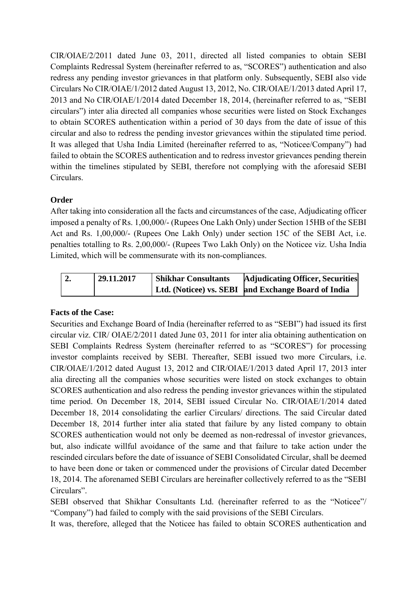CIR/OIAE/2/2011 dated June 03, 2011, directed all listed companies to obtain SEBI Complaints Redressal System (hereinafter referred to as, "SCORES") authentication and also redress any pending investor grievances in that platform only. Subsequently, SEBI also vide Circulars No CIR/OIAE/1/2012 dated August 13, 2012, No. CIR/OIAE/1/2013 dated April 17, 2013 and No CIR/OIAE/1/2014 dated December 18, 2014, (hereinafter referred to as, "SEBI circulars") inter alia directed all companies whose securities were listed on Stock Exchanges to obtain SCORES authentication within a period of 30 days from the date of issue of this circular and also to redress the pending investor grievances within the stipulated time period. It was alleged that Usha India Limited (hereinafter referred to as, "Noticee/Company") had failed to obtain the SCORES authentication and to redress investor grievances pending therein within the timelines stipulated by SEBI, therefore not complying with the aforesaid SEBI Circulars.

# **Order**

After taking into consideration all the facts and circumstances of the case, Adjudicating officer imposed a penalty of Rs. 1,00,000/- (Rupees One Lakh Only) under Section 15HB of the SEBI Act and Rs. 1,00,000/- (Rupees One Lakh Only) under section 15C of the SEBI Act, i.e. penalties totalling to Rs. 2,00,000/- (Rupees Two Lakh Only) on the Noticee viz. Usha India Limited, which will be commensurate with its non-compliances.

| 29.11.2017 | <b>Shikhar Consultants</b> | Adjudicating Officer, Securities                    |
|------------|----------------------------|-----------------------------------------------------|
|            |                            | Ltd. (Noticee) vs. SEBI and Exchange Board of India |

# **Facts of the Case:**

Securities and Exchange Board of India (hereinafter referred to as "SEBI") had issued its first circular viz. CIR/ OIAE/2/2011 dated June 03, 2011 for inter alia obtaining authentication on SEBI Complaints Redress System (hereinafter referred to as "SCORES") for processing investor complaints received by SEBI. Thereafter, SEBI issued two more Circulars, i.e. CIR/OIAE/1/2012 dated August 13, 2012 and CIR/OIAE/1/2013 dated April 17, 2013 inter alia directing all the companies whose securities were listed on stock exchanges to obtain SCORES authentication and also redress the pending investor grievances within the stipulated time period. On December 18, 2014, SEBI issued Circular No. CIR/OIAE/1/2014 dated December 18, 2014 consolidating the earlier Circulars/ directions. The said Circular dated December 18, 2014 further inter alia stated that failure by any listed company to obtain SCORES authentication would not only be deemed as non-redressal of investor grievances, but, also indicate willful avoidance of the same and that failure to take action under the rescinded circulars before the date of issuance of SEBI Consolidated Circular, shall be deemed to have been done or taken or commenced under the provisions of Circular dated December 18, 2014. The aforenamed SEBI Circulars are hereinafter collectively referred to as the "SEBI Circulars".

SEBI observed that Shikhar Consultants Ltd. (hereinafter referred to as the "Noticee"/ "Company") had failed to comply with the said provisions of the SEBI Circulars.

It was, therefore, alleged that the Noticee has failed to obtain SCORES authentication and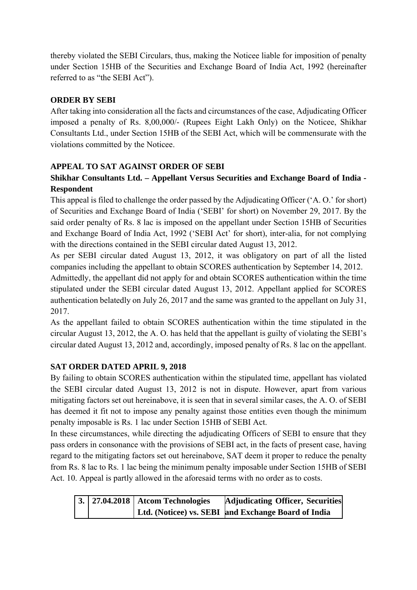thereby violated the SEBI Circulars, thus, making the Noticee liable for imposition of penalty under Section 15HB of the Securities and Exchange Board of India Act, 1992 (hereinafter referred to as "the SEBI Act").

# **ORDER BY SEBI**

After taking into consideration all the facts and circumstances of the case, Adjudicating Officer imposed a penalty of Rs. 8,00,000/- (Rupees Eight Lakh Only) on the Noticee, Shikhar Consultants Ltd., under Section 15HB of the SEBI Act, which will be commensurate with the violations committed by the Noticee.

# **APPEAL TO SAT AGAINST ORDER OF SEBI**

# **Shikhar Consultants Ltd. – Appellant Versus Securities and Exchange Board of India - Respondent**

This appeal is filed to challenge the order passed by the Adjudicating Officer ('A. O.' for short) of Securities and Exchange Board of India ('SEBI' for short) on November 29, 2017. By the said order penalty of Rs. 8 lac is imposed on the appellant under Section 15HB of Securities and Exchange Board of India Act, 1992 ('SEBI Act' for short), inter-alia, for not complying with the directions contained in the SEBI circular dated August 13, 2012.

As per SEBI circular dated August 13, 2012, it was obligatory on part of all the listed companies including the appellant to obtain SCORES authentication by September 14, 2012.

Admittedly, the appellant did not apply for and obtain SCORES authentication within the time stipulated under the SEBI circular dated August 13, 2012. Appellant applied for SCORES authentication belatedly on July 26, 2017 and the same was granted to the appellant on July 31, 2017.

As the appellant failed to obtain SCORES authentication within the time stipulated in the circular August 13, 2012, the A. O. has held that the appellant is guilty of violating the SEBI's circular dated August 13, 2012 and, accordingly, imposed penalty of Rs. 8 lac on the appellant.

# **SAT ORDER DATED APRIL 9, 2018**

By failing to obtain SCORES authentication within the stipulated time, appellant has violated the SEBI circular dated August 13, 2012 is not in dispute. However, apart from various mitigating factors set out hereinabove, it is seen that in several similar cases, the A. O. of SEBI has deemed it fit not to impose any penalty against those entities even though the minimum penalty imposable is Rs. 1 lac under Section 15HB of SEBI Act.

In these circumstances, while directing the adjudicating Officers of SEBI to ensure that they pass orders in consonance with the provisions of SEBI act, in the facts of present case, having regard to the mitigating factors set out hereinabove, SAT deem it proper to reduce the penalty from Rs. 8 lac to Rs. 1 lac being the minimum penalty imposable under Section 15HB of SEBI Act. 10. Appeal is partly allowed in the aforesaid terms with no order as to costs.

|  | 3.   27.04.2018   Atcom Technologies | <b>Adjudicating Officer, Securities</b>             |
|--|--------------------------------------|-----------------------------------------------------|
|  |                                      | Ltd. (Noticee) vs. SEBI and Exchange Board of India |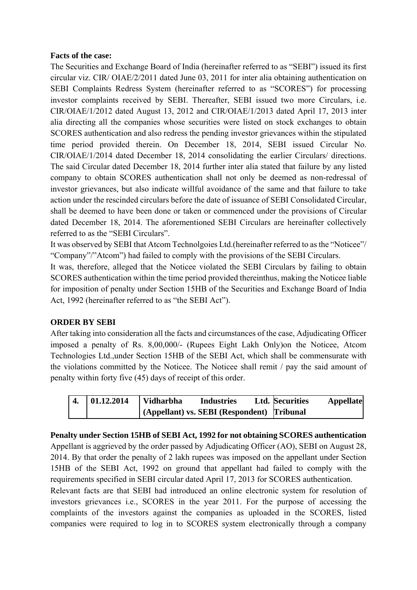### **Facts of the case:**

The Securities and Exchange Board of India (hereinafter referred to as "SEBI") issued its first circular viz. CIR/ OIAE/2/2011 dated June 03, 2011 for inter alia obtaining authentication on SEBI Complaints Redress System (hereinafter referred to as "SCORES") for processing investor complaints received by SEBI. Thereafter, SEBI issued two more Circulars, i.e. CIR/OIAE/1/2012 dated August 13, 2012 and CIR/OIAE/1/2013 dated April 17, 2013 inter alia directing all the companies whose securities were listed on stock exchanges to obtain SCORES authentication and also redress the pending investor grievances within the stipulated time period provided therein. On December 18, 2014, SEBI issued Circular No. CIR/OIAE/1/2014 dated December 18, 2014 consolidating the earlier Circulars/ directions. The said Circular dated December 18, 2014 further inter alia stated that failure by any listed company to obtain SCORES authentication shall not only be deemed as non-redressal of investor grievances, but also indicate willful avoidance of the same and that failure to take action under the rescinded circulars before the date of issuance of SEBI Consolidated Circular, shall be deemed to have been done or taken or commenced under the provisions of Circular dated December 18, 2014. The aforementioned SEBI Circulars are hereinafter collectively referred to as the "SEBI Circulars".

It was observed by SEBI that Atcom Technolgoies Ltd.(hereinafter referred to as the "Noticee"/ "Company"/"Atcom") had failed to comply with the provisions of the SEBI Circulars.

It was, therefore, alleged that the Noticee violated the SEBI Circulars by failing to obtain SCORES authentication within the time period provided thereinthus, making the Noticee liable for imposition of penalty under Section 15HB of the Securities and Exchange Board of India Act, 1992 (hereinafter referred to as "the SEBI Act").

### **ORDER BY SEBI**

After taking into consideration all the facts and circumstances of the case, Adjudicating Officer imposed a penalty of Rs. 8,00,000/- (Rupees Eight Lakh Only)on the Noticee, Atcom Technologies Ltd.,under Section 15HB of the SEBI Act, which shall be commensurate with the violations committed by the Noticee. The Noticee shall remit / pay the said amount of penalty within forty five (45) days of receipt of this order.

| $\overline{4}$ . | 01.12.2014 | <b>Vidharbha</b>                             | <b>Industries</b> | <b>Ltd. Securities</b> | <b>Appellate</b> |
|------------------|------------|----------------------------------------------|-------------------|------------------------|------------------|
|                  |            | (Appellant) vs. SEBI (Respondent) [Tribunal] |                   |                        |                  |

### **Penalty under Section 15HB of SEBI Act, 1992 for not obtaining SCORES authentication**

Appellant is aggrieved by the order passed by Adjudicating Officer (AO), SEBI on August 28, 2014. By that order the penalty of 2 lakh rupees was imposed on the appellant under Section 15HB of the SEBI Act, 1992 on ground that appellant had failed to comply with the requirements specified in SEBI circular dated April 17, 2013 for SCORES authentication.

Relevant facts are that SEBI had introduced an online electronic system for resolution of investors grievances i.e., SCORES in the year 2011. For the purpose of accessing the complaints of the investors against the companies as uploaded in the SCORES, listed companies were required to log in to SCORES system electronically through a company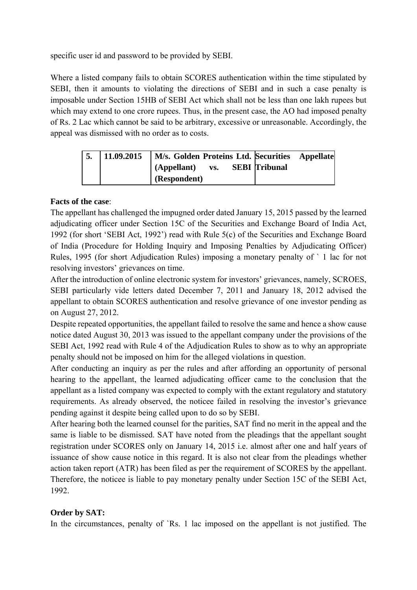specific user id and password to be provided by SEBI.

Where a listed company fails to obtain SCORES authentication within the time stipulated by SEBI, then it amounts to violating the directions of SEBI and in such a case penalty is imposable under Section 15HB of SEBI Act which shall not be less than one lakh rupees but which may extend to one crore rupees. Thus, in the present case, the AO had imposed penalty of Rs. 2 Lac which cannot be said to be arbitrary, excessive or unreasonable. Accordingly, the appeal was dismissed with no order as to costs.

| 5. | 11.09.2015 | M/s. Golden Proteins Ltd. Securities Appellate |     |                      |  |
|----|------------|------------------------------------------------|-----|----------------------|--|
|    |            | (Appellant)                                    | VS. | <b>SEBI</b> Tribunal |  |
|    |            | (Respondent)                                   |     |                      |  |

# **Facts of the case**:

The appellant has challenged the impugned order dated January 15, 2015 passed by the learned adjudicating officer under Section 15C of the Securities and Exchange Board of India Act, 1992 (for short 'SEBI Act, 1992') read with Rule 5(c) of the Securities and Exchange Board of India (Procedure for Holding Inquiry and Imposing Penalties by Adjudicating Officer) Rules, 1995 (for short Adjudication Rules) imposing a monetary penalty of ` 1 lac for not resolving investors' grievances on time.

After the introduction of online electronic system for investors' grievances, namely, SCROES, SEBI particularly vide letters dated December 7, 2011 and January 18, 2012 advised the appellant to obtain SCORES authentication and resolve grievance of one investor pending as on August 27, 2012.

Despite repeated opportunities, the appellant failed to resolve the same and hence a show cause notice dated August 30, 2013 was issued to the appellant company under the provisions of the SEBI Act, 1992 read with Rule 4 of the Adjudication Rules to show as to why an appropriate penalty should not be imposed on him for the alleged violations in question.

After conducting an inquiry as per the rules and after affording an opportunity of personal hearing to the appellant, the learned adjudicating officer came to the conclusion that the appellant as a listed company was expected to comply with the extant regulatory and statutory requirements. As already observed, the noticee failed in resolving the investor's grievance pending against it despite being called upon to do so by SEBI.

After hearing both the learned counsel for the parities, SAT find no merit in the appeal and the same is liable to be dismissed. SAT have noted from the pleadings that the appellant sought registration under SCORES only on January 14, 2015 i.e. almost after one and half years of issuance of show cause notice in this regard. It is also not clear from the pleadings whether action taken report (ATR) has been filed as per the requirement of SCORES by the appellant. Therefore, the noticee is liable to pay monetary penalty under Section 15C of the SEBI Act, 1992.

# **Order by SAT:**

In the circumstances, penalty of `Rs. 1 lac imposed on the appellant is not justified. The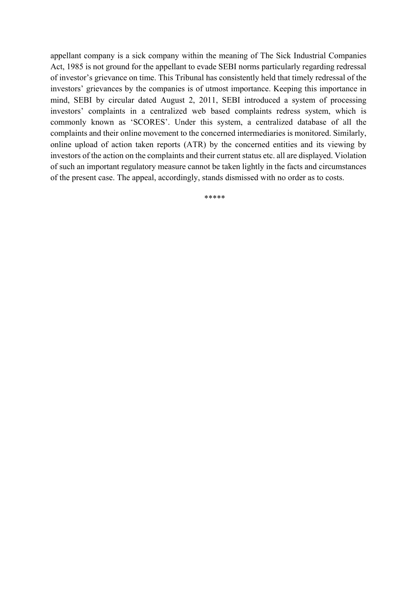appellant company is a sick company within the meaning of The Sick Industrial Companies Act, 1985 is not ground for the appellant to evade SEBI norms particularly regarding redressal of investor's grievance on time. This Tribunal has consistently held that timely redressal of the investors' grievances by the companies is of utmost importance. Keeping this importance in mind, SEBI by circular dated August 2, 2011, SEBI introduced a system of processing investors' complaints in a centralized web based complaints redress system, which is commonly known as 'SCORES'. Under this system, a centralized database of all the complaints and their online movement to the concerned intermediaries is monitored. Similarly, online upload of action taken reports (ATR) by the concerned entities and its viewing by investors of the action on the complaints and their current status etc. all are displayed. Violation of such an important regulatory measure cannot be taken lightly in the facts and circumstances of the present case. The appeal, accordingly, stands dismissed with no order as to costs.

\*\*\*\*\*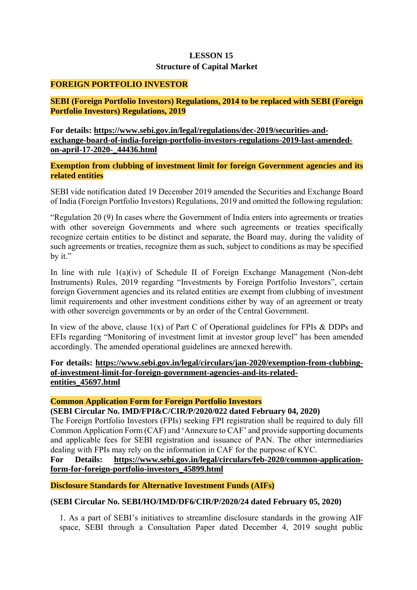# **LESSON 15 Structure of Capital Market**

### **FOREIGN PORTFOLIO INVESTOR**

**SEBI (Foreign Portfolio Investors) Regulations, 2014 to be replaced with SEBI (Foreign Portfolio Investors) Regulations, 2019** 

**For details: https://www.sebi.gov.in/legal/regulations/dec-2019/securities-andexchange-board-of-india-foreign-portfolio-investors-regulations-2019-last-amendedon-april-17-2020-\_44436.html** 

**Exemption from clubbing of investment limit for foreign Government agencies and its related entities** 

SEBI vide notification dated 19 December 2019 amended the Securities and Exchange Board of India (Foreign Portfolio Investors) Regulations, 2019 and omitted the following regulation:

"Regulation 20 (9) In cases where the Government of India enters into agreements or treaties with other sovereign Governments and where such agreements or treaties specifically recognize certain entities to be distinct and separate, the Board may, during the validity of such agreements or treaties, recognize them as such, subject to conditions as may be specified by it."

In line with rule 1(a)(iv) of Schedule II of Foreign Exchange Management (Non-debt Instruments) Rules, 2019 regarding "Investments by Foreign Portfolio Investors", certain foreign Government agencies and its related entities are exempt from clubbing of investment limit requirements and other investment conditions either by way of an agreement or treaty with other sovereign governments or by an order of the Central Government.

In view of the above, clause  $1(x)$  of Part C of Operational guidelines for FPIs & DDPs and EFIs regarding "Monitoring of investment limit at investor group level" has been amended accordingly. The amended operational guidelines are annexed herewith.

### **For details: https://www.sebi.gov.in/legal/circulars/jan-2020/exemption-from-clubbingof-investment-limit-for-foreign-government-agencies-and-its-relatedentities\_45697.html**

#### **Common Application Form for Foreign Portfolio Investors**

#### **(SEBI Circular No. IMD/FPI&C/CIR/P/2020/022 dated February 04, 2020)**

The Foreign Portfolio Investors (FPIs) seeking FPI registration shall be required to duly fill Common Application Form (CAF) and 'Annexure to CAF' and provide supporting documents and applicable fees for SEBI registration and issuance of PAN. The other intermediaries dealing with FPIs may rely on the information in CAF for the purpose of KYC.

**For Details: https://www.sebi.gov.in/legal/circulars/feb-2020/common-applicationform-for-foreign-portfolio-investors\_45899.html** 

#### **Disclosure Standards for Alternative Investment Funds (AIFs)**

## **(SEBI Circular No. SEBI/HO/IMD/DF6/CIR/P/2020/24 dated February 05, 2020)**

1. As a part of SEBI's initiatives to streamline disclosure standards in the growing AIF space, SEBI through a Consultation Paper dated December 4, 2019 sought public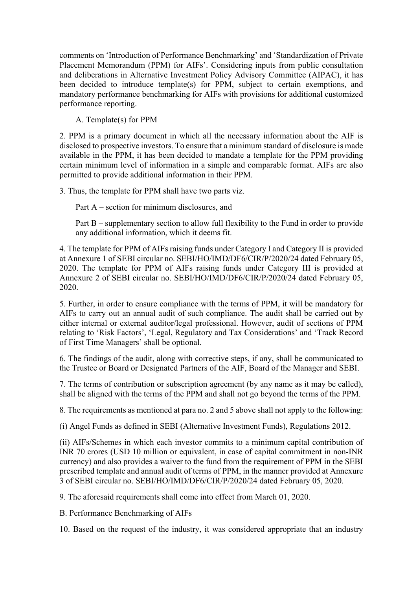comments on 'Introduction of Performance Benchmarking' and 'Standardization of Private Placement Memorandum (PPM) for AIFs'. Considering inputs from public consultation and deliberations in Alternative Investment Policy Advisory Committee (AIPAC), it has been decided to introduce template(s) for PPM, subject to certain exemptions, and mandatory performance benchmarking for AIFs with provisions for additional customized performance reporting.

A. Template(s) for PPM

2. PPM is a primary document in which all the necessary information about the AIF is disclosed to prospective investors. To ensure that a minimum standard of disclosure is made available in the PPM, it has been decided to mandate a template for the PPM providing certain minimum level of information in a simple and comparable format. AIFs are also permitted to provide additional information in their PPM.

3. Thus, the template for PPM shall have two parts viz.

Part A – section for minimum disclosures, and

Part B – supplementary section to allow full flexibility to the Fund in order to provide any additional information, which it deems fit.

4. The template for PPM of AIFs raising funds under Category I and Category II is provided at Annexure 1 of SEBI circular no. SEBI/HO/IMD/DF6/CIR/P/2020/24 dated February 05, 2020. The template for PPM of AIFs raising funds under Category III is provided at Annexure 2 of SEBI circular no. SEBI/HO/IMD/DF6/CIR/P/2020/24 dated February 05, 2020.

5. Further, in order to ensure compliance with the terms of PPM, it will be mandatory for AIFs to carry out an annual audit of such compliance. The audit shall be carried out by either internal or external auditor/legal professional. However, audit of sections of PPM relating to 'Risk Factors', 'Legal, Regulatory and Tax Considerations' and 'Track Record of First Time Managers' shall be optional.

6. The findings of the audit, along with corrective steps, if any, shall be communicated to the Trustee or Board or Designated Partners of the AIF, Board of the Manager and SEBI.

7. The terms of contribution or subscription agreement (by any name as it may be called), shall be aligned with the terms of the PPM and shall not go beyond the terms of the PPM.

8. The requirements as mentioned at para no. 2 and 5 above shall not apply to the following:

(i) Angel Funds as defined in SEBI (Alternative Investment Funds), Regulations 2012.

(ii) AIFs/Schemes in which each investor commits to a minimum capital contribution of INR 70 crores (USD 10 million or equivalent, in case of capital commitment in non-INR currency) and also provides a waiver to the fund from the requirement of PPM in the SEBI prescribed template and annual audit of terms of PPM, in the manner provided at Annexure 3 of SEBI circular no. SEBI/HO/IMD/DF6/CIR/P/2020/24 dated February 05, 2020.

9. The aforesaid requirements shall come into effect from March 01, 2020.

B. Performance Benchmarking of AIFs

10. Based on the request of the industry, it was considered appropriate that an industry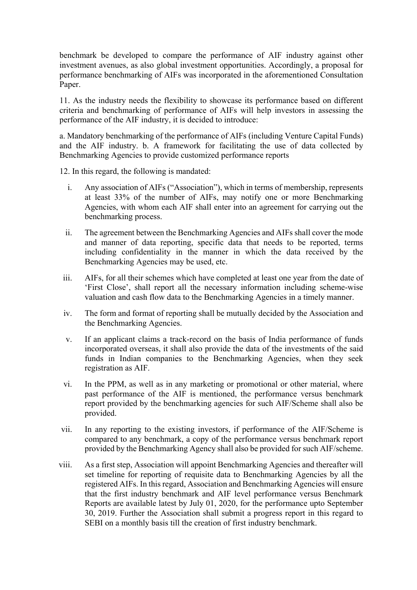benchmark be developed to compare the performance of AIF industry against other investment avenues, as also global investment opportunities. Accordingly, a proposal for performance benchmarking of AIFs was incorporated in the aforementioned Consultation Paper.

11. As the industry needs the flexibility to showcase its performance based on different criteria and benchmarking of performance of AIFs will help investors in assessing the performance of the AIF industry, it is decided to introduce:

a. Mandatory benchmarking of the performance of AIFs (including Venture Capital Funds) and the AIF industry. b. A framework for facilitating the use of data collected by Benchmarking Agencies to provide customized performance reports

12. In this regard, the following is mandated:

- i. Any association of AIFs ("Association"), which in terms of membership, represents at least 33% of the number of AIFs, may notify one or more Benchmarking Agencies, with whom each AIF shall enter into an agreement for carrying out the benchmarking process.
- ii. The agreement between the Benchmarking Agencies and AIFs shall cover the mode and manner of data reporting, specific data that needs to be reported, terms including confidentiality in the manner in which the data received by the Benchmarking Agencies may be used, etc.
- iii. AIFs, for all their schemes which have completed at least one year from the date of 'First Close', shall report all the necessary information including scheme-wise valuation and cash flow data to the Benchmarking Agencies in a timely manner.
- iv. The form and format of reporting shall be mutually decided by the Association and the Benchmarking Agencies.
- v. If an applicant claims a track-record on the basis of India performance of funds incorporated overseas, it shall also provide the data of the investments of the said funds in Indian companies to the Benchmarking Agencies, when they seek registration as AIF.
- vi. In the PPM, as well as in any marketing or promotional or other material, where past performance of the AIF is mentioned, the performance versus benchmark report provided by the benchmarking agencies for such AIF/Scheme shall also be provided.
- vii. In any reporting to the existing investors, if performance of the AIF/Scheme is compared to any benchmark, a copy of the performance versus benchmark report provided by the Benchmarking Agency shall also be provided for such AIF/scheme.
- viii. As a first step, Association will appoint Benchmarking Agencies and thereafter will set timeline for reporting of requisite data to Benchmarking Agencies by all the registered AIFs. In this regard, Association and Benchmarking Agencies will ensure that the first industry benchmark and AIF level performance versus Benchmark Reports are available latest by July 01, 2020, for the performance upto September 30, 2019. Further the Association shall submit a progress report in this regard to SEBI on a monthly basis till the creation of first industry benchmark.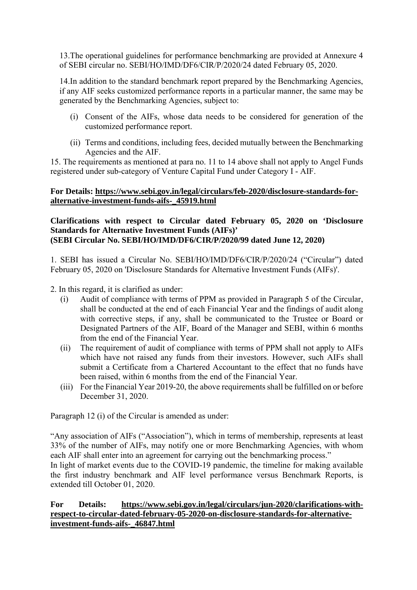13.The operational guidelines for performance benchmarking are provided at Annexure 4 of SEBI circular no. SEBI/HO/IMD/DF6/CIR/P/2020/24 dated February 05, 2020.

14.In addition to the standard benchmark report prepared by the Benchmarking Agencies, if any AIF seeks customized performance reports in a particular manner, the same may be generated by the Benchmarking Agencies, subject to:

- (i) Consent of the AIFs, whose data needs to be considered for generation of the customized performance report.
- (ii) Terms and conditions, including fees, decided mutually between the Benchmarking Agencies and the AIF.

15. The requirements as mentioned at para no. 11 to 14 above shall not apply to Angel Funds registered under sub-category of Venture Capital Fund under Category I - AIF.

### **For Details: https://www.sebi.gov.in/legal/circulars/feb-2020/disclosure-standards-foralternative-investment-funds-aifs-\_45919.html**

### **Clarifications with respect to Circular dated February 05, 2020 on 'Disclosure Standards for Alternative Investment Funds (AIFs)' (SEBI Circular No. SEBI/HO/IMD/DF6/CIR/P/2020/99 dated June 12, 2020)**

1. SEBI has issued a Circular No. SEBI/HO/IMD/DF6/CIR/P/2020/24 ("Circular") dated February 05, 2020 on 'Disclosure Standards for Alternative Investment Funds (AIFs)'.

- 2. In this regard, it is clarified as under:
	- (i) Audit of compliance with terms of PPM as provided in Paragraph 5 of the Circular, shall be conducted at the end of each Financial Year and the findings of audit along with corrective steps, if any, shall be communicated to the Trustee or Board or Designated Partners of the AIF, Board of the Manager and SEBI, within 6 months from the end of the Financial Year.
	- (ii) The requirement of audit of compliance with terms of PPM shall not apply to AIFs which have not raised any funds from their investors. However, such AIFs shall submit a Certificate from a Chartered Accountant to the effect that no funds have been raised, within 6 months from the end of the Financial Year.
	- (iii) For the Financial Year 2019-20, the above requirements shall be fulfilled on or before December 31, 2020.

Paragraph 12 (i) of the Circular is amended as under:

"Any association of AIFs ("Association"), which in terms of membership, represents at least 33% of the number of AIFs, may notify one or more Benchmarking Agencies, with whom each AIF shall enter into an agreement for carrying out the benchmarking process."

In light of market events due to the COVID-19 pandemic, the timeline for making available the first industry benchmark and AIF level performance versus Benchmark Reports, is extended till October 01, 2020.

### **For Details: https://www.sebi.gov.in/legal/circulars/jun-2020/clarifications-withrespect-to-circular-dated-february-05-2020-on-disclosure-standards-for-alternativeinvestment-funds-aifs-\_46847.html**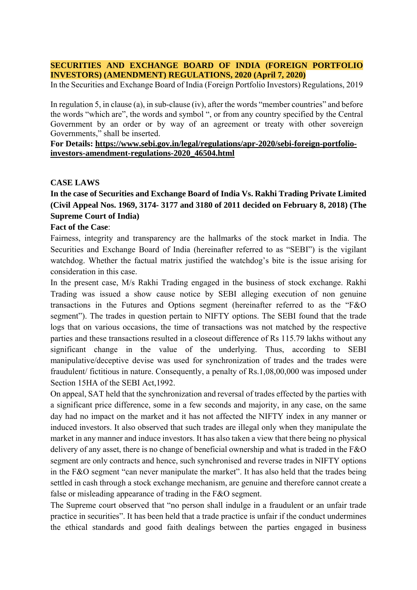#### **SECURITIES AND EXCHANGE BOARD OF INDIA (FOREIGN PORTFOLIO INVESTORS) (AMENDMENT) REGULATIONS, 2020 (April 7, 2020)**

In the Securities and Exchange Board of India (Foreign Portfolio Investors) Regulations, 2019

In regulation 5, in clause (a), in sub-clause (iv), after the words "member countries" and before the words "which are", the words and symbol ", or from any country specified by the Central Government by an order or by way of an agreement or treaty with other sovereign Governments," shall be inserted.

#### **For Details: https://www.sebi.gov.in/legal/regulations/apr-2020/sebi-foreign-portfolioinvestors-amendment-regulations-2020\_46504.html**

### **CASE LAWS**

# **In the case of Securities and Exchange Board of India Vs. Rakhi Trading Private Limited (Civil Appeal Nos. 1969, 3174- 3177 and 3180 of 2011 decided on February 8, 2018) (The Supreme Court of India)**

### **Fact of the Case**:

Fairness, integrity and transparency are the hallmarks of the stock market in India. The Securities and Exchange Board of India (hereinafter referred to as "SEBI") is the vigilant watchdog. Whether the factual matrix justified the watchdog's bite is the issue arising for consideration in this case.

In the present case, M/s Rakhi Trading engaged in the business of stock exchange. Rakhi Trading was issued a show cause notice by SEBI alleging execution of non genuine transactions in the Futures and Options segment (hereinafter referred to as the "F&O segment"). The trades in question pertain to NIFTY options. The SEBI found that the trade logs that on various occasions, the time of transactions was not matched by the respective parties and these transactions resulted in a closeout difference of Rs 115.79 lakhs without any significant change in the value of the underlying. Thus, according to SEBI manipulative/deceptive devise was used for synchronization of trades and the trades were fraudulent/ fictitious in nature. Consequently, a penalty of Rs.1,08,00,000 was imposed under Section 15HA of the SEBI Act,1992.

On appeal, SAT held that the synchronization and reversal of trades effected by the parties with a significant price difference, some in a few seconds and majority, in any case, on the same day had no impact on the market and it has not affected the NIFTY index in any manner or induced investors. It also observed that such trades are illegal only when they manipulate the market in any manner and induce investors. It has also taken a view that there being no physical delivery of any asset, there is no change of beneficial ownership and what is traded in the F&O segment are only contracts and hence, such synchronised and reverse trades in NIFTY options in the F&O segment "can never manipulate the market". It has also held that the trades being settled in cash through a stock exchange mechanism, are genuine and therefore cannot create a false or misleading appearance of trading in the F&O segment.

The Supreme court observed that "no person shall indulge in a fraudulent or an unfair trade practice in securities". It has been held that a trade practice is unfair if the conduct undermines the ethical standards and good faith dealings between the parties engaged in business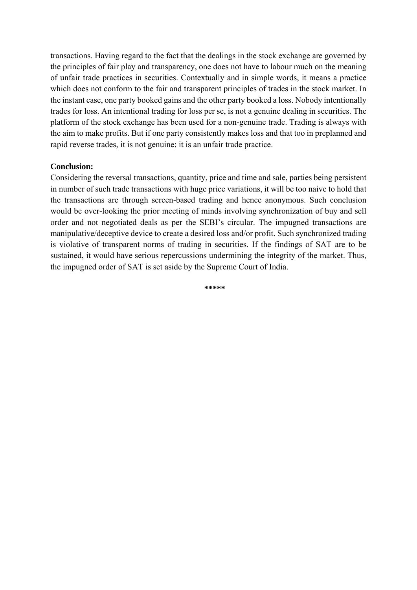transactions. Having regard to the fact that the dealings in the stock exchange are governed by the principles of fair play and transparency, one does not have to labour much on the meaning of unfair trade practices in securities. Contextually and in simple words, it means a practice which does not conform to the fair and transparent principles of trades in the stock market. In the instant case, one party booked gains and the other party booked a loss. Nobody intentionally trades for loss. An intentional trading for loss per se, is not a genuine dealing in securities. The platform of the stock exchange has been used for a non-genuine trade. Trading is always with the aim to make profits. But if one party consistently makes loss and that too in preplanned and rapid reverse trades, it is not genuine; it is an unfair trade practice.

### **Conclusion:**

Considering the reversal transactions, quantity, price and time and sale, parties being persistent in number of such trade transactions with huge price variations, it will be too naive to hold that the transactions are through screen-based trading and hence anonymous. Such conclusion would be over-looking the prior meeting of minds involving synchronization of buy and sell order and not negotiated deals as per the SEBI's circular. The impugned transactions are manipulative/deceptive device to create a desired loss and/or profit. Such synchronized trading is violative of transparent norms of trading in securities. If the findings of SAT are to be sustained, it would have serious repercussions undermining the integrity of the market. Thus, the impugned order of SAT is set aside by the Supreme Court of India.

**\*\*\*\*\***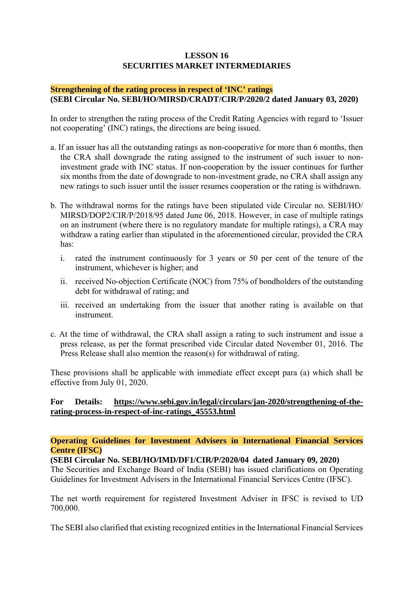# **LESSON 16 SECURITIES MARKET INTERMEDIARIES**

#### **Strengthening of the rating process in respect of 'INC' ratings (SEBI Circular No. SEBI/HO/MIRSD/CRADT/CIR/P/2020/2 dated January 03, 2020)**

In order to strengthen the rating process of the Credit Rating Agencies with regard to 'Issuer not cooperating' (INC) ratings, the directions are being issued.

- a. If an issuer has all the outstanding ratings as non-cooperative for more than 6 months, then the CRA shall downgrade the rating assigned to the instrument of such issuer to noninvestment grade with INC status. If non-cooperation by the issuer continues for further six months from the date of downgrade to non-investment grade, no CRA shall assign any new ratings to such issuer until the issuer resumes cooperation or the rating is withdrawn.
- b. The withdrawal norms for the ratings have been stipulated vide Circular no. SEBI/HO/ MIRSD/DOP2/CIR/P/2018/95 dated June 06, 2018. However, in case of multiple ratings on an instrument (where there is no regulatory mandate for multiple ratings), a CRA may withdraw a rating earlier than stipulated in the aforementioned circular, provided the CRA has:
	- i. rated the instrument continuously for 3 years or 50 per cent of the tenure of the instrument, whichever is higher; and
	- ii. received No-objection Certificate (NOC) from 75% of bondholders of the outstanding debt for withdrawal of rating; and
	- iii. received an undertaking from the issuer that another rating is available on that instrument.
- c. At the time of withdrawal, the CRA shall assign a rating to such instrument and issue a press release, as per the format prescribed vide Circular dated November 01, 2016. The Press Release shall also mention the reason(s) for withdrawal of rating.

These provisions shall be applicable with immediate effect except para (a) which shall be effective from July 01, 2020.

### **For Details: https://www.sebi.gov.in/legal/circulars/jan-2020/strengthening-of-therating-process-in-respect-of-inc-ratings\_45553.html**

**Operating Guidelines for Investment Advisers in International Financial Services Centre (IFSC)** 

#### **(SEBI Circular No. SEBI/HO/IMD/DF1/CIR/P/2020/04 dated January 09, 2020)**

The Securities and Exchange Board of India (SEBI) has issued clarifications on Operating Guidelines for Investment Advisers in the International Financial Services Centre (IFSC).

The net worth requirement for registered Investment Adviser in IFSC is revised to UD 700,000.

The SEBI also clarified that existing recognized entities in the International Financial Services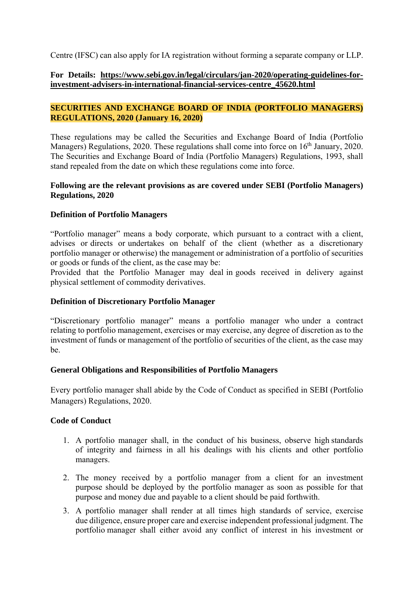Centre (IFSC) can also apply for IA registration without forming a separate company or LLP.

### **For Details: https://www.sebi.gov.in/legal/circulars/jan-2020/operating-guidelines-forinvestment-advisers-in-international-financial-services-centre\_45620.html**

### **SECURITIES AND EXCHANGE BOARD OF INDIA (PORTFOLIO MANAGERS) REGULATIONS, 2020 (January 16, 2020)**

These regulations may be called the Securities and Exchange Board of India (Portfolio Managers) Regulations, 2020. These regulations shall come into force on 16<sup>th</sup> January, 2020. The Securities and Exchange Board of India (Portfolio Managers) Regulations, 1993, shall stand repealed from the date on which these regulations come into force.

### **Following are the relevant provisions as are covered under SEBI (Portfolio Managers) Regulations, 2020**

### **Definition of Portfolio Managers**

"Portfolio manager" means a body corporate, which pursuant to a contract with a client, advises or directs or undertakes on behalf of the client (whether as a discretionary portfolio manager or otherwise) the management or administration of a portfolio of securities or goods or funds of the client, as the case may be:

Provided that the Portfolio Manager may deal in goods received in delivery against physical settlement of commodity derivatives.

#### **Definition of Discretionary Portfolio Manager**

"Discretionary portfolio manager" means a portfolio manager who under a contract relating to portfolio management, exercises or may exercise, any degree of discretion as to the investment of funds or management of the portfolio of securities of the client, as the case may be.

#### **General Obligations and Responsibilities of Portfolio Managers**

Every portfolio manager shall abide by the Code of Conduct as specified in SEBI (Portfolio Managers) Regulations, 2020.

#### **Code of Conduct**

- 1. A portfolio manager shall, in the conduct of his business, observe high standards of integrity and fairness in all his dealings with his clients and other portfolio managers.
- 2. The money received by a portfolio manager from a client for an investment purpose should be deployed by the portfolio manager as soon as possible for that purpose and money due and payable to a client should be paid forthwith.
- 3. A portfolio manager shall render at all times high standards of service, exercise due diligence, ensure proper care and exercise independent professional judgment. The portfolio manager shall either avoid any conflict of interest in his investment or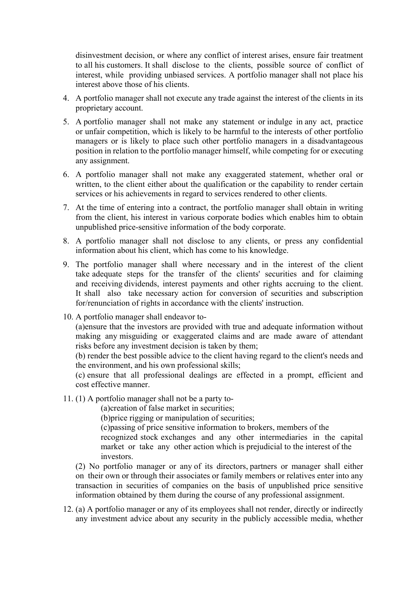disinvestment decision, or where any conflict of interest arises, ensure fair treatment to all his customers. It shall disclose to the clients, possible source of conflict of interest, while providing unbiased services. A portfolio manager shall not place his interest above those of his clients.

- 4. A portfolio manager shall not execute any trade against the interest of the clients in its proprietary account.
- 5. A portfolio manager shall not make any statement or indulge in any act, practice or unfair competition, which is likely to be harmful to the interests of other portfolio managers or is likely to place such other portfolio managers in a disadvantageous position in relation to the portfolio manager himself, while competing for or executing any assignment.
- 6. A portfolio manager shall not make any exaggerated statement, whether oral or written, to the client either about the qualification or the capability to render certain services or his achievements in regard to services rendered to other clients.
- 7. At the time of entering into a contract, the portfolio manager shall obtain in writing from the client, his interest in various corporate bodies which enables him to obtain unpublished price-sensitive information of the body corporate.
- 8. A portfolio manager shall not disclose to any clients, or press any confidential information about his client, which has come to his knowledge.
- 9. The portfolio manager shall where necessary and in the interest of the client take adequate steps for the transfer of the clients' securities and for claiming and receiving dividends, interest payments and other rights accruing to the client. It shall also take necessary action for conversion of securities and subscription for/renunciation of rights in accordance with the clients' instruction.
- 10. A portfolio manager shall endeavor to-

(a)ensure that the investors are provided with true and adequate information without making any misguiding or exaggerated claims and are made aware of attendant risks before any investment decision is taken by them;

(b) render the best possible advice to the client having regard to the client's needs and the environment, and his own professional skills;

(c) ensure that all professional dealings are effected in a prompt, efficient and cost effective manner.

11. (1) A portfolio manager shall not be a party to-

(a)creation of false market in securities;

(b)price rigging or manipulation of securities;

(c)passing of price sensitive information to brokers, members of the

recognized stock exchanges and any other intermediaries in the capital market or take any other action which is prejudicial to the interest of the investors.

(2) No portfolio manager or any of its directors, partners or manager shall either on their own or through their associates or family members or relatives enter into any transaction in securities of companies on the basis of unpublished price sensitive information obtained by them during the course of any professional assignment.

12. (a) A portfolio manager or any of its employees shall not render, directly or indirectly any investment advice about any security in the publicly accessible media, whether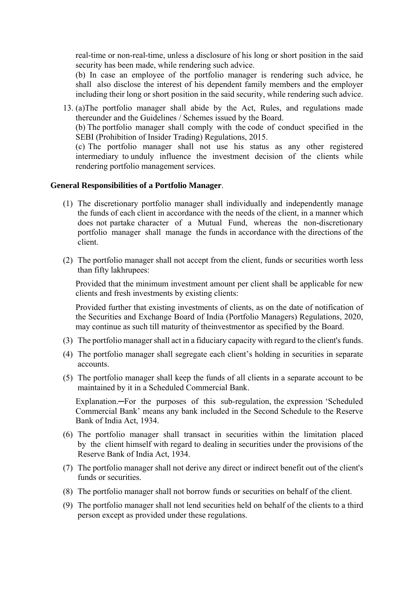real-time or non-real-time, unless a disclosure of his long or short position in the said security has been made, while rendering such advice.

(b) In case an employee of the portfolio manager is rendering such advice, he shall also disclose the interest of his dependent family members and the employer including their long or short position in the said security, while rendering such advice.

13. (a)The portfolio manager shall abide by the Act, Rules, and regulations made thereunder and the Guidelines / Schemes issued by the Board.

(b) The portfolio manager shall comply with the code of conduct specified in the SEBI (Prohibition of Insider Trading) Regulations, 2015.

(c) The portfolio manager shall not use his status as any other registered intermediary to unduly influence the investment decision of the clients while rendering portfolio management services.

#### **General Responsibilities of a Portfolio Manager**.

- (1) The discretionary portfolio manager shall individually and independently manage the funds of each client in accordance with the needs of the client, in a manner which does not partake character of a Mutual Fund, whereas the non-discretionary portfolio manager shall manage the funds in accordance with the directions of the client.
- (2) The portfolio manager shall not accept from the client, funds or securities worth less than fifty lakhrupees:

Provided that the minimum investment amount per client shall be applicable for new clients and fresh investments by existing clients:

Provided further that existing investments of clients, as on the date of notification of the Securities and Exchange Board of India (Portfolio Managers) Regulations, 2020, may continue as such till maturity of theinvestmentor as specified by the Board.

- (3) The portfolio manager shall act in a fiduciary capacity with regard to the client's funds.
- (4) The portfolio manager shall segregate each client's holding in securities in separate accounts.
- (5) The portfolio manager shall keep the funds of all clients in a separate account to be maintained by it in a Scheduled Commercial Bank.

Explanation.—For the purposes of this sub-regulation, the expression 'Scheduled Commercial Bank' means any bank included in the Second Schedule to the Reserve Bank of India Act, 1934.

- (6) The portfolio manager shall transact in securities within the limitation placed by the client himself with regard to dealing in securities under the provisions of the Reserve Bank of India Act, 1934.
- (7) The portfolio manager shall not derive any direct or indirect benefit out of the client's funds or securities.
- (8) The portfolio manager shall not borrow funds or securities on behalf of the client.
- (9) The portfolio manager shall not lend securities held on behalf of the clients to a third person except as provided under these regulations.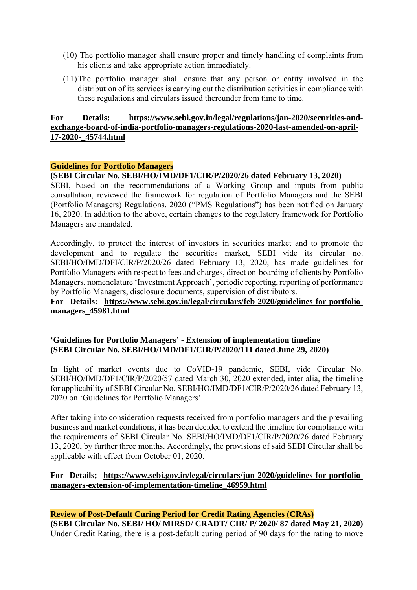- (10) The portfolio manager shall ensure proper and timely handling of complaints from his clients and take appropriate action immediately.
- (11)The portfolio manager shall ensure that any person or entity involved in the distribution of its services is carrying out the distribution activities in compliance with these regulations and circulars issued thereunder from time to time.

### **For Details: https://www.sebi.gov.in/legal/regulations/jan-2020/securities-andexchange-board-of-india-portfolio-managers-regulations-2020-last-amended-on-april-17-2020-\_45744.html**

#### **Guidelines for Portfolio Managers**

#### **(SEBI Circular No. SEBI/HO/IMD/DF1/CIR/P/2020/26 dated February 13, 2020)**

SEBI, based on the recommendations of a Working Group and inputs from public consultation, reviewed the framework for regulation of Portfolio Managers and the SEBI (Portfolio Managers) Regulations, 2020 ("PMS Regulations") has been notified on January 16, 2020. In addition to the above, certain changes to the regulatory framework for Portfolio Managers are mandated.

Accordingly, to protect the interest of investors in securities market and to promote the development and to regulate the securities market, SEBI vide its circular no. SEBI/HO/IMD/DFI/CIR/P/2020/26 dated February 13, 2020, has made guidelines for Portfolio Managers with respect to fees and charges, direct on-boarding of clients by Portfolio Managers, nomenclature 'Investment Approach', periodic reporting, reporting of performance by Portfolio Managers, disclosure documents, supervision of distributors.

## **For Details: https://www.sebi.gov.in/legal/circulars/feb-2020/guidelines-for-portfoliomanagers\_45981.html**

### **'Guidelines for Portfolio Managers' - Extension of implementation timeline (SEBI Circular No. SEBI/HO/IMD/DF1/CIR/P/2020/111 dated June 29, 2020)**

In light of market events due to CoVID-19 pandemic, SEBI, vide Circular No. SEBI/HO/IMD/DF1/CIR/P/2020/57 dated March 30, 2020 extended, inter alia, the timeline for applicability of SEBI Circular No. SEBI/HO/IMD/DF1/CIR/P/2020/26 dated February 13, 2020 on 'Guidelines for Portfolio Managers'.

After taking into consideration requests received from portfolio managers and the prevailing business and market conditions, it has been decided to extend the timeline for compliance with the requirements of SEBI Circular No. SEBI/HO/IMD/DF1/CIR/P/2020/26 dated February 13, 2020, by further three months. Accordingly, the provisions of said SEBI Circular shall be applicable with effect from October 01, 2020.

### **For Details; https://www.sebi.gov.in/legal/circulars/jun-2020/guidelines-for-portfoliomanagers-extension-of-implementation-timeline\_46959.html**

### **Review of Post-Default Curing Period for Credit Rating Agencies (CRAs)**

**(SEBI Circular No. SEBI/ HO/ MIRSD/ CRADT/ CIR/ P/ 2020/ 87 dated May 21, 2020)**  Under Credit Rating, there is a post-default curing period of 90 days for the rating to move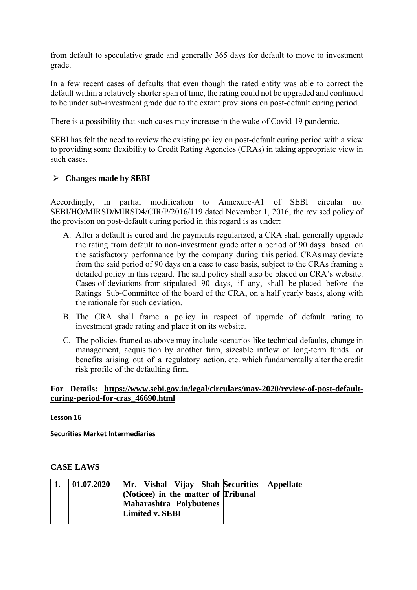from default to speculative grade and generally 365 days for default to move to investment grade.

In a few recent cases of defaults that even though the rated entity was able to correct the default within a relatively shorter span of time, the rating could not be upgraded and continued to be under sub-investment grade due to the extant provisions on post-default curing period.

There is a possibility that such cases may increase in the wake of Covid-19 pandemic.

SEBI has felt the need to review the existing policy on post-default curing period with a view to providing some flexibility to Credit Rating Agencies (CRAs) in taking appropriate view in such cases.

### **Changes made by SEBI**

Accordingly, in partial modification to Annexure-A1 of SEBI circular no. SEBI/HO/MIRSD/MIRSD4/CIR/P/2016/119 dated November 1, 2016, the revised policy of the provision on post-default curing period in this regard is as under:

- A. After a default is cured and the payments regularized, a CRA shall generally upgrade the rating from default to non-investment grade after a period of 90 days based on the satisfactory performance by the company during this period. CRAs may deviate from the said period of 90 days on a case to case basis, subject to the CRAs framing a detailed policy in this regard. The said policy shall also be placed on CRA's website. Cases of deviations from stipulated 90 days, if any, shall be placed before the Ratings Sub-Committee of the board of the CRA, on a half yearly basis, along with the rationale for such deviation.
- B. The CRA shall frame a policy in respect of upgrade of default rating to investment grade rating and place it on its website.
- C. The policies framed as above may include scenarios like technical defaults, change in management, acquisition by another firm, sizeable inflow of long-term funds or benefits arising out of a regulatory action, etc. which fundamentally alter the credit risk profile of the defaulting firm.

#### **For Details: https://www.sebi.gov.in/legal/circulars/may-2020/review-of-post-defaultcuring-period-for-cras\_46690.html**

**Lesson 16**

**Securities Market Intermediaries**

### **CASE LAWS**

| 01.07.2020 | Mr. Vishal Vijay Shah Securities Appellate                                        |
|------------|-----------------------------------------------------------------------------------|
|            | (Noticee) in the matter of Tribunal<br>Maharashtra Polybutenes<br>Limited v. SEBI |
|            |                                                                                   |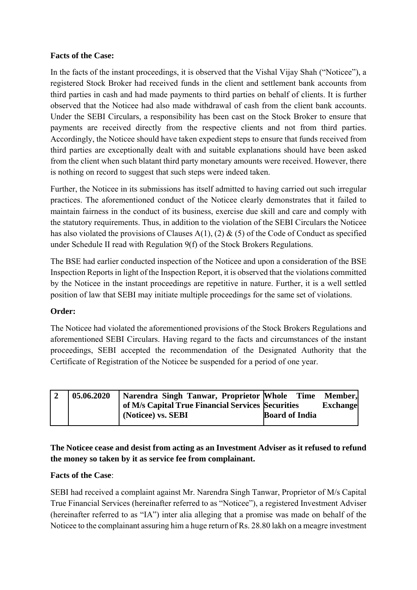# **Facts of the Case:**

In the facts of the instant proceedings, it is observed that the Vishal Vijay Shah ("Noticee"), a registered Stock Broker had received funds in the client and settlement bank accounts from third parties in cash and had made payments to third parties on behalf of clients. It is further observed that the Noticee had also made withdrawal of cash from the client bank accounts. Under the SEBI Circulars, a responsibility has been cast on the Stock Broker to ensure that payments are received directly from the respective clients and not from third parties. Accordingly, the Noticee should have taken expedient steps to ensure that funds received from third parties are exceptionally dealt with and suitable explanations should have been asked from the client when such blatant third party monetary amounts were received. However, there is nothing on record to suggest that such steps were indeed taken.

Further, the Noticee in its submissions has itself admitted to having carried out such irregular practices. The aforementioned conduct of the Noticee clearly demonstrates that it failed to maintain fairness in the conduct of its business, exercise due skill and care and comply with the statutory requirements. Thus, in addition to the violation of the SEBI Circulars the Noticee has also violated the provisions of Clauses A(1), (2)  $\&$  (5) of the Code of Conduct as specified under Schedule II read with Regulation 9(f) of the Stock Brokers Regulations.

The BSE had earlier conducted inspection of the Noticee and upon a consideration of the BSE Inspection Reports in light of the Inspection Report, it is observed that the violations committed by the Noticee in the instant proceedings are repetitive in nature. Further, it is a well settled position of law that SEBI may initiate multiple proceedings for the same set of violations.

### **Order:**

The Noticee had violated the aforementioned provisions of the Stock Brokers Regulations and aforementioned SEBI Circulars. Having regard to the facts and circumstances of the instant proceedings, SEBI accepted the recommendation of the Designated Authority that the Certificate of Registration of the Noticee be suspended for a period of one year.

| 05.06.2020 | Narendra Singh Tanwar, Proprietor Whole Time Member, |                       |                 |
|------------|------------------------------------------------------|-----------------------|-----------------|
|            | of M/s Capital True Financial Services Securities    |                       | <b>Exchange</b> |
|            | (Noticee) vs. SEBI                                   | <b>Board of India</b> |                 |
|            |                                                      |                       |                 |

# **The Noticee cease and desist from acting as an Investment Adviser as it refused to refund the money so taken by it as service fee from complainant.**

### **Facts of the Case**:

SEBI had received a complaint against Mr. Narendra Singh Tanwar, Proprietor of M/s Capital True Financial Services (hereinafter referred to as "Noticee"), a registered Investment Adviser (hereinafter referred to as "IA") inter alia alleging that a promise was made on behalf of the Noticee to the complainant assuring him a huge return of Rs. 28.80 lakh on a meagre investment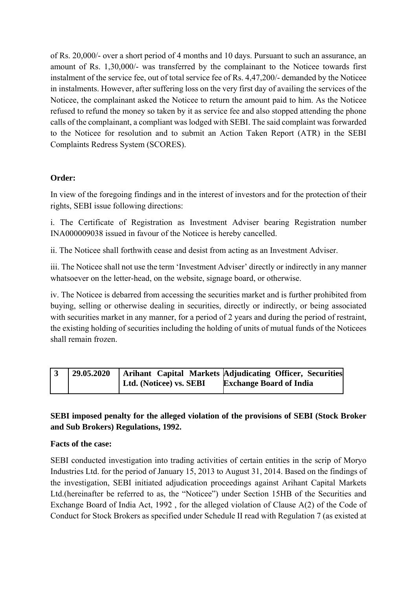of Rs. 20,000/- over a short period of 4 months and 10 days. Pursuant to such an assurance, an amount of Rs. 1,30,000/- was transferred by the complainant to the Noticee towards first instalment of the service fee, out of total service fee of Rs. 4,47,200/- demanded by the Noticee in instalments. However, after suffering loss on the very first day of availing the services of the Noticee, the complainant asked the Noticee to return the amount paid to him. As the Noticee refused to refund the money so taken by it as service fee and also stopped attending the phone calls of the complainant, a compliant was lodged with SEBI. The said complaint was forwarded to the Noticee for resolution and to submit an Action Taken Report (ATR) in the SEBI Complaints Redress System (SCORES).

### **Order:**

In view of the foregoing findings and in the interest of investors and for the protection of their rights, SEBI issue following directions:

i. The Certificate of Registration as Investment Adviser bearing Registration number INA000009038 issued in favour of the Noticee is hereby cancelled.

ii. The Noticee shall forthwith cease and desist from acting as an Investment Adviser.

iii. The Noticee shall not use the term 'Investment Adviser' directly or indirectly in any manner whatsoever on the letter-head, on the website, signage board, or otherwise.

iv. The Noticee is debarred from accessing the securities market and is further prohibited from buying, selling or otherwise dealing in securities, directly or indirectly, or being associated with securities market in any manner, for a period of 2 years and during the period of restraint, the existing holding of securities including the holding of units of mutual funds of the Noticees shall remain frozen.

| 29.05.2020 |                         | Arihant Capital Markets Adjudicating Officer, Securities |
|------------|-------------------------|----------------------------------------------------------|
|            | Ltd. (Noticee) vs. SEBI | <b>Exchange Board of India</b>                           |

## **SEBI imposed penalty for the alleged violation of the provisions of SEBI (Stock Broker and Sub Brokers) Regulations, 1992.**

### **Facts of the case:**

SEBI conducted investigation into trading activities of certain entities in the scrip of Moryo Industries Ltd. for the period of January 15, 2013 to August 31, 2014. Based on the findings of the investigation, SEBI initiated adjudication proceedings against Arihant Capital Markets Ltd.(hereinafter be referred to as, the "Noticee") under Section 15HB of the Securities and Exchange Board of India Act, 1992 , for the alleged violation of Clause A(2) of the Code of Conduct for Stock Brokers as specified under Schedule II read with Regulation 7 (as existed at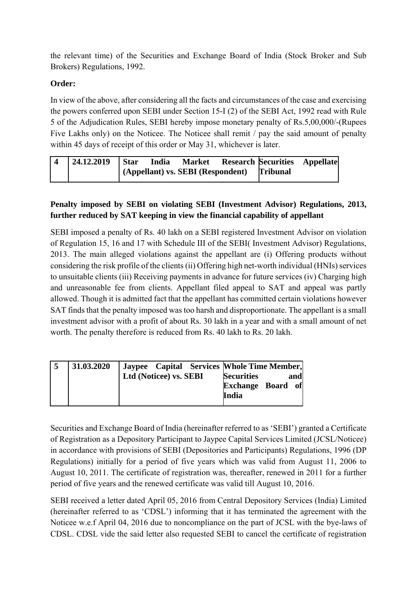the relevant time) of the Securities and Exchange Board of India (Stock Broker and Sub Brokers) Regulations, 1992.

### **Order:**

In view of the above, after considering all the facts and circumstances of the case and exercising the powers conferred upon SEBI under Section 15-I (2) of the SEBI Act, 1992 read with Rule 5 of the Adjudication Rules, SEBI hereby impose monetary penalty of Rs.5,00,000/-(Rupees Five Lakhs only) on the Noticee. The Noticee shall remit / pay the said amount of penalty within 45 days of receipt of this order or May 31, whichever is later.

| $\overline{4}$ | $ 24.12.2019 $ Star |  | India Market Research Securities Appellate   |  |
|----------------|---------------------|--|----------------------------------------------|--|
|                |                     |  | (Appellant) vs. SEBI (Respondent) [Tribunal] |  |

# **Penalty imposed by SEBI on violating SEBI (Investment Advisor) Regulations, 2013, further reduced by SAT keeping in view the financial capability of appellant**

SEBI imposed a penalty of Rs. 40 lakh on a SEBI registered Investment Advisor on violation of Regulation 15, 16 and 17 with Schedule III of the SEBI( Investment Advisor) Regulations, 2013. The main alleged violations against the appellant are (i) Offering products without considering the risk profile of the clients (ii) Offering high net-worth individual (HNIs) services to unsuitable clients (iii) Receiving payments in advance for future services (iv) Charging high and unreasonable fee from clients. Appellant filed appeal to SAT and appeal was partly allowed. Though it is admitted fact that the appellant has committed certain violations however SAT finds that the penalty imposed was too harsh and disproportionate. The appellant is a small investment advisor with a profit of about Rs. 30 lakh in a year and with a small amount of net worth. The penalty therefore is reduced from Rs. 40 lakh to Rs. 20 lakh.

| 31.03.2020 |                        | Jaypee Capital Services   Whole Time Member, |
|------------|------------------------|----------------------------------------------|
|            | Ltd (Noticee) vs. SEBI | <b>Securities</b><br>and                     |
|            |                        | <b>Exchange Board of</b>                     |
|            |                        | India                                        |
|            |                        |                                              |

Securities and Exchange Board of India (hereinafter referred to as 'SEBI') granted a Certificate of Registration as a Depository Participant to Jaypee Capital Services Limited (JCSL/Noticee) in accordance with provisions of SEBI (Depositories and Participants) Regulations, 1996 (DP Regulations) initially for a period of five years which was valid from August 11, 2006 to August 10, 2011. The certificate of registration was, thereafter, renewed in 2011 for a further period of five years and the renewed certificate was valid till August 10, 2016.

SEBI received a letter dated April 05, 2016 from Central Depository Services (India) Limited (hereinafter referred to as 'CDSL') informing that it has terminated the agreement with the Noticee w.e.f April 04, 2016 due to noncompliance on the part of JCSL with the bye-laws of CDSL. CDSL vide the said letter also requested SEBI to cancel the certificate of registration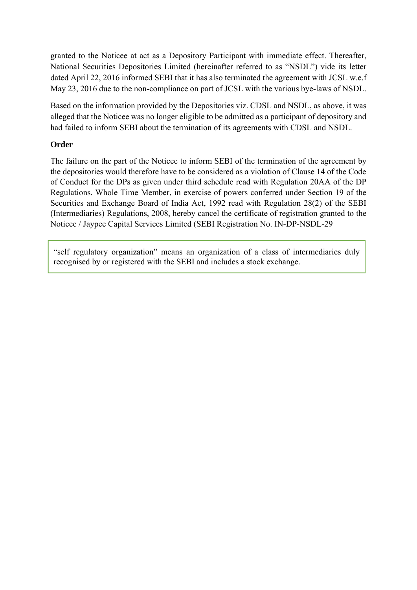granted to the Noticee at act as a Depository Participant with immediate effect. Thereafter, National Securities Depositories Limited (hereinafter referred to as "NSDL") vide its letter dated April 22, 2016 informed SEBI that it has also terminated the agreement with JCSL w.e.f May 23, 2016 due to the non-compliance on part of JCSL with the various bye-laws of NSDL.

Based on the information provided by the Depositories viz. CDSL and NSDL, as above, it was alleged that the Noticee was no longer eligible to be admitted as a participant of depository and had failed to inform SEBI about the termination of its agreements with CDSL and NSDL.

#### **Order**

The failure on the part of the Noticee to inform SEBI of the termination of the agreement by the depositories would therefore have to be considered as a violation of Clause 14 of the Code of Conduct for the DPs as given under third schedule read with Regulation 20AA of the DP Regulations. Whole Time Member, in exercise of powers conferred under Section 19 of the Securities and Exchange Board of India Act, 1992 read with Regulation 28(2) of the SEBI (Intermediaries) Regulations, 2008, hereby cancel the certificate of registration granted to the Noticee / Jaypee Capital Services Limited (SEBI Registration No. IN-DP-NSDL-29

"self regulatory organization" means an organization of a class of intermediaries duly recognised by or registered with the SEBI and includes a stock exchange.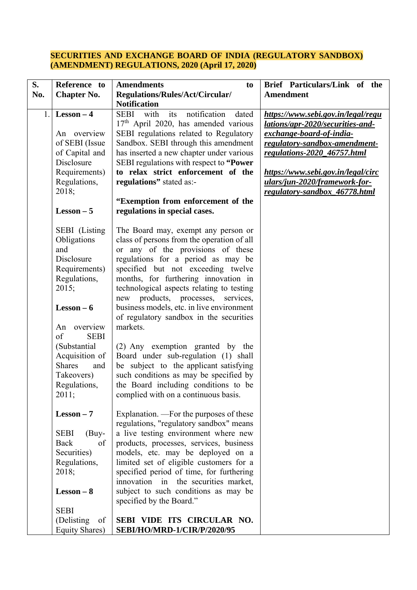#### **SECURITIES AND EXCHANGE BOARD OF INDIA (REGULATORY SANDBOX) (AMENDMENT) REGULATIONS, 2020 (April 17, 2020)**

| S.<br>No. | Reference to<br><b>Chapter No.</b>                                                                                                              | <b>Amendments</b><br>to<br>Regulations/Rules/Act/Circular/                                                                                                                                                                                                                                                                                                                                                                        | Brief Particulars/Link of the<br><b>Amendment</b>                                                                                                                                                                                                                          |
|-----------|-------------------------------------------------------------------------------------------------------------------------------------------------|-----------------------------------------------------------------------------------------------------------------------------------------------------------------------------------------------------------------------------------------------------------------------------------------------------------------------------------------------------------------------------------------------------------------------------------|----------------------------------------------------------------------------------------------------------------------------------------------------------------------------------------------------------------------------------------------------------------------------|
| 1.        | $Lesson - 4$<br>An overview<br>of SEBI (Issue<br>of Capital and<br>Disclosure<br>Requirements)<br>Regulations,<br>2018;<br>$Lesson - 5$         | <b>Notification</b><br>its<br>notification<br>dated<br>SEBI with<br>$17th$ April 2020, has amended various<br>SEBI regulations related to Regulatory<br>Sandbox. SEBI through this amendment<br>has inserted a new chapter under various<br>SEBI regulations with respect to "Power"<br>to relax strict enforcement of the<br>regulations" stated as:-<br>"Exemption from enforcement of the<br>regulations in special cases.     | https://www.sebi.gov.in/legal/regu<br>lations/apr-2020/securities-and-<br>exchange-board-of-india-<br>regulatory-sandbox-amendment-<br>regulations-2020_46757.html<br>https://www.sebi.gov.in/legal/circ<br>ulars/jun-2020/framework-for-<br>regulatory-sandbox_46778.html |
|           | SEBI (Listing<br>Obligations<br>and<br>Disclosure<br>Requirements)<br>Regulations,<br>2015;<br>$Lesson - 6$<br>An overview<br>of<br><b>SEBI</b> | The Board may, exempt any person or<br>class of persons from the operation of all<br>or any of the provisions of these<br>regulations for a period as may be<br>specified but not exceeding twelve<br>months, for furthering innovation in<br>technological aspects relating to testing<br>new products, processes, services,<br>business models, etc. in live environment<br>of regulatory sandbox in the securities<br>markets. |                                                                                                                                                                                                                                                                            |
|           | (Substantial<br>Acquisition of<br><b>Shares</b><br>and<br>Takeovers)<br>Regulations,<br>2011;                                                   | (2) Any exemption granted by the<br>Board under sub-regulation (1) shall<br>be subject to the applicant satisfying<br>such conditions as may be specified by<br>the Board including conditions to be<br>complied with on a continuous basis.                                                                                                                                                                                      |                                                                                                                                                                                                                                                                            |
|           | $Lesson - 7$<br><b>SEBI</b><br>$(Buy-$<br>Back<br>of<br>Securities)<br>Regulations,<br>2018;<br>$Lesson - 8$<br><b>SEBI</b>                     | Explanation. —For the purposes of these<br>regulations, "regulatory sandbox" means<br>a live testing environment where new<br>products, processes, services, business<br>models, etc. may be deployed on a<br>limited set of eligible customers for a<br>specified period of time, for furthering<br>innovation in the securities market,<br>subject to such conditions as may be<br>specified by the Board."                     |                                                                                                                                                                                                                                                                            |
|           | (Delisting)<br>of<br>Equity Shares)                                                                                                             | SEBI VIDE ITS CIRCULAR NO.<br><b>SEBI/HO/MRD-1/CIR/P/2020/95</b>                                                                                                                                                                                                                                                                                                                                                                  |                                                                                                                                                                                                                                                                            |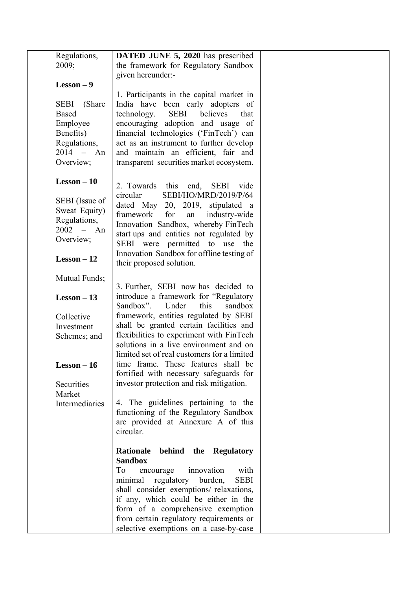| Regulations,                                                                                                | DATED JUNE 5, 2020 has prescribed                                                                                                                                                                                                                                                                                                            |  |
|-------------------------------------------------------------------------------------------------------------|----------------------------------------------------------------------------------------------------------------------------------------------------------------------------------------------------------------------------------------------------------------------------------------------------------------------------------------------|--|
| 2009;                                                                                                       | the framework for Regulatory Sandbox                                                                                                                                                                                                                                                                                                         |  |
|                                                                                                             | given hereunder:-                                                                                                                                                                                                                                                                                                                            |  |
| $Lesson - 9$                                                                                                |                                                                                                                                                                                                                                                                                                                                              |  |
| <b>SEBI</b><br>(Share)<br><b>Based</b><br>Employee<br>Benefits)<br>Regulations,<br>$2014 - An$<br>Overview; | 1. Participants in the capital market in<br>India have been early adopters of<br>technology.<br><b>SEBI</b><br>believes<br>that<br>encouraging adoption and usage of<br>financial technologies ('FinTech') can<br>act as an instrument to further develop<br>and maintain an efficient, fair and<br>transparent securities market ecosystem. |  |
| $Lesson - 10$                                                                                               | 2. Towards this end, SEBI vide                                                                                                                                                                                                                                                                                                               |  |
| SEBI (Issue of<br>Sweat Equity)<br>Regulations,<br>$2002 - An$<br>Overview;<br>$Lesson - 12$                | SEBI/HO/MRD/2019/P/64<br>circular<br>dated May 20, 2019, stipulated a<br>framework<br>for<br>industry-wide<br>an<br>Innovation Sandbox, whereby FinTech<br>start ups and entities not regulated by<br>SEBI were permitted to use the<br>Innovation Sandbox for offline testing of<br>their proposed solution.                                |  |
| Mutual Funds;                                                                                               | 3. Further, SEBI now has decided to                                                                                                                                                                                                                                                                                                          |  |
| $Lesson - 13$                                                                                               | introduce a framework for "Regulatory<br>Sandbox".<br>Under<br>this<br>sandbox                                                                                                                                                                                                                                                               |  |
| Collective                                                                                                  | framework, entities regulated by SEBI                                                                                                                                                                                                                                                                                                        |  |
| Investment<br>Schemes; and                                                                                  | shall be granted certain facilities and<br>flexibilities to experiment with FinTech<br>solutions in a live environment and on<br>limited set of real customers for a limited                                                                                                                                                                 |  |
| $Lesson - 16$                                                                                               | time frame. These features shall be<br>fortified with necessary safeguards for                                                                                                                                                                                                                                                               |  |
| Securities<br>Market                                                                                        | investor protection and risk mitigation.                                                                                                                                                                                                                                                                                                     |  |
| Intermediaries                                                                                              | 4. The guidelines pertaining to the<br>functioning of the Regulatory Sandbox<br>are provided at Annexure A of this<br>circular.                                                                                                                                                                                                              |  |
|                                                                                                             | Rationale<br>behind the Regulatory                                                                                                                                                                                                                                                                                                           |  |
|                                                                                                             | <b>Sandbox</b><br>To<br>innovation<br>with<br>encourage                                                                                                                                                                                                                                                                                      |  |
|                                                                                                             | regulatory<br>burden,<br><b>SEBI</b><br>minimal                                                                                                                                                                                                                                                                                              |  |
|                                                                                                             | shall consider exemptions/ relaxations,                                                                                                                                                                                                                                                                                                      |  |
|                                                                                                             | if any, which could be either in the                                                                                                                                                                                                                                                                                                         |  |
|                                                                                                             | form of a comprehensive exemption                                                                                                                                                                                                                                                                                                            |  |
|                                                                                                             | from certain regulatory requirements or                                                                                                                                                                                                                                                                                                      |  |
|                                                                                                             | selective exemptions on a case-by-case                                                                                                                                                                                                                                                                                                       |  |